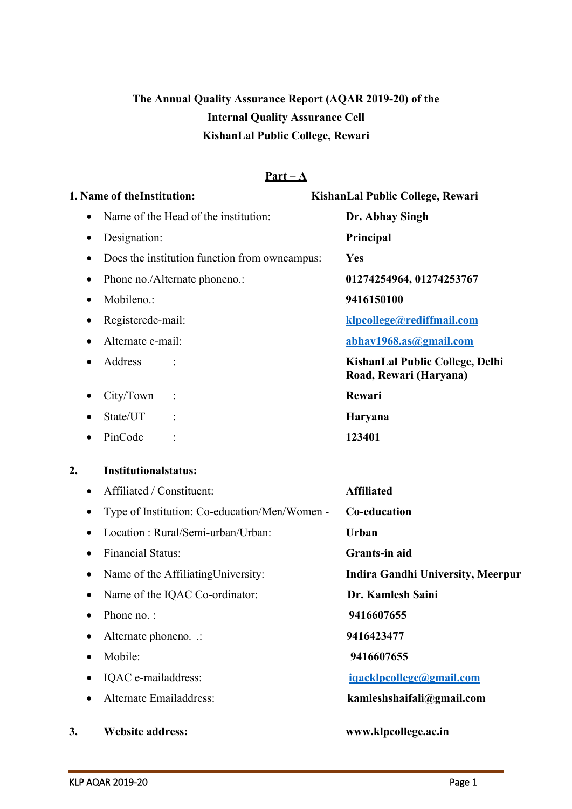# **The Annual Quality Assurance Report (AQAR 2019-20) of the Internal Quality Assurance Cell KishanLal Public College, Rewari**

#### **Part – A**

|                  | 1. Name of theInstitution:                    | KishanLal Public College, Rewari                          |
|------------------|-----------------------------------------------|-----------------------------------------------------------|
| $\bullet$        | Name of the Head of the institution:          | Dr. Abhay Singh                                           |
| ٠                | Designation:                                  | Principal                                                 |
| $\bullet$        | Does the institution function from owncampus: | Yes                                                       |
| ٠                | Phone no./Alternate phoneno.:                 | 01274254964, 01274253767                                  |
| $\bullet$        | Mobileno.:                                    | 9416150100                                                |
| ٠                | Registerede-mail:                             | klpcollege@rediffmail.com                                 |
|                  | Alternate e-mail:                             | abhay1968.as@gmail.com                                    |
| $\bullet$        | Address                                       | KishanLal Public College, Delhi<br>Road, Rewari (Haryana) |
|                  | City/Town                                     | Rewari                                                    |
|                  | State/UT                                      | Haryana                                                   |
|                  | PinCode                                       | 123401                                                    |
| $\overline{2}$ . | <b>Institutionalstatus:</b>                   |                                                           |
| $\bullet$        | Affiliated / Constituent:                     | <b>Affiliated</b>                                         |
| $\bullet$        | Type of Institution: Co-education/Men/Women - | Co-education                                              |
| $\bullet$        | Location: Rural/Semi-urban/Urban:             | <b>Urban</b>                                              |
| $\bullet$        | <b>Financial Status:</b>                      | Grants-in aid                                             |
|                  | Name of the Affiliating University:           | <b>Indira Gandhi University, Meerpur</b>                  |
| $\bullet$        | Name of the IQAC Co-ordinator:                | Dr. Kamlesh Saini                                         |
|                  | Phone no.:                                    | 9416607655                                                |
| $\bullet$        | Alternate phoneno. .:                         | 9416423477                                                |
| $\bullet$        | Mobile:                                       | 9416607655                                                |
| $\bullet$        | IQAC e-mailaddress:                           | iqacklpcollege@gmail.com                                  |
|                  | Alternate Emailaddress:                       | kamleshshaifali@gmail.com                                 |
| 3.               | <b>Website address:</b>                       | www.klpcollege.ac.in                                      |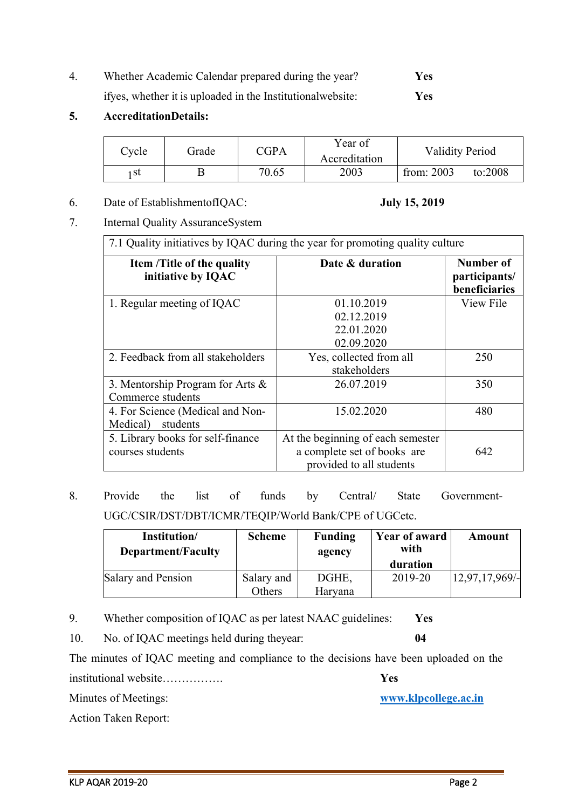4. Whether Academic Calendar prepared during the year? **Yes** ifyes, whether it is uploaded in the Institutionalwebsite: **Yes**

#### **5. AccreditationDetails:**

| Cycle | Grade | $\mathbb C \mathbb G \mathbb P \mathbb A$ | Year of<br>Accreditation | <b>Validity Period</b> |         |
|-------|-------|-------------------------------------------|--------------------------|------------------------|---------|
| + St  |       | 70.65                                     | 2003                     | from: $2003$           | to:2008 |

6. Date of EstablishmentofIQAC: **July 15, 2019**

7. Internal Quality AssuranceSystem

7.1 Quality initiatives by IQAC during the year for promoting quality culture

| Item /Title of the quality<br>initiative by IQAC         | Date & duration                                                                              | Number of<br>participants/<br>beneficiaries |
|----------------------------------------------------------|----------------------------------------------------------------------------------------------|---------------------------------------------|
| 1. Regular meeting of IQAC                               | 01.10.2019<br>02.12.2019<br>22.01.2020<br>02.09.2020                                         | View File                                   |
| 2. Feedback from all stakeholders                        | Yes, collected from all<br>stakeholders                                                      | 250                                         |
| 3. Mentorship Program for Arts $\&$<br>Commerce students | 26.07.2019                                                                                   | 350                                         |
| 4. For Science (Medical and Non-<br>students<br>Medical) | 15.02.2020                                                                                   | 480                                         |
| 5. Library books for self-finance<br>courses students    | At the beginning of each semester<br>a complete set of books are<br>provided to all students | 642                                         |

8. Provide the list of funds by Central/ State Government-UGC/CSIR/DST/DBT/ICMR/TEQIP/World Bank/CPE of UGCetc.

| Institution/<br><b>Department/Faculty</b> | <b>Scheme</b> | <b>Funding</b><br>agency | <b>Year of award</b><br>with | Amount        |
|-------------------------------------------|---------------|--------------------------|------------------------------|---------------|
|                                           |               |                          | duration                     |               |
| Salary and Pension                        | Salary and    | DGHE.                    | 2019-20                      | 12,97,17,969/ |
|                                           | Others        | Haryana                  |                              |               |

9. Whether composition of IQAC as per latest NAAC guidelines: **Yes**

10. No. of IQAC meetings held during theyear: **04**

The minutes of IQAC meeting and compliance to the decisions have been uploaded on the

institutional website……………. **Yes** Minutes of Meetings: **[www.klpcollege.ac.in](http://www.klpcollege.ac.in/)**

KLP AQAR 2019-20 Page 2

Action Taken Report: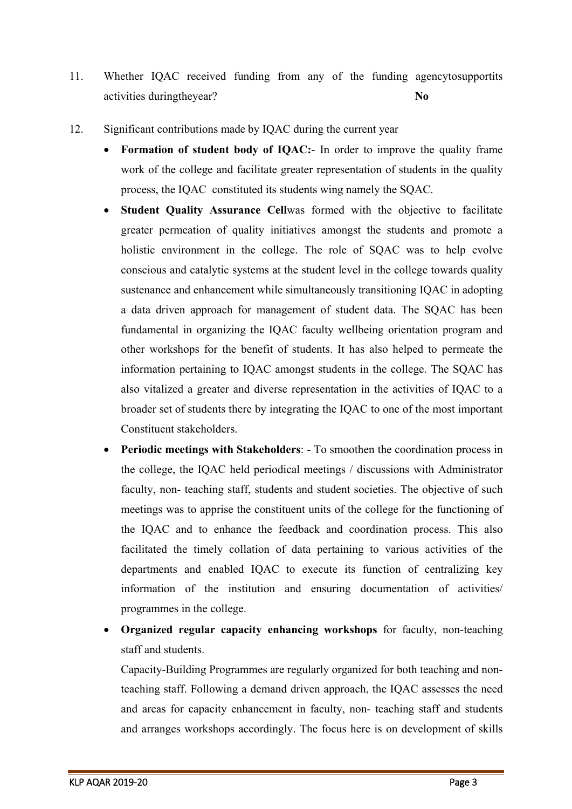- 11. Whether IQAC received funding from any of the funding agencytosupportits activities duringtheyear? **No**
- 12. Significant contributions made by IQAC during the current year
	- **Formation of student body of IQAC:** In order to improve the quality frame work of the college and facilitate greater representation of students in the quality process, the IQAC constituted its students wing namely the SQAC.
	- **Student Quality Assurance Cellwas formed with the objective to facilitate** greater permeation of quality initiatives amongst the students and promote a holistic environment in the college. The role of SQAC was to help evolve conscious and catalytic systems at the student level in the college towards quality sustenance and enhancement while simultaneously transitioning IQAC in adopting a data driven approach for management of student data. The SQAC has been fundamental in organizing the IQAC faculty wellbeing orientation program and other workshops for the benefit of students. It has also helped to permeate the information pertaining to IQAC amongst students in the college. The SQAC has also vitalized a greater and diverse representation in the activities of IQAC to a broader set of students there by integrating the IQAC to one of the most important Constituent stakeholders.
	- **Periodic meetings with Stakeholders:** To smoothen the coordination process in the college, the IQAC held periodical meetings / discussions with Administrator faculty, non- teaching staff, students and student societies. The objective of such meetings was to apprise the constituent units of the college for the functioning of the IQAC and to enhance the feedback and coordination process. This also facilitated the timely collation of data pertaining to various activities of the departments and enabled IQAC to execute its function of centralizing key information of the institution and ensuring documentation of activities/ programmes in the college.
	- **Organized regular capacity enhancing workshops** for faculty, non-teaching staff and students.

Capacity-Building Programmes are regularly organized for both teaching and nonteaching staff. Following a demand driven approach, the IQAC assesses the need and areas for capacity enhancement in faculty, non- teaching staff and students and arranges workshops accordingly. The focus here is on development of skills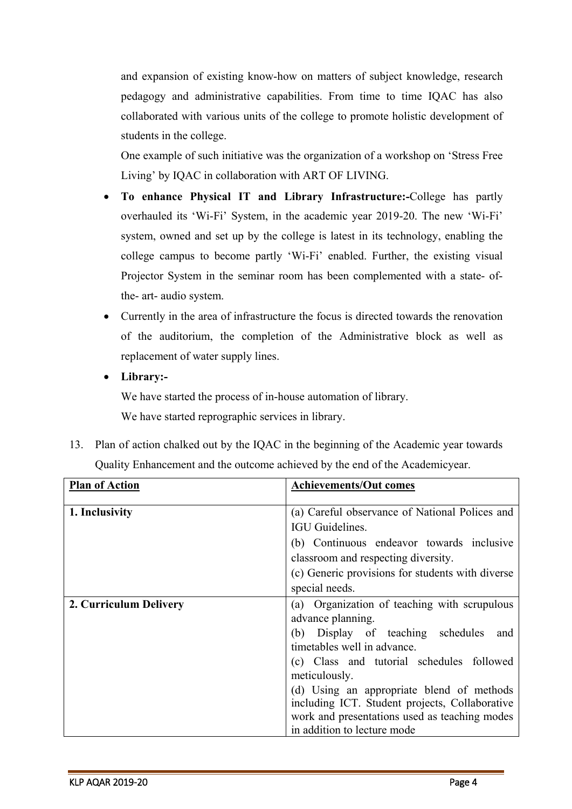and expansion of existing know-how on matters of subject knowledge, research pedagogy and administrative capabilities. From time to time IQAC has also collaborated with various units of the college to promote holistic development of students in the college.

One example of such initiative was the organization of a workshop on 'Stress Free Living' by IQAC in collaboration with ART OF LIVING.

- **To enhance Physical IT and Library Infrastructure:-**College has partly overhauled its 'Wi-Fi' System, in the academic year 2019-20. The new 'Wi-Fi' system, owned and set up by the college is latest in its technology, enabling the college campus to become partly 'Wi-Fi' enabled. Further, the existing visual Projector System in the seminar room has been complemented with a state- ofthe- art- audio system.
- Currently in the area of infrastructure the focus is directed towards the renovation of the auditorium, the completion of the Administrative block as well as replacement of water supply lines.
- **Library:-**

We have started the process of in-house automation of library. We have started reprographic services in library.

13. Plan of action chalked out by the IQAC in the beginning of the Academic year towards Quality Enhancement and the outcome achieved by the end of the Academicyear.

| <b>Plan of Action</b>  | <b>Achievements/Out comes</b>                    |
|------------------------|--------------------------------------------------|
| 1. Inclusivity         | (a) Careful observance of National Polices and   |
|                        | IGU Guidelines.                                  |
|                        | (b) Continuous endeavor towards inclusive        |
|                        | classroom and respecting diversity.              |
|                        | (c) Generic provisions for students with diverse |
|                        |                                                  |
|                        | special needs.                                   |
| 2. Curriculum Delivery | (a) Organization of teaching with scrupulous     |
|                        | advance planning.                                |
|                        | (b) Display of teaching schedules<br>and         |
|                        | timetables well in advance.                      |
|                        | (c) Class and tutorial schedules followed        |
|                        | meticulously.                                    |
|                        | (d) Using an appropriate blend of methods        |
|                        | including ICT. Student projects, Collaborative   |
|                        | work and presentations used as teaching modes    |
|                        | in addition to lecture mode                      |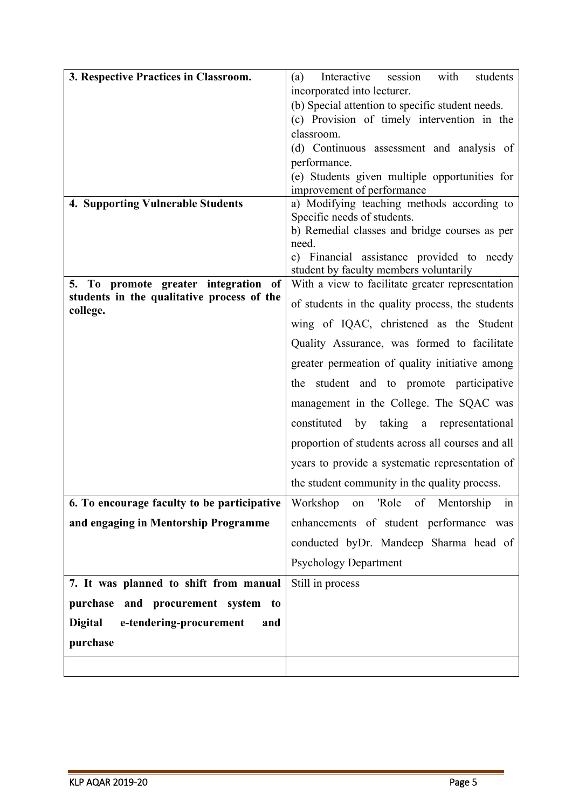| 3. Respective Practices in Classroom.                  | with<br>students<br>Interactive<br>session<br>(a)                            |  |
|--------------------------------------------------------|------------------------------------------------------------------------------|--|
|                                                        | incorporated into lecturer.                                                  |  |
|                                                        | (b) Special attention to specific student needs.                             |  |
|                                                        | (c) Provision of timely intervention in the                                  |  |
|                                                        | classroom.                                                                   |  |
|                                                        | (d) Continuous assessment and analysis of                                    |  |
|                                                        | performance.                                                                 |  |
|                                                        | (e) Students given multiple opportunities for                                |  |
|                                                        | improvement of performance                                                   |  |
| <b>4. Supporting Vulnerable Students</b>               | a) Modifying teaching methods according to                                   |  |
|                                                        | Specific needs of students.<br>b) Remedial classes and bridge courses as per |  |
|                                                        | need.                                                                        |  |
|                                                        | c) Financial assistance provided to needy                                    |  |
|                                                        | student by faculty members voluntarily                                       |  |
| 5. To promote greater integration of                   | With a view to facilitate greater representation                             |  |
| students in the qualitative process of the<br>college. | of students in the quality process, the students                             |  |
|                                                        | wing of IQAC, christened as the Student                                      |  |
|                                                        | Quality Assurance, was formed to facilitate                                  |  |
|                                                        | greater permeation of quality initiative among                               |  |
|                                                        | the student and to promote participative                                     |  |
|                                                        | management in the College. The SQAC was                                      |  |
|                                                        | constituted by taking a representational                                     |  |
|                                                        | proportion of students across all courses and all                            |  |
|                                                        | years to provide a systematic representation of                              |  |
|                                                        | the student community in the quality process.                                |  |
| 6. To encourage faculty to be participative            | Workshop on 'Role of Mentorship<br>1n                                        |  |
| and engaging in Mentorship Programme                   | enhancements of student performance was                                      |  |
|                                                        | conducted byDr. Mandeep Sharma head of                                       |  |
|                                                        | <b>Psychology Department</b>                                                 |  |
| 7. It was planned to shift from manual                 | Still in process                                                             |  |
| purchase and procurement system to                     |                                                                              |  |
| <b>Digital</b><br>e-tendering-procurement<br>and       |                                                                              |  |
|                                                        |                                                                              |  |
| purchase                                               |                                                                              |  |
|                                                        |                                                                              |  |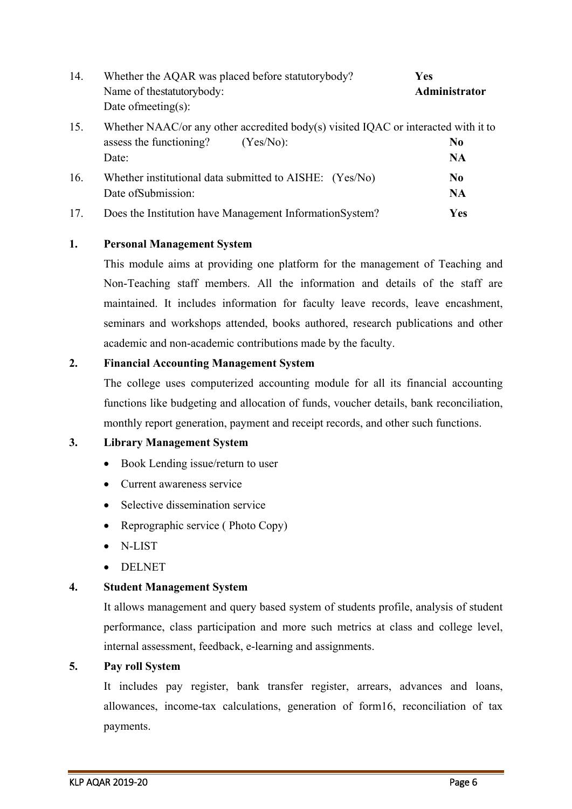| 14. | Whether the AQAR was placed before statutorybody?<br>Name of thestatutorybody:<br>Date of meeting(s):                                  | Yes<br>Administrator        |
|-----|----------------------------------------------------------------------------------------------------------------------------------------|-----------------------------|
| 15. | Whether NAAC/or any other accredited body(s) visited IQAC or interacted with it to<br>assess the functioning?<br>$(Yes/No)$ :<br>Date: | N <sub>0</sub><br><b>NA</b> |
| 16. | Whether institutional data submitted to AISHE: (Yes/No)<br>Date of Submission:                                                         | N <sub>0</sub><br><b>NA</b> |
| 17. | Does the Institution have Management InformationSystem?                                                                                | <b>Yes</b>                  |

#### **1. Personal Management System**

This module aims at providing one platform for the management of Teaching and Non-Teaching staff members. All the information and details of the staff are maintained. It includes information for faculty leave records, leave encashment, seminars and workshops attended, books authored, research publications and other academic and non-academic contributions made by the faculty.

#### **2. Financial Accounting Management System**

The college uses computerized accounting module for all its financial accounting functions like budgeting and allocation of funds, voucher details, bank reconciliation, monthly report generation, payment and receipt records, and other such functions.

#### **3. Library Management System**

- Book Lending issue/return to user
- Current awareness service
- Selective dissemination service
- Reprographic service ( Photo Copy)
- N-LIST
- DELNET

#### **4. Student Management System**

It allows management and query based system of students profile, analysis of student performance, class participation and more such metrics at class and college level, internal assessment, feedback, e-learning and assignments.

#### **5. Pay roll System**

It includes pay register, bank transfer register, arrears, advances and loans, allowances, income-tax calculations, generation of form16, reconciliation of tax payments.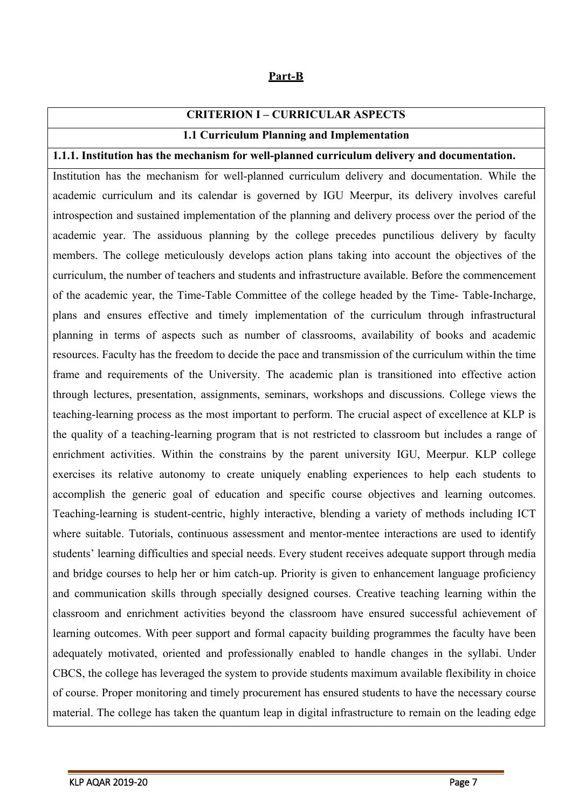#### **Part-B**

### **CRITERION I – CURRICULAR ASPECTS**

#### **1.1 Curriculum Planning and Implementation**

#### **1.1.1. Institution has the mechanism for well-planned curriculum delivery and documentation.**

Institution has the mechanism for well-planned curriculum delivery and documentation. While the academic curriculum and its calendar is governed by IGU Meerpur, its delivery involves careful introspection and sustained implementation of the planning and delivery process over the period of the academic year. The assiduous planning by the college precedes punctilious delivery by faculty members. The college meticulously develops action plans taking into account the objectives of the curriculum, the number of teachers and students and infrastructure available. Before the commencement of the academic year, the Time-Table Committee of the college headed by the Time- Table-Incharge, plans and ensures effective and timely implementation of the curriculum through infrastructural planning in terms of aspects such as number of classrooms, availability of books and academic resources. Faculty has the freedom to decide the pace and transmission of the curriculum within the time frame and requirements of the University. The academic plan is transitioned into effective action through lectures, presentation, assignments, seminars, workshops and discussions. College views the teaching-learning process as the most important to perform. The crucial aspect of excellence at KLP is the quality of a teaching-learning program that is not restricted to classroom but includes a range of enrichment activities. Within the constrains by the parent university IGU, Meerpur. KLP college exercises its relative autonomy to create uniquely enabling experiences to help each students to accomplish the generic goal of education and specific course objectives and learning outcomes. Teaching-learning is student-centric, highly interactive, blending a variety of methods including ICT where suitable. Tutorials, continuous assessment and mentor-mentee interactions are used to identify students' learning difficulties and special needs. Every student receives adequate support through media and bridge courses to help her or him catch-up. Priority is given to enhancement language proficiency and communication skills through specially designed courses. Creative teaching learning within the classroom and enrichment activities beyond the classroom have ensured successful achievement of learning outcomes. With peer support and formal capacity building programmes the faculty have been adequately motivated, oriented and professionally enabled to handle changes in the syllabi. Under CBCS, the college has leveraged the system to provide students maximum available flexibility in choice of course. Proper monitoring and timely procurement has ensured students to have the necessary course material. The college has taken the quantum leap in digital infrastructure to remain on the leading edge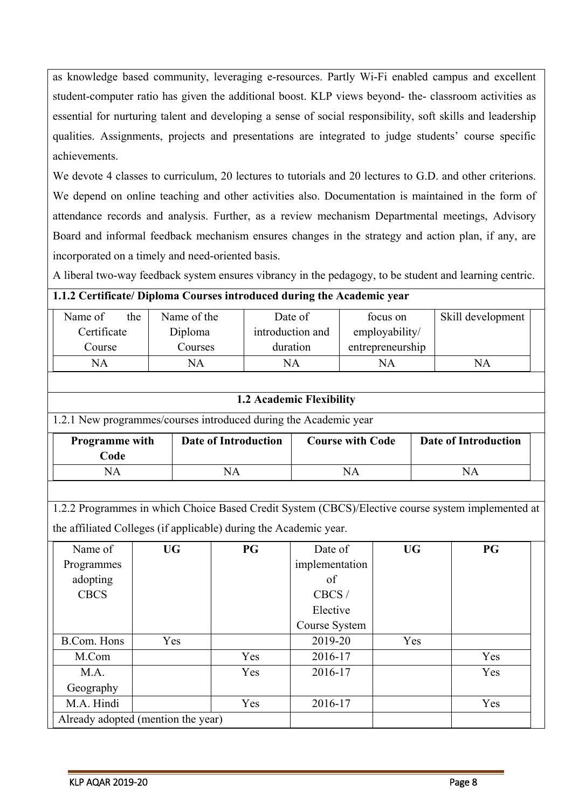as knowledge based community, leveraging e-resources. Partly Wi-Fi enabled campus and excellent student-computer ratio has given the additional boost. KLP views beyond- the- classroom activities as essential for nurturing talent and developing a sense of social responsibility, soft skills and leadership qualities. Assignments, projects and presentations are integrated to judge students' course specific achievements.

We devote 4 classes to curriculum, 20 lectures to tutorials and 20 lectures to G.D. and other criterions. We depend on online teaching and other activities also. Documentation is maintained in the form of attendance records and analysis. Further, as a review mechanism Departmental meetings, Advisory Board and informal feedback mechanism ensures changes in the strategy and action plan, if any, are incorporated on a timely and need-oriented basis.

A liberal two-way feedback system ensures vibrancy in the pedagogy, to be student and learning centric.

#### **1.1.2 Certificate/ Diploma Courses introduced during the Academic year**

| the<br>Name of | Name of the | Date of          | focus on         | Skill development |  |
|----------------|-------------|------------------|------------------|-------------------|--|
| Certificate    | Diploma     | introduction and | employability/   |                   |  |
| Course         | Courses     | duration         | entrepreneurship |                   |  |
| NA             | NA          | NA               | ΝA               | ΝA                |  |

#### **1.2 Academic Flexibility**

#### 1.2.1 New programmes/courses introduced during the Academic year

| <b>Programme</b> with<br>Code | Date of Introduction | <b>Course with Code</b> | Date of Introduction |
|-------------------------------|----------------------|-------------------------|----------------------|
| NΑ                            |                      |                         | NА                   |

1.2.2 Programmes in which Choice Based Credit System (CBCS)/Elective course system implemented at

the affiliated Colleges (if applicable) during the Academic year.

| Name of     | <b>UG</b>                          | <b>PG</b> | Date of        | <b>UG</b> | <b>PG</b> |
|-------------|------------------------------------|-----------|----------------|-----------|-----------|
| Programmes  |                                    |           | implementation |           |           |
| adopting    |                                    |           | of             |           |           |
| <b>CBCS</b> |                                    |           | CBCS/          |           |           |
|             |                                    |           | Elective       |           |           |
|             |                                    |           | Course System  |           |           |
| B.Com. Hons | Yes                                |           | 2019-20        | Yes       |           |
| M.Com       |                                    | Yes       | 2016-17        |           | Yes       |
| M.A.        |                                    | Yes       | 2016-17        |           | Yes       |
| Geography   |                                    |           |                |           |           |
| M.A. Hindi  |                                    | Yes       | 2016-17        |           | Yes       |
|             | Already adopted (mention the year) |           |                |           |           |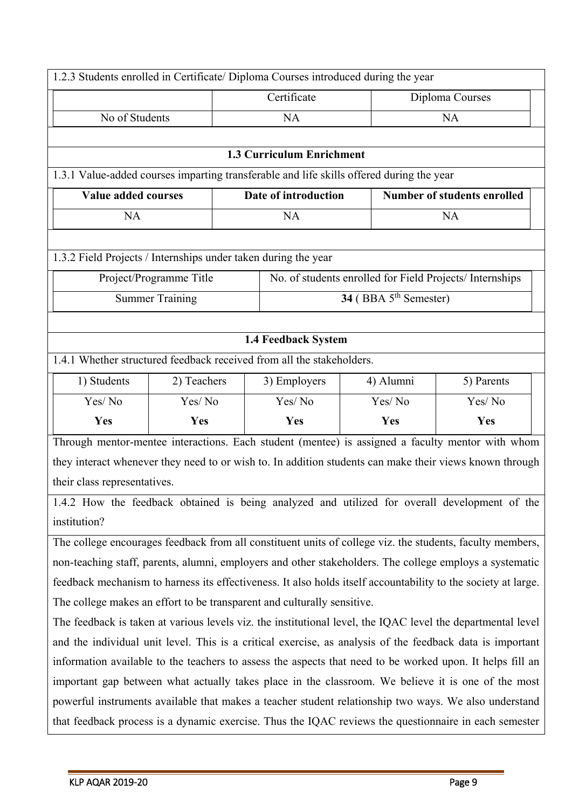| 1.2.3 Students enrolled in Certificate/ Diploma Courses introduced during the year                 |                                                                                                             |                                  |                                                          |                                                                                                               |  |  |  |  |
|----------------------------------------------------------------------------------------------------|-------------------------------------------------------------------------------------------------------------|----------------------------------|----------------------------------------------------------|---------------------------------------------------------------------------------------------------------------|--|--|--|--|
|                                                                                                    |                                                                                                             | Certificate                      |                                                          | Diploma Courses                                                                                               |  |  |  |  |
| No of Students                                                                                     |                                                                                                             | <b>NA</b>                        |                                                          | <b>NA</b>                                                                                                     |  |  |  |  |
|                                                                                                    |                                                                                                             |                                  |                                                          |                                                                                                               |  |  |  |  |
|                                                                                                    |                                                                                                             | <b>1.3 Curriculum Enrichment</b> |                                                          |                                                                                                               |  |  |  |  |
| 1.3.1 Value-added courses imparting transferable and life skills offered during the year           |                                                                                                             |                                  |                                                          |                                                                                                               |  |  |  |  |
| Value added courses                                                                                |                                                                                                             | Date of introduction             |                                                          | <b>Number of students enrolled</b>                                                                            |  |  |  |  |
| <b>NA</b>                                                                                          |                                                                                                             | <b>NA</b>                        |                                                          | <b>NA</b>                                                                                                     |  |  |  |  |
|                                                                                                    |                                                                                                             |                                  |                                                          |                                                                                                               |  |  |  |  |
| 1.3.2 Field Projects / Internships under taken during the year                                     |                                                                                                             |                                  |                                                          |                                                                                                               |  |  |  |  |
|                                                                                                    | Project/Programme Title                                                                                     |                                  | No. of students enrolled for Field Projects/ Internships |                                                                                                               |  |  |  |  |
|                                                                                                    | Summer Training                                                                                             |                                  | $34$ (BBA $5^{\text{th}}$ Semester)                      |                                                                                                               |  |  |  |  |
|                                                                                                    |                                                                                                             |                                  |                                                          |                                                                                                               |  |  |  |  |
|                                                                                                    |                                                                                                             | 1.4 Feedback System              |                                                          |                                                                                                               |  |  |  |  |
| 1.4.1 Whether structured feedback received from all the stakeholders.                              |                                                                                                             |                                  |                                                          |                                                                                                               |  |  |  |  |
| 1) Students                                                                                        | 2) Teachers                                                                                                 | 3) Employers                     | 4) Alumni                                                | 5) Parents                                                                                                    |  |  |  |  |
| Yes/No                                                                                             | Yes/No                                                                                                      | Yes/No                           | Yes/No                                                   | Yes/No                                                                                                        |  |  |  |  |
| Yes                                                                                                | Yes                                                                                                         | Yes                              | Yes                                                      | Yes                                                                                                           |  |  |  |  |
|                                                                                                    |                                                                                                             |                                  |                                                          | Through mentor-mentee interactions. Each student (mentee) is assigned a faculty mentor with whom              |  |  |  |  |
|                                                                                                    |                                                                                                             |                                  |                                                          | they interact whenever they need to or wish to. In addition students can make their views known through       |  |  |  |  |
| their class representatives.                                                                       |                                                                                                             |                                  |                                                          |                                                                                                               |  |  |  |  |
|                                                                                                    |                                                                                                             |                                  |                                                          | 1.4.2 How the feedback obtained is being analyzed and utilized for overall development of the                 |  |  |  |  |
| institution?                                                                                       |                                                                                                             |                                  |                                                          |                                                                                                               |  |  |  |  |
|                                                                                                    |                                                                                                             |                                  |                                                          | The college encourages feedback from all constituent units of college viz. the students, faculty members,     |  |  |  |  |
|                                                                                                    |                                                                                                             |                                  |                                                          | non-teaching staff, parents, alumni, employers and other stakeholders. The college employs a systematic       |  |  |  |  |
|                                                                                                    |                                                                                                             |                                  |                                                          | feedback mechanism to harness its effectiveness. It also holds itself accountability to the society at large. |  |  |  |  |
| The college makes an effort to be transparent and culturally sensitive.                            |                                                                                                             |                                  |                                                          |                                                                                                               |  |  |  |  |
|                                                                                                    | The feedback is taken at various levels viz. the institutional level, the IQAC level the departmental level |                                  |                                                          |                                                                                                               |  |  |  |  |
|                                                                                                    |                                                                                                             |                                  |                                                          | and the individual unit level. This is a critical exercise, as analysis of the feedback data is important     |  |  |  |  |
|                                                                                                    |                                                                                                             |                                  |                                                          | information available to the teachers to assess the aspects that need to be worked upon. It helps fill an     |  |  |  |  |
| important gap between what actually takes place in the classroom. We believe it is one of the most |                                                                                                             |                                  |                                                          |                                                                                                               |  |  |  |  |

powerful instruments available that makes a teacher student relationship two ways. We also understand

that feedback process is a dynamic exercise. Thus the IQAC reviews the questionnaire in each semester

METH AND A 2019-20 Page 9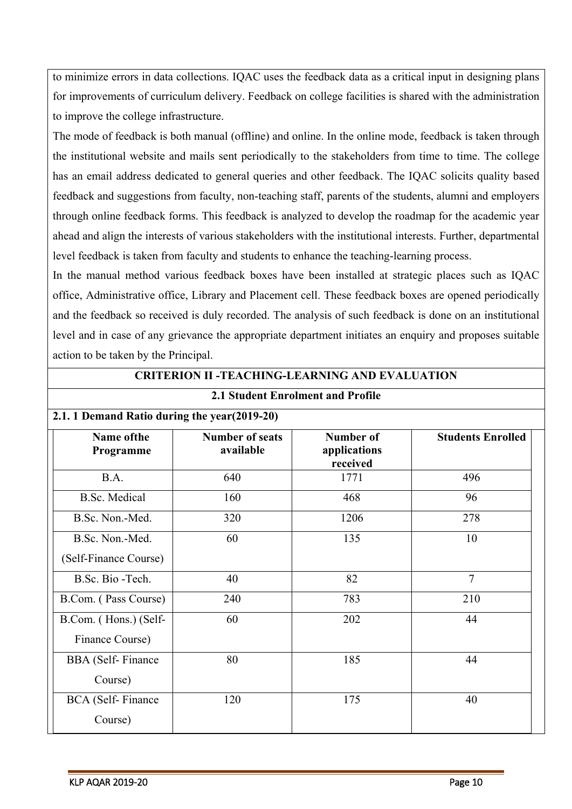to minimize errors in data collections. IQAC uses the feedback data as a critical input in designing plans for improvements of curriculum delivery. Feedback on college facilities is shared with the administration to improve the college infrastructure.

The mode of feedback is both manual (offline) and online. In the online mode, feedback is taken through the institutional website and mails sent periodically to the stakeholders from time to time. The college has an email address dedicated to general queries and other feedback. The IQAC solicits quality based feedback and suggestions from faculty, non-teaching staff, parents of the students, alumni and employers through online feedback forms. This feedback is analyzed to develop the roadmap for the academic year ahead and align the interests of various stakeholders with the institutional interests. Further, departmental level feedback is taken from faculty and students to enhance the teaching-learning process.

In the manual method various feedback boxes have been installed at strategic places such as IQAC office, Administrative office, Library and Placement cell. These feedback boxes are opened periodically and the feedback so received is duly recorded. The analysis of such feedback is done on an institutional level and in case of any grievance the appropriate department initiates an enquiry and proposes suitable action to be taken by the Principal.

**CRITERION II -TEACHING-LEARNING AND EVALUATION**

| 2.1 Student Enrolment and Profile            |                                     |                                       |                          |  |
|----------------------------------------------|-------------------------------------|---------------------------------------|--------------------------|--|
| 2.1. 1 Demand Ratio during the year(2019-20) |                                     |                                       |                          |  |
| Name of the<br>Programme                     | <b>Number of seats</b><br>available | Number of<br>applications<br>received | <b>Students Enrolled</b> |  |
| B.A.                                         | 640                                 | 1771                                  | 496                      |  |
| <b>B.Sc.</b> Medical                         | 160                                 | 468                                   | 96                       |  |
| B.Sc. Non.-Med.                              | 320                                 | 1206                                  | 278                      |  |
| B.Sc. Non.-Med.<br>(Self-Finance Course)     | 60                                  | 135                                   | 10                       |  |
| B.Sc. Bio-Tech.                              | 40                                  | 82                                    | 7                        |  |
| B.Com. (Pass Course)                         | 240                                 | 783                                   | 210                      |  |
| B.Com. (Hons.) (Self-<br>Finance Course)     | 60                                  | 202                                   | 44                       |  |
| <b>BBA</b> (Self-Finance<br>Course)          | 80                                  | 185                                   | 44                       |  |
| <b>BCA</b> (Self-Finance<br>Course)          | 120                                 | 175                                   | 40                       |  |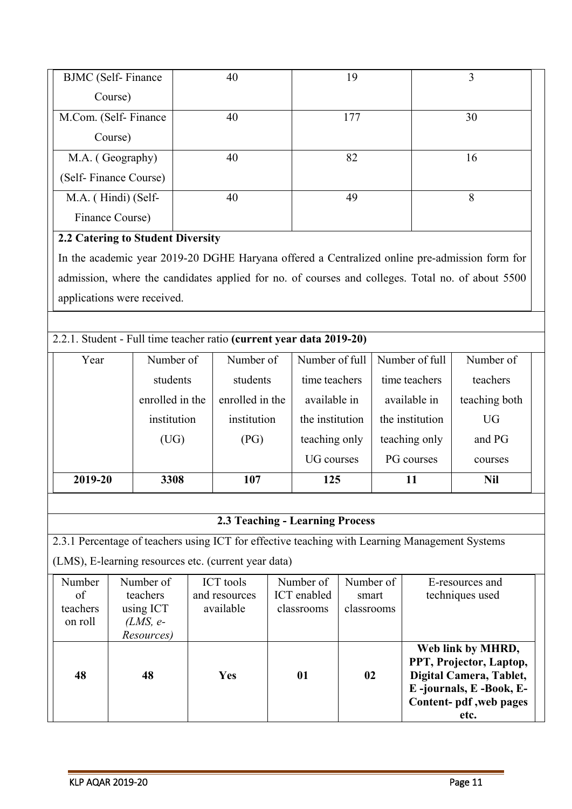| <b>BJMC</b> (Self-Finance | 40 | 19  |    |
|---------------------------|----|-----|----|
| Course)                   |    |     |    |
| M.Com. (Self-Finance      | 40 | 177 | 30 |
| Course)                   |    |     |    |
| M.A. (Geography)          | 40 | 82  | 16 |
| (Self-Finance Course)     |    |     |    |
| M.A. (Hindi) (Self-       | 40 | 49  | 8  |
| Finance Course)           |    |     |    |

## **2.2 Catering to Student Diversity**

In the academic year 2019-20 DGHE Haryana offered a Centralized online pre-admission form for admission, where the candidates applied for no. of courses and colleges. Total no. of about 5500 applications were received.

## 2.2.1. Student - Full time teacher ratio **(current year data 2019-20)**

| Year    | Number of       | Number of       | Number of full    | Number of full  | Number of     |
|---------|-----------------|-----------------|-------------------|-----------------|---------------|
|         | students        | students        | time teachers     | time teachers   | teachers      |
|         | enrolled in the | enrolled in the | available in      | available in    | teaching both |
|         | institution     | institution     | the institution   | the institution | <b>UG</b>     |
|         | (UG)            | (PG)            | teaching only     | teaching only   | and PG        |
|         |                 |                 | <b>UG</b> courses | PG courses      | courses       |
| 2019-20 | 3308            | 107             | 125               | 11              | <b>Nil</b>    |

## **2.3 Teaching - Learning Process**

2.3.1 Percentage of teachers using ICT for effective teaching with Learning Management Systems

(LMS), E-learning resources etc. (current year data)

| Number   | Number of  | <b>ICT</b> tools | Number of   | Number of  | E-resources and         |
|----------|------------|------------------|-------------|------------|-------------------------|
| of       | teachers   | and resources    | ICT enabled | smart      | techniques used         |
| teachers | using ICT  | available        | classrooms  | classrooms |                         |
| on roll  | $(LMS, e-$ |                  |             |            |                         |
|          | Resources) |                  |             |            |                         |
|          |            |                  |             |            | Web link by MHRD,       |
|          |            |                  |             |            | PPT, Projector, Laptop, |
| 48       | 48         | <b>Yes</b>       | 01          | 02         | Digital Camera, Tablet, |
|          |            |                  |             |            | E-journals, E-Book, E-  |
|          |            |                  |             |            | Content- pdf, web pages |
|          |            |                  |             |            | etc.                    |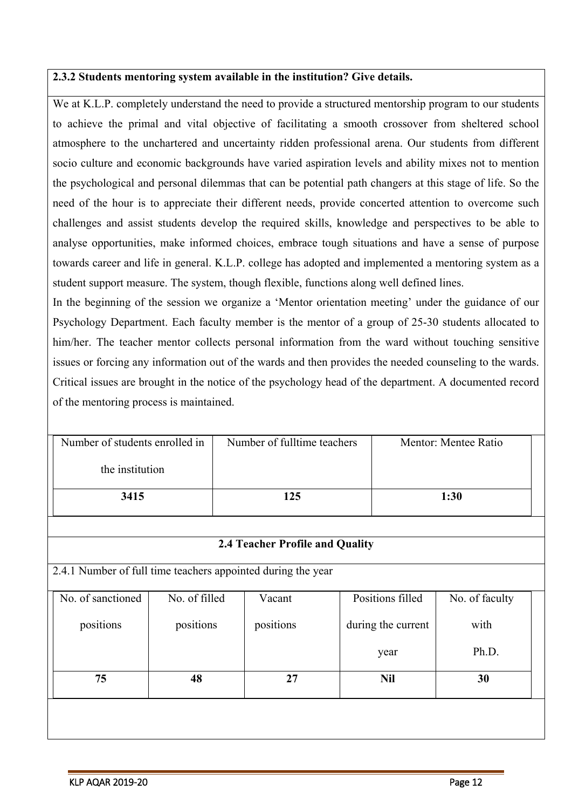### **2.3.2 Students mentoring system available in the institution? Give details.**

We at K.L.P. completely understand the need to provide a structured mentorship program to our students to achieve the primal and vital objective of facilitating a smooth crossover from sheltered school atmosphere to the unchartered and uncertainty ridden professional arena. Our students from different socio culture and economic backgrounds have varied aspiration levels and ability mixes not to mention the psychological and personal dilemmas that can be potential path changers at this stage of life. So the need of the hour is to appreciate their different needs, provide concerted attention to overcome such challenges and assist students develop the required skills, knowledge and perspectives to be able to analyse opportunities, make informed choices, embrace tough situations and have a sense of purpose towards career and life in general. K.L.P. college has adopted and implemented a mentoring system as a student support measure. The system, though flexible, functions along well defined lines.

In the beginning of the session we organize a 'Mentor orientation meeting' under the guidance of our Psychology Department. Each faculty member is the mentor of a group of 25-30 students allocated to him/her. The teacher mentor collects personal information from the ward without touching sensitive issues or forcing any information out of the wards and then provides the needed counseling to the wards. Critical issues are brought in the notice of the psychology head of the department. A documented record of the mentoring process is maintained.

| Number of students enrolled in | Number of fulltime teachers | Mentor: Mentee Ratio |
|--------------------------------|-----------------------------|----------------------|
| the institution                |                             |                      |
| 3415                           | 125                         | 1:30                 |

#### **2.4 Teacher Profile and Quality**

2.4.1 Number of full time teachers appointed during the year

| No. of sanctioned | No. of filled | Vacant    | Positions filled   | No. of faculty |  |
|-------------------|---------------|-----------|--------------------|----------------|--|
| positions         | positions     | positions | during the current | with           |  |
|                   |               |           | year               | Ph.D.          |  |
| 75                | 48            | 27        | <b>Nil</b>         | 30             |  |
|                   |               |           |                    |                |  |
|                   |               |           |                    |                |  |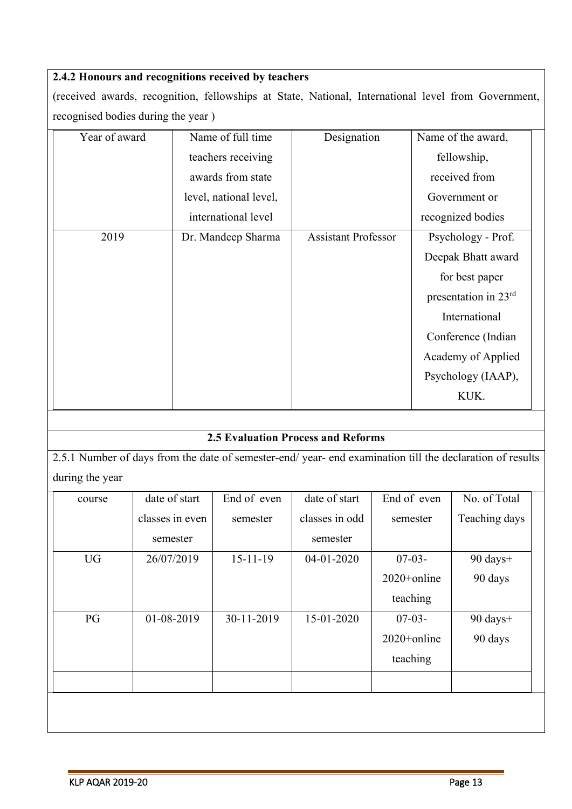## **2.4.2 Honours and recognitions received by teachers**

(received awards, recognition, fellowships at State, National, International level from Government, recognised bodies during the year )

| Year of award | Name of full time      | Designation                | Name of the award,   |
|---------------|------------------------|----------------------------|----------------------|
|               | teachers receiving     |                            | fellowship,          |
|               | awards from state      |                            | received from        |
|               | level, national level, |                            | Government or        |
|               | international level    |                            | recognized bodies    |
| 2019          | Dr. Mandeep Sharma     | <b>Assistant Professor</b> | Psychology - Prof.   |
|               |                        |                            | Deepak Bhatt award   |
|               |                        |                            | for best paper       |
|               |                        |                            | presentation in 23rd |
|               |                        |                            | International        |
|               |                        |                            | Conference (Indian   |
|               |                        |                            | Academy of Applied   |
|               |                        |                            | Psychology (IAAP),   |
|               |                        |                            | KUK.                 |

## **2.5 Evaluation Process and Reforms**

2.5.1 Number of days from the date of semester-end/ year- end examination till the declaration of results during the year

| course    | date of start   | End of even    | date of start  | End of even    | No. of Total       |
|-----------|-----------------|----------------|----------------|----------------|--------------------|
|           | classes in even | semester       | classes in odd | semester       | Teaching days      |
|           | semester        |                | semester       |                |                    |
| <b>UG</b> | 26/07/2019      | $15 - 11 - 19$ | 04-01-2020     | $07-03-$       | 90 days+           |
|           |                 |                |                | 2020+online    | 90 days            |
|           |                 |                |                | teaching       |                    |
| PG        | 01-08-2019      | 30-11-2019     | 15-01-2020     | $07-03-$       | $90 \text{ days}+$ |
|           |                 |                |                | $2020+$ online | 90 days            |
|           |                 |                |                | teaching       |                    |
|           |                 |                |                |                |                    |
|           |                 |                |                |                |                    |
|           |                 |                |                |                |                    |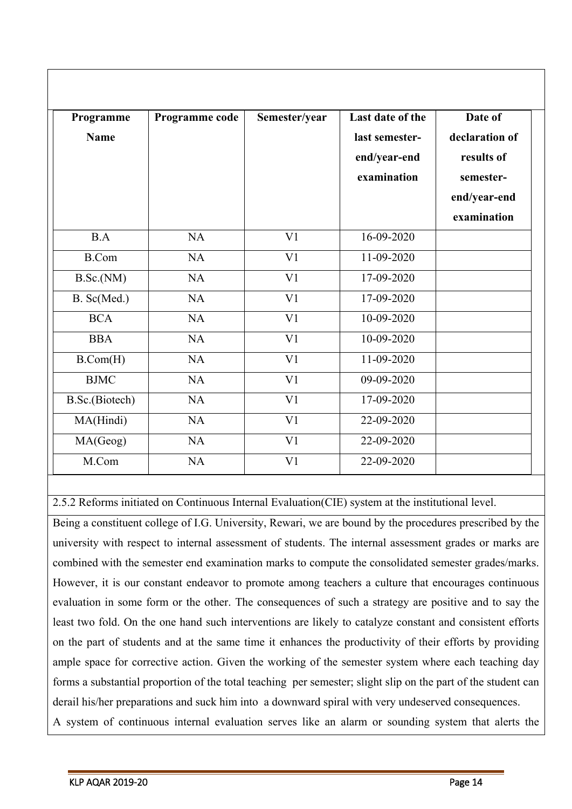| Programme<br><b>Name</b> | Programme code | Semester/year  | Last date of the<br>last semester-<br>end/year-end<br>examination | Date of<br>declaration of<br>results of<br>semester-<br>end/year-end<br>examination |
|--------------------------|----------------|----------------|-------------------------------------------------------------------|-------------------------------------------------------------------------------------|
| B.A                      | NA             | V <sub>1</sub> | 16-09-2020                                                        |                                                                                     |
| <b>B.Com</b>             | NA             | V <sub>1</sub> | 11-09-2020                                                        |                                                                                     |
| B.Sc.(NM)                | <b>NA</b>      | V <sub>1</sub> | 17-09-2020                                                        |                                                                                     |
| B. Sc(Med.)              | <b>NA</b>      | V <sub>1</sub> | 17-09-2020                                                        |                                                                                     |
| <b>BCA</b>               | NA             | V <sub>1</sub> | 10-09-2020                                                        |                                                                                     |
| <b>BBA</b>               | NA             | V <sub>1</sub> | 10-09-2020                                                        |                                                                                     |
| B.Com(H)                 | NA             | V <sub>1</sub> | 11-09-2020                                                        |                                                                                     |
| <b>BJMC</b>              | NA             | V <sub>1</sub> | 09-09-2020                                                        |                                                                                     |
| B.Sc.(Biotech)           | NA             | V <sub>1</sub> | 17-09-2020                                                        |                                                                                     |
| MA(Hindi)                | NA             | V <sub>1</sub> | 22-09-2020                                                        |                                                                                     |
| MA(Geog)                 | NA             | V <sub>1</sub> | 22-09-2020                                                        |                                                                                     |
| M.Com                    | <b>NA</b>      | V <sub>1</sub> | 22-09-2020                                                        |                                                                                     |

2.5.2 Reforms initiated on Continuous Internal Evaluation(CIE) system at the institutional level.

Being a constituent college of I.G. University, Rewari, we are bound by the procedures prescribed by the university with respect to internal assessment of students. The internal assessment grades or marks are combined with the semester end examination marks to compute the consolidated semester grades/marks. However, it is our constant endeavor to promote among teachers a culture that encourages continuous evaluation in some form or the other. The consequences of such a strategy are positive and to say the least two fold. On the one hand such interventions are likely to catalyze constant and consistent efforts on the part of students and at the same time it enhances the productivity of their efforts by providing ample space for corrective action. Given the working of the semester system where each teaching day forms a substantial proportion of the total teaching per semester; slight slip on the part of the student can derail his/her preparations and suck him into a downward spiral with very undeserved consequences. A system of continuous internal evaluation serves like an alarm or sounding system that alerts the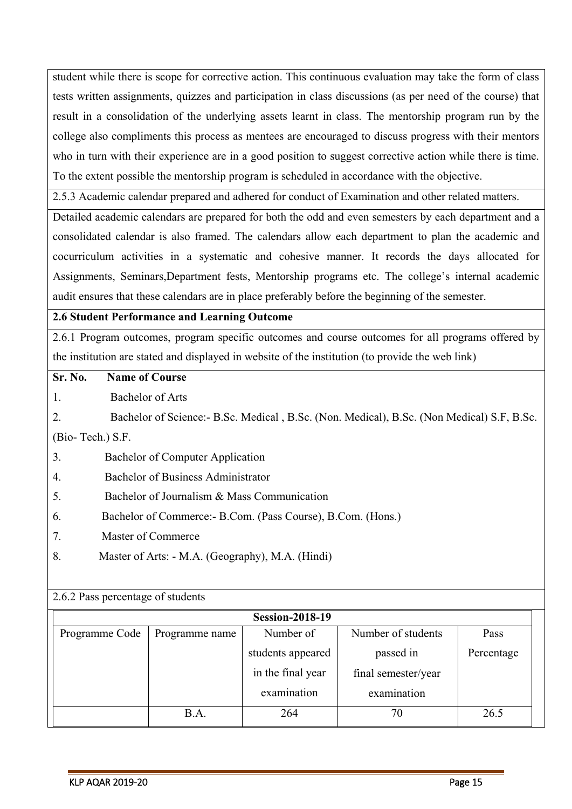student while there is scope for corrective action. This continuous evaluation may take the form of class tests written assignments, quizzes and participation in class discussions (as per need of the course) that result in a consolidation of the underlying assets learnt in class. The mentorship program run by the college also compliments this process as mentees are encouraged to discuss progress with their mentors who in turn with their experience are in a good position to suggest corrective action while there is time. To the extent possible the mentorship program is scheduled in accordance with the objective.

2.5.3 Academic calendar prepared and adhered for conduct of Examination and other related matters.

Detailed academic calendars are prepared for both the odd and even semesters by each department and a consolidated calendar is also framed. The calendars allow each department to plan the academic and cocurriculum activities in a systematic and cohesive manner. It records the days allocated for Assignments, Seminars,Department fests, Mentorship programs etc. The college's internal academic audit ensures that these calendars are in place preferably before the beginning of the semester.

#### **2.6 Student Performance and Learning Outcome**

2.6.1 Program outcomes, program specific outcomes and course outcomes for all programs offered by the institution are stated and displayed in website of the institution (to provide the web link)

#### **Sr. No. Name of Course**

1. Bachelor of Arts

2. Bachelor of Science:- B.Sc. Medical , B.Sc. (Non. Medical), B.Sc. (Non Medical) S.F, B.Sc.

(Bio- Tech.) S.F.

- 3. Bachelor of Computer Application
- 4. Bachelor of Business Administrator
- 5. Bachelor of Journalism & Mass Communication
- 6. Bachelor of Commerce:- B.Com. (Pass Course), B.Com. (Hons.)
- 7. Master of Commerce
- 8. Master of Arts: M.A. (Geography), M.A. (Hindi)

#### 2.6.2 Pass percentage of students

|                |                | <b>Session-2018-19</b> |                     |            |
|----------------|----------------|------------------------|---------------------|------------|
| Programme Code | Programme name | Number of              | Number of students  | Pass       |
|                |                | students appeared      | passed in           | Percentage |
|                |                | in the final year      | final semester/year |            |
|                |                | examination            | examination         |            |
|                | B.A.           | 264                    | 70                  | 26.5       |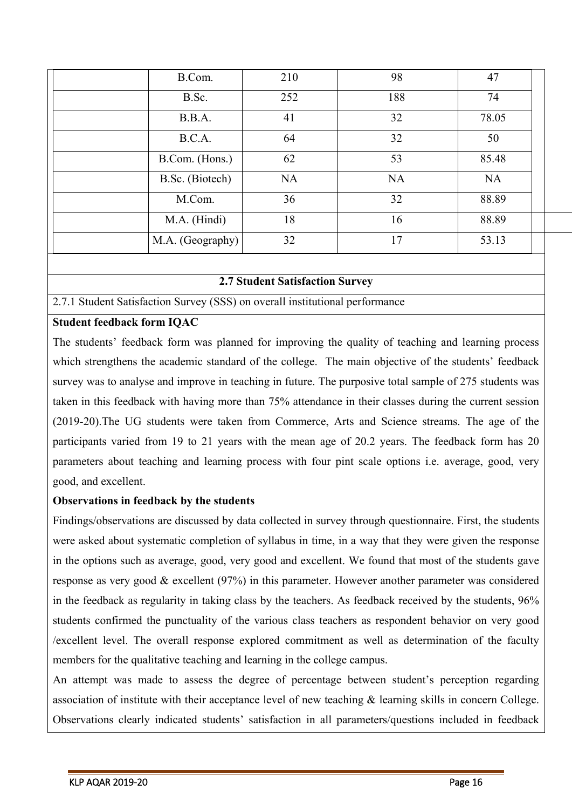| B.Com.           | 210       | 98        | 47        |
|------------------|-----------|-----------|-----------|
| B.Sc.            | 252       | 188       | 74        |
| B.B.A.           | 41        | 32        | 78.05     |
| B.C.A.           | 64        | 32        | 50        |
| B.Com. (Hons.)   | 62        | 53        | 85.48     |
| B.Sc. (Biotech)  | <b>NA</b> | <b>NA</b> | <b>NA</b> |
| M.Com.           | 36        | 32        | 88.89     |
| M.A. (Hindi)     | 18        | 16        | 88.89     |
| M.A. (Geography) | 32        | 17        | 53.13     |

#### **2.7 Student Satisfaction Survey**

2.7.1 Student Satisfaction Survey (SSS) on overall institutional performance

#### **Student feedback form IQAC**

The students' feedback form was planned for improving the quality of teaching and learning process which strengthens the academic standard of the college. The main objective of the students' feedback survey was to analyse and improve in teaching in future. The purposive total sample of 275 students was taken in this feedback with having more than 75% attendance in their classes during the current session (2019-20).The UG students were taken from Commerce, Arts and Science streams. The age of the participants varied from 19 to 21 years with the mean age of 20.2 years. The feedback form has 20 parameters about teaching and learning process with four pint scale options i.e. average, good, very good, and excellent.

#### **Observations in feedback by the students**

Findings/observations are discussed by data collected in survey through questionnaire. First, the students were asked about systematic completion of syllabus in time, in a way that they were given the response in the options such as average, good, very good and excellent. We found that most of the students gave response as very good & excellent (97%) in this parameter. However another parameter was considered in the feedback as regularity in taking class by the teachers. As feedback received by the students, 96% students confirmed the punctuality of the various class teachers as respondent behavior on very good /excellent level. The overall response explored commitment as well as determination of the faculty members for the qualitative teaching and learning in the college campus.

An attempt was made to assess the degree of percentage between student's perception regarding association of institute with their acceptance level of new teaching & learning skills in concern College. Observations clearly indicated students' satisfaction in all parameters/questions included in feedback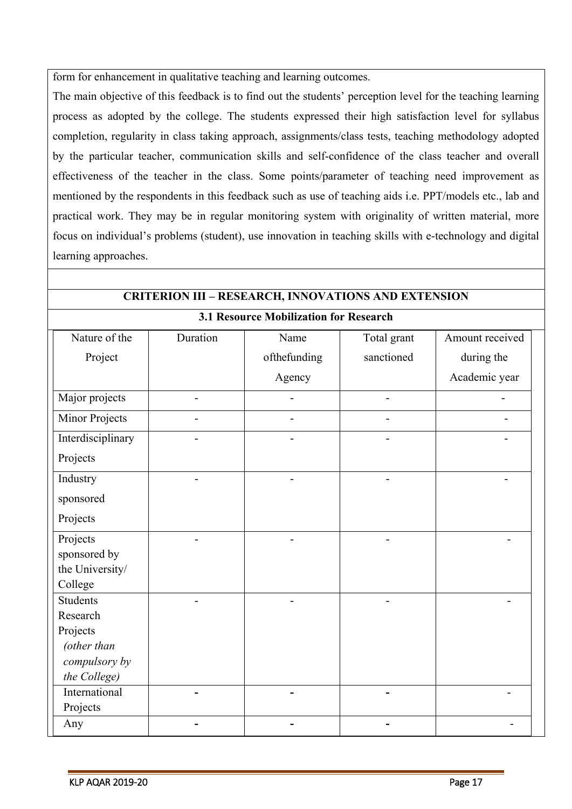form for enhancement in qualitative teaching and learning outcomes.

The main objective of this feedback is to find out the students' perception level for the teaching learning process as adopted by the college. The students expressed their high satisfaction level for syllabus completion, regularity in class taking approach, assignments/class tests, teaching methodology adopted by the particular teacher, communication skills and self-confidence of the class teacher and overall effectiveness of the teacher in the class. Some points/parameter of teaching need improvement as mentioned by the respondents in this feedback such as use of teaching aids i.e. PPT/models etc., lab and practical work. They may be in regular monitoring system with originality of written material, more focus on individual's problems (student), use innovation in teaching skills with e-technology and digital learning approaches.

| <b>CRITERION III - RESEARCH, INNOVATIONS AND EXTENSION</b> |          |                                        |                |                 |  |  |
|------------------------------------------------------------|----------|----------------------------------------|----------------|-----------------|--|--|
|                                                            |          | 3.1 Resource Mobilization for Research |                |                 |  |  |
| Nature of the                                              | Duration | Name                                   | Total grant    | Amount received |  |  |
| Project                                                    |          | ofthefunding                           | sanctioned     | during the      |  |  |
|                                                            |          | Agency                                 |                | Academic year   |  |  |
| Major projects                                             |          |                                        | $\blacksquare$ |                 |  |  |
| <b>Minor Projects</b>                                      |          |                                        |                |                 |  |  |
| Interdisciplinary                                          |          |                                        |                |                 |  |  |
| Projects                                                   |          |                                        |                |                 |  |  |
| Industry                                                   |          |                                        |                |                 |  |  |
| sponsored                                                  |          |                                        |                |                 |  |  |
| Projects                                                   |          |                                        |                |                 |  |  |
| Projects                                                   |          |                                        |                |                 |  |  |
| sponsored by                                               |          |                                        |                |                 |  |  |
| the University/                                            |          |                                        |                |                 |  |  |
| College                                                    |          |                                        |                |                 |  |  |
| <b>Students</b>                                            |          |                                        |                |                 |  |  |
| Research                                                   |          |                                        |                |                 |  |  |
| Projects<br>(other than                                    |          |                                        |                |                 |  |  |
| compulsory by                                              |          |                                        |                |                 |  |  |
| the College)                                               |          |                                        |                |                 |  |  |
| International                                              |          |                                        |                |                 |  |  |
| Projects                                                   |          |                                        |                |                 |  |  |
| Any                                                        |          |                                        |                |                 |  |  |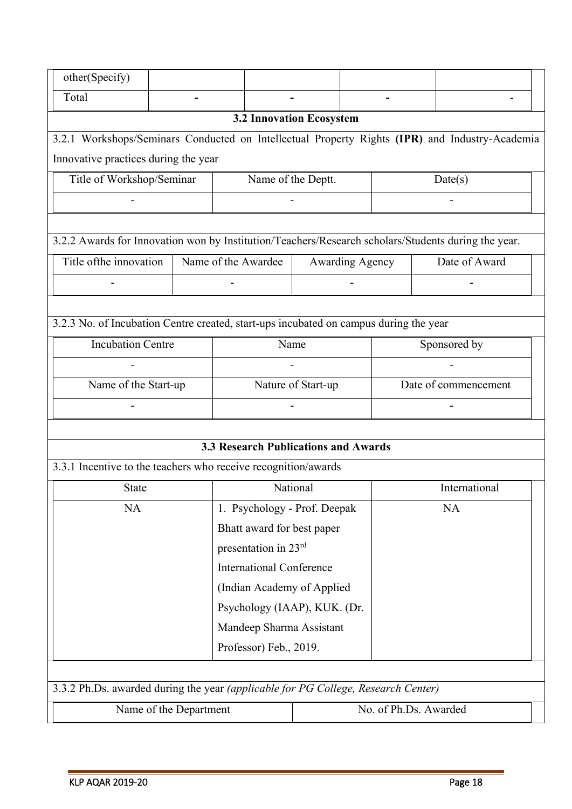| other(Specify)                                                                                      |                        |                                 |                                             |                        |  |                       |  |               |  |
|-----------------------------------------------------------------------------------------------------|------------------------|---------------------------------|---------------------------------------------|------------------------|--|-----------------------|--|---------------|--|
| Total                                                                                               |                        |                                 |                                             |                        |  |                       |  |               |  |
|                                                                                                     |                        |                                 | <b>3.2 Innovation Ecosystem</b>             |                        |  |                       |  |               |  |
| 3.2.1 Workshops/Seminars Conducted on Intellectual Property Rights (IPR) and Industry-Academia      |                        |                                 |                                             |                        |  |                       |  |               |  |
| Innovative practices during the year                                                                |                        |                                 |                                             |                        |  |                       |  |               |  |
| Title of Workshop/Seminar                                                                           |                        |                                 | Name of the Deptt.                          |                        |  |                       |  | Date(s)       |  |
|                                                                                                     |                        |                                 |                                             |                        |  |                       |  |               |  |
|                                                                                                     |                        |                                 |                                             |                        |  |                       |  |               |  |
| 3.2.2 Awards for Innovation won by Institution/Teachers/Research scholars/Students during the year. |                        |                                 |                                             |                        |  |                       |  |               |  |
| Title of the innovation                                                                             |                        |                                 | Name of the Awardee                         | <b>Awarding Agency</b> |  |                       |  | Date of Award |  |
|                                                                                                     |                        |                                 |                                             |                        |  |                       |  |               |  |
|                                                                                                     |                        |                                 |                                             |                        |  |                       |  |               |  |
| 3.2.3 No. of Incubation Centre created, start-ups incubated on campus during the year               |                        |                                 |                                             |                        |  |                       |  |               |  |
| <b>Incubation Centre</b>                                                                            |                        | Name                            |                                             | Sponsored by           |  |                       |  |               |  |
|                                                                                                     |                        |                                 |                                             |                        |  |                       |  |               |  |
| Name of the Start-up                                                                                |                        | Nature of Start-up              |                                             | Date of commencement   |  |                       |  |               |  |
|                                                                                                     |                        |                                 |                                             |                        |  |                       |  |               |  |
|                                                                                                     |                        |                                 |                                             |                        |  |                       |  |               |  |
|                                                                                                     |                        |                                 | <b>3.3 Research Publications and Awards</b> |                        |  |                       |  |               |  |
| 3.3.1 Incentive to the teachers who receive recognition/awards                                      |                        |                                 |                                             |                        |  |                       |  |               |  |
| <b>State</b>                                                                                        |                        |                                 |                                             | National               |  | International         |  |               |  |
| <b>NA</b>                                                                                           |                        | 1. Psychology - Prof. Deepak    |                                             |                        |  | <b>NA</b>             |  |               |  |
|                                                                                                     |                        | Bhatt award for best paper      |                                             |                        |  |                       |  |               |  |
|                                                                                                     |                        | presentation in 23rd            |                                             |                        |  |                       |  |               |  |
|                                                                                                     |                        | <b>International Conference</b> |                                             |                        |  |                       |  |               |  |
|                                                                                                     |                        |                                 | (Indian Academy of Applied                  |                        |  |                       |  |               |  |
| Psychology (IAAP), KUK. (Dr.                                                                        |                        |                                 |                                             |                        |  |                       |  |               |  |
| Mandeep Sharma Assistant                                                                            |                        |                                 |                                             |                        |  |                       |  |               |  |
| Professor) Feb., 2019.                                                                              |                        |                                 |                                             |                        |  |                       |  |               |  |
|                                                                                                     |                        |                                 |                                             |                        |  |                       |  |               |  |
| 3.3.2 Ph.Ds. awarded during the year (applicable for PG College, Research Center)                   |                        |                                 |                                             |                        |  |                       |  |               |  |
|                                                                                                     | Name of the Department |                                 |                                             |                        |  | No. of Ph.Ds. Awarded |  |               |  |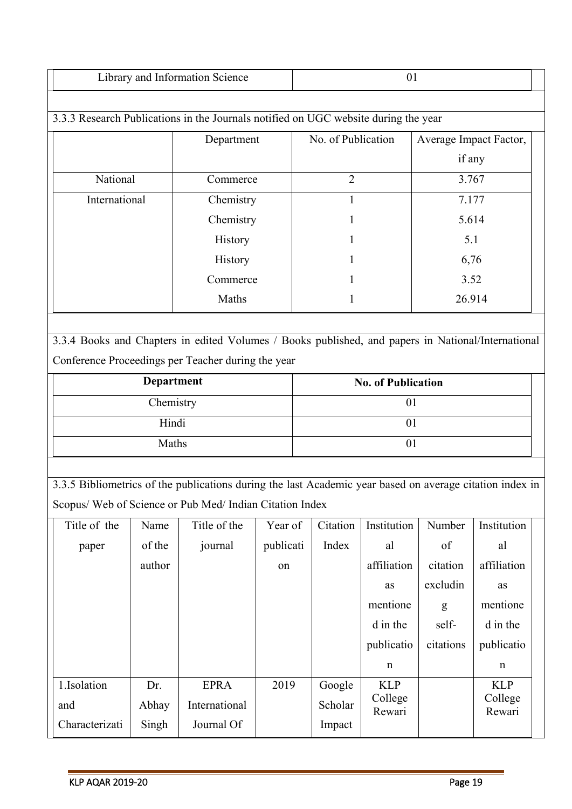| Science<br>abrary.<br>.<br>mior<br>manon<br>ang |  |
|-------------------------------------------------|--|

|               | Department | No. of Publication | Average Impact Factor, |
|---------------|------------|--------------------|------------------------|
|               |            |                    | if any                 |
| National      | Commerce   | 2                  | 3.767                  |
| International | Chemistry  |                    | 7.177                  |
|               | Chemistry  |                    | 5.614                  |
|               | History    |                    | 5.1                    |
|               | History    |                    | 6,76                   |
|               | Commerce   |                    | 3.52                   |
|               | Maths      |                    | 26.914                 |
|               |            |                    |                        |

3.3.4 Books and Chapters in edited Volumes / Books published, and papers in National/International Conference Proceedings per Teacher during the year

| <b>Department</b> | <b>No. of Publication</b> |
|-------------------|---------------------------|
| Chemistry         |                           |
| Hindi             |                           |
| Maths             |                           |

3.3.5 Bibliometrics of the publications during the last Academic year based on average citation index in Scopus/ Web of Science or Pub Med/ Indian Citation Index

| Title of the   | Name   | Title of the  | Year of   | Citation | Institution       | Number    | Institution       |  |
|----------------|--------|---------------|-----------|----------|-------------------|-----------|-------------------|--|
| paper          | of the | journal       | publicati | Index    | al                | of        | al                |  |
|                | author |               | on        |          | affiliation       | citation  | affiliation       |  |
|                |        |               |           |          | <b>as</b>         | excludin  | <b>as</b>         |  |
|                |        |               |           |          | mentione          | g         | mentione          |  |
|                |        |               |           |          | d in the          | self-     | d in the          |  |
|                |        |               |           |          | publicatio        | citations | publicatio        |  |
|                |        |               |           |          | $\mathbf n$       |           | $\mathbf n$       |  |
| 1.Isolation    | Dr.    | <b>EPRA</b>   | 2019      | Google   | <b>KLP</b>        |           | <b>KLP</b>        |  |
| and            | Abhay  | International |           | Scholar  | College<br>Rewari |           | College<br>Rewari |  |
| Characterizati | Singh  | Journal Of    |           | Impact   |                   |           |                   |  |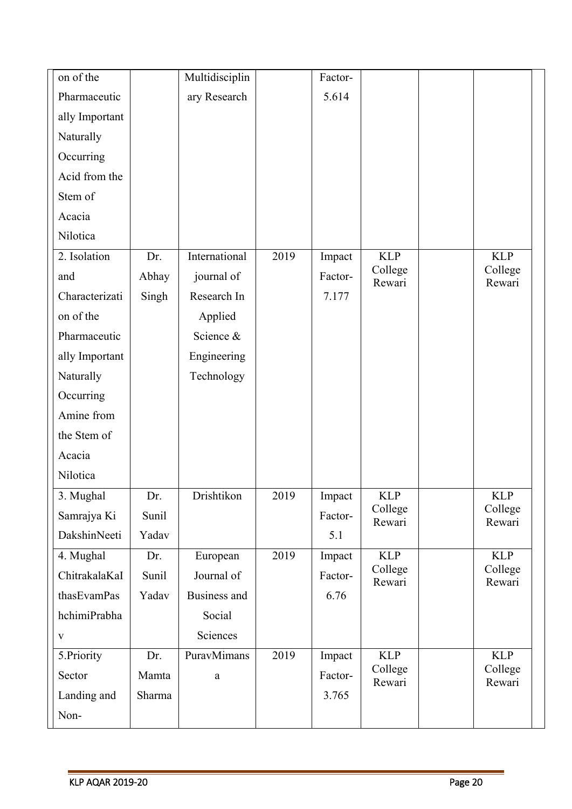| on of the      |        | Multidisciplin |      | Factor- |                   |                   |
|----------------|--------|----------------|------|---------|-------------------|-------------------|
| Pharmaceutic   |        | ary Research   |      | 5.614   |                   |                   |
| ally Important |        |                |      |         |                   |                   |
| Naturally      |        |                |      |         |                   |                   |
| Occurring      |        |                |      |         |                   |                   |
| Acid from the  |        |                |      |         |                   |                   |
| Stem of        |        |                |      |         |                   |                   |
| Acacia         |        |                |      |         |                   |                   |
| Nilotica       |        |                |      |         |                   |                   |
| 2. Isolation   | Dr.    | International  | 2019 | Impact  | <b>KLP</b>        | <b>KLP</b>        |
| and            | Abhay  | journal of     |      | Factor- | College<br>Rewari | College<br>Rewari |
| Characterizati | Singh  | Research In    |      | 7.177   |                   |                   |
| on of the      |        | Applied        |      |         |                   |                   |
| Pharmaceutic   |        | Science &      |      |         |                   |                   |
| ally Important |        | Engineering    |      |         |                   |                   |
| Naturally      |        | Technology     |      |         |                   |                   |
| Occurring      |        |                |      |         |                   |                   |
| Amine from     |        |                |      |         |                   |                   |
| the Stem of    |        |                |      |         |                   |                   |
| Acacia         |        |                |      |         |                   |                   |
| Nilotica       |        |                |      |         |                   |                   |
| 3. Mughal      | Dr.    | Drishtikon     | 2019 | Impact  | <b>KLP</b>        | <b>KLP</b>        |
| Samrajya Ki    | Sunil  |                |      | Factor- | College<br>Rewari | College<br>Rewari |
| DakshinNeeti   | Yadav  |                |      | 5.1     |                   |                   |
| 4. Mughal      | Dr.    | European       | 2019 | Impact  | <b>KLP</b>        | <b>KLP</b>        |
| ChitrakalaKaI  | Sunil  | Journal of     |      | Factor- | College<br>Rewari | College<br>Rewari |
| thasEvamPas    | Yadav  | Business and   |      | 6.76    |                   |                   |
| hchimiPrabha   |        | Social         |      |         |                   |                   |
| $\mathbf{V}$   |        | Sciences       |      |         |                   |                   |
| 5.Priority     | Dr.    | PuravMimans    | 2019 | Impact  | <b>KLP</b>        | <b>KLP</b>        |
| Sector         | Mamta  | $\rm{a}$       |      | Factor- | College<br>Rewari | College<br>Rewari |
| Landing and    | Sharma |                |      | 3.765   |                   |                   |
| Non-           |        |                |      |         |                   |                   |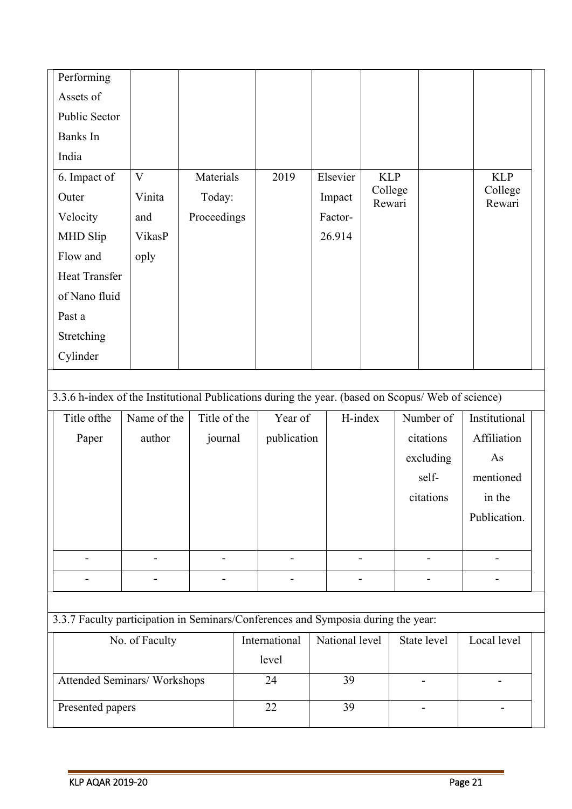| Performing    |              |             |      |          |                   |                   |  |
|---------------|--------------|-------------|------|----------|-------------------|-------------------|--|
| Assets of     |              |             |      |          |                   |                   |  |
| Public Sector |              |             |      |          |                   |                   |  |
| Banks In      |              |             |      |          |                   |                   |  |
| India         |              |             |      |          |                   |                   |  |
| 6. Impact of  | $\mathbf{V}$ | Materials   | 2019 | Elsevier | <b>KLP</b>        | <b>KLP</b>        |  |
| Outer         | Vinita       | Today:      |      | Impact   | College<br>Rewari | College<br>Rewari |  |
| Velocity      | and          | Proceedings |      | Factor-  |                   |                   |  |
| MHD Slip      | VikasP       |             |      | 26.914   |                   |                   |  |
| Flow and      | oply         |             |      |          |                   |                   |  |
| Heat Transfer |              |             |      |          |                   |                   |  |
| of Nano fluid |              |             |      |          |                   |                   |  |
| Past a        |              |             |      |          |                   |                   |  |
| Stretching    |              |             |      |          |                   |                   |  |
| Cylinder      |              |             |      |          |                   |                   |  |
|               |              |             |      |          |                   |                   |  |

3.3.6 h-index of the Institutional Publications during the year. (based on Scopus/ Web of science)

| Title of the | Name of the | Title of the | Year of     | H-index | Number of | Institutional |
|--------------|-------------|--------------|-------------|---------|-----------|---------------|
| Paper        | author      | journal      | publication |         | citations | Affiliation   |
|              |             |              |             |         | excluding | As            |
|              |             |              |             |         | self-     | mentioned     |
|              |             |              |             |         | citations | in the        |
|              |             |              |             |         |           | Publication.  |
|              |             |              |             |         |           |               |
|              |             | -            |             |         | -         |               |
|              |             |              |             |         |           |               |

3.3.7 Faculty participation in Seminars/Conferences and Symposia during the year:

| No. of Faculty              | International | National level | State level | Local level |
|-----------------------------|---------------|----------------|-------------|-------------|
|                             | level         |                |             |             |
| Attended Seminars/Workshops | 24            | 39             |             |             |
| Presented papers            | 22            |                | ۰           |             |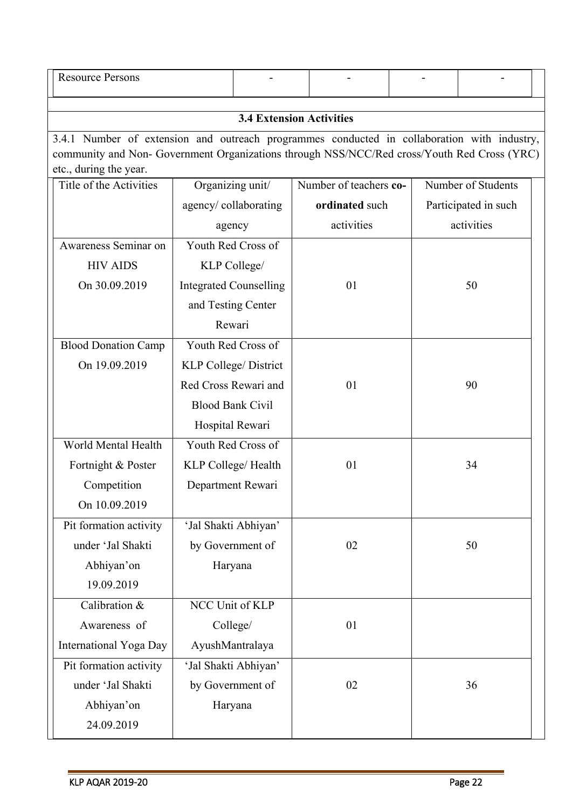| <b>Resource Persons</b>                                                                                                                                                                                              |                                 |  |                        |  |                      |  |  |  |  |
|----------------------------------------------------------------------------------------------------------------------------------------------------------------------------------------------------------------------|---------------------------------|--|------------------------|--|----------------------|--|--|--|--|
|                                                                                                                                                                                                                      | <b>3.4 Extension Activities</b> |  |                        |  |                      |  |  |  |  |
| 3.4.1 Number of extension and outreach programmes conducted in collaboration with industry,<br>community and Non- Government Organizations through NSS/NCC/Red cross/Youth Red Cross (YRC)<br>etc., during the year. |                                 |  |                        |  |                      |  |  |  |  |
| Title of the Activities                                                                                                                                                                                              | Organizing unit/                |  | Number of teachers co- |  | Number of Students   |  |  |  |  |
|                                                                                                                                                                                                                      | agency/collaborating            |  | ordinated such         |  | Participated in such |  |  |  |  |
|                                                                                                                                                                                                                      | agency                          |  | activities             |  | activities           |  |  |  |  |
| Awareness Seminar on                                                                                                                                                                                                 | Youth Red Cross of              |  |                        |  |                      |  |  |  |  |
| <b>HIV AIDS</b>                                                                                                                                                                                                      | KLP College/                    |  |                        |  |                      |  |  |  |  |
| On 30.09.2019                                                                                                                                                                                                        | <b>Integrated Counselling</b>   |  | 01                     |  | 50                   |  |  |  |  |
|                                                                                                                                                                                                                      | and Testing Center              |  |                        |  |                      |  |  |  |  |
|                                                                                                                                                                                                                      | Rewari                          |  |                        |  |                      |  |  |  |  |
| <b>Blood Donation Camp</b>                                                                                                                                                                                           | Youth Red Cross of              |  |                        |  |                      |  |  |  |  |
| On 19.09.2019                                                                                                                                                                                                        | <b>KLP College/ District</b>    |  |                        |  |                      |  |  |  |  |
|                                                                                                                                                                                                                      | Red Cross Rewari and            |  | 01                     |  | 90                   |  |  |  |  |
|                                                                                                                                                                                                                      | <b>Blood Bank Civil</b>         |  |                        |  |                      |  |  |  |  |
|                                                                                                                                                                                                                      | Hospital Rewari                 |  |                        |  |                      |  |  |  |  |
| World Mental Health                                                                                                                                                                                                  | Youth Red Cross of              |  |                        |  |                      |  |  |  |  |
| Fortnight & Poster                                                                                                                                                                                                   | KLP College/ Health             |  | 01                     |  | 34                   |  |  |  |  |
| Competition                                                                                                                                                                                                          | Department Rewari               |  |                        |  |                      |  |  |  |  |
| On 10.09.2019                                                                                                                                                                                                        |                                 |  |                        |  |                      |  |  |  |  |
| Pit formation activity                                                                                                                                                                                               | 'Jal Shakti Abhiyan'            |  |                        |  |                      |  |  |  |  |
| under 'Jal Shakti                                                                                                                                                                                                    | by Government of                |  | 02                     |  | 50                   |  |  |  |  |
| Abhiyan'on                                                                                                                                                                                                           | Haryana                         |  |                        |  |                      |  |  |  |  |
| 19.09.2019                                                                                                                                                                                                           |                                 |  |                        |  |                      |  |  |  |  |
| Calibration &                                                                                                                                                                                                        | NCC Unit of KLP                 |  |                        |  |                      |  |  |  |  |
| Awareness of                                                                                                                                                                                                         | College/                        |  | 01                     |  |                      |  |  |  |  |
| International Yoga Day                                                                                                                                                                                               | AyushMantralaya                 |  |                        |  |                      |  |  |  |  |
| Pit formation activity                                                                                                                                                                                               | 'Jal Shakti Abhiyan'            |  |                        |  |                      |  |  |  |  |
| under 'Jal Shakti                                                                                                                                                                                                    | by Government of                |  | 02                     |  | 36                   |  |  |  |  |
| Abhiyan'on                                                                                                                                                                                                           | Haryana                         |  |                        |  |                      |  |  |  |  |
| 24.09.2019                                                                                                                                                                                                           |                                 |  |                        |  |                      |  |  |  |  |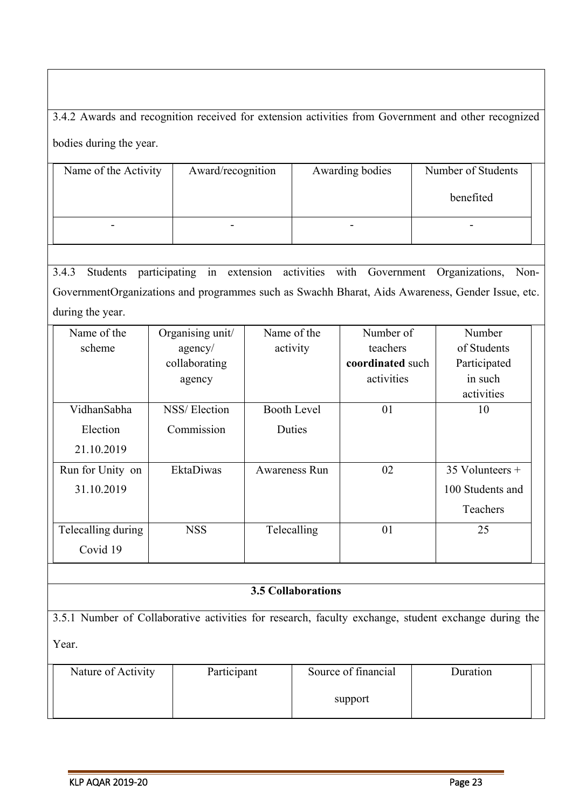3.4.2 Awards and recognition received for extension activities from Government and other recognized bodies during the year.

| Name of the Activity | Award/recognition | Awarding bodies | Number of Students |  |
|----------------------|-------------------|-----------------|--------------------|--|
|                      |                   |                 | benefited          |  |
| -                    |                   |                 |                    |  |

3.4.3 Students participating in extension activities with Government Organizations, Non-GovernmentOrganizations and programmes such as Swachh Bharat, Aids Awareness, Gender Issue, etc. during the year.

| Name of the        | Organising unit/ | Name of the          | Number of        | Number            |
|--------------------|------------------|----------------------|------------------|-------------------|
| scheme             | agency/          | activity             | teachers         | of Students       |
|                    | collaborating    |                      | coordinated such | Participated      |
|                    | agency           |                      | activities       | in such           |
|                    |                  |                      |                  | activities        |
| VidhanSabha        | NSS/Election     | Booth Level          | 01               | 10                |
| Election           | Commission       | Duties               |                  |                   |
| 21.10.2019         |                  |                      |                  |                   |
| Run for Unity on   | <b>EktaDiwas</b> | <b>Awareness Run</b> | 02               | $35$ Volunteers + |
| 31.10.2019         |                  |                      |                  | 100 Students and  |
|                    |                  |                      |                  | Teachers          |
| Telecalling during | <b>NSS</b>       | Telecalling          | 01               | 25                |
| Covid 19           |                  |                      |                  |                   |

## **3.5 Collaborations**

3.5.1 Number of Collaborative activities for research, faculty exchange, student exchange during the Year.

| Nature of Activity | Participant | Source of financial | Duration |
|--------------------|-------------|---------------------|----------|
|                    |             | support             |          |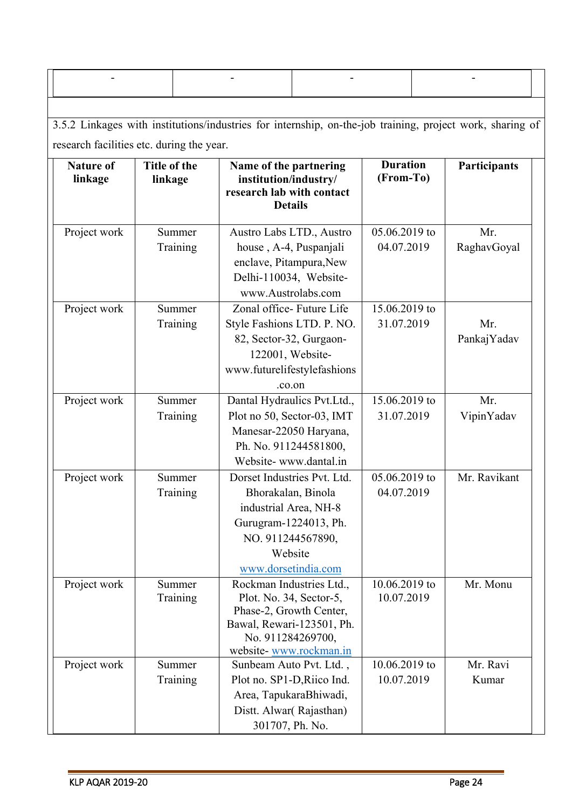3.5.2 Linkages with institutions/industries for internship, on-the-job training, project work, sharing of research facilities etc. during the year.

| <b>Nature of</b><br>linkage | Title of the<br>linkage | Name of the partnering<br>institution/industry/<br>research lab with contact<br><b>Details</b> | <b>Duration</b><br>(From-To) | Participants |
|-----------------------------|-------------------------|------------------------------------------------------------------------------------------------|------------------------------|--------------|
| Project work                | Summer                  | Austro Labs LTD., Austro                                                                       | 05.06.2019 to                | Mr.          |
|                             | Training                | house, A-4, Puspanjali                                                                         | 04.07.2019                   | RaghavGoyal  |
|                             |                         | enclave, Pitampura, New                                                                        |                              |              |
|                             |                         | Delhi-110034, Website-                                                                         |                              |              |
|                             |                         | www.Austrolabs.com                                                                             |                              |              |
| Project work                | Summer                  | Zonal office- Future Life                                                                      | 15.06.2019 to                |              |
|                             | Training                | Style Fashions LTD. P. NO.                                                                     | 31.07.2019                   | Mr.          |
|                             |                         | 82, Sector-32, Gurgaon-                                                                        |                              | PankajYadav  |
|                             |                         | 122001, Website-                                                                               |                              |              |
|                             |                         | www.futurelifestylefashions                                                                    |                              |              |
|                             |                         | .co.on                                                                                         |                              |              |
| Project work                | Summer                  | Dantal Hydraulics Pvt.Ltd.,                                                                    | 15.06.2019 to                | Mr.          |
|                             | Training                | Plot no 50, Sector-03, IMT                                                                     | 31.07.2019                   | VipinYadav   |
|                             |                         | Manesar-22050 Haryana,                                                                         |                              |              |
|                             |                         | Ph. No. 911244581800,                                                                          |                              |              |
|                             |                         | Website-www.dantal.in                                                                          |                              |              |
| Project work                | Summer                  | Dorset Industries Pvt. Ltd.                                                                    | 05.06.2019 to                | Mr. Ravikant |
|                             | Training                | Bhorakalan, Binola                                                                             | 04.07.2019                   |              |
|                             |                         | industrial Area, NH-8                                                                          |                              |              |
|                             |                         | Gurugram-1224013, Ph.                                                                          |                              |              |
|                             |                         | NO. 911244567890,                                                                              |                              |              |
|                             |                         | Website                                                                                        |                              |              |
|                             |                         | www.dorsetindia.com                                                                            |                              |              |
| Project work                | Summer                  | Rockman Industries Ltd.                                                                        | 10.06.2019 to                | Mr. Monu     |
|                             | Training                | Plot. No. 34, Sector-5,                                                                        | 10.07.2019                   |              |
|                             |                         | Phase-2, Growth Center,                                                                        |                              |              |
|                             |                         | Bawal, Rewari-123501, Ph.<br>No. 911284269700,                                                 |                              |              |
|                             |                         | website-www.rockman.in                                                                         |                              |              |
| Project work                | Summer                  | Sunbeam Auto Pvt. Ltd.,                                                                        | 10.06.2019 to                | Mr. Ravi     |
|                             | Training                | Plot no. SP1-D, Riico Ind.                                                                     | 10.07.2019                   | Kumar        |
|                             |                         | Area, TapukaraBhiwadi,                                                                         |                              |              |
|                             |                         | Distt. Alwar(Rajasthan)                                                                        |                              |              |
|                             |                         | 301707, Ph. No.                                                                                |                              |              |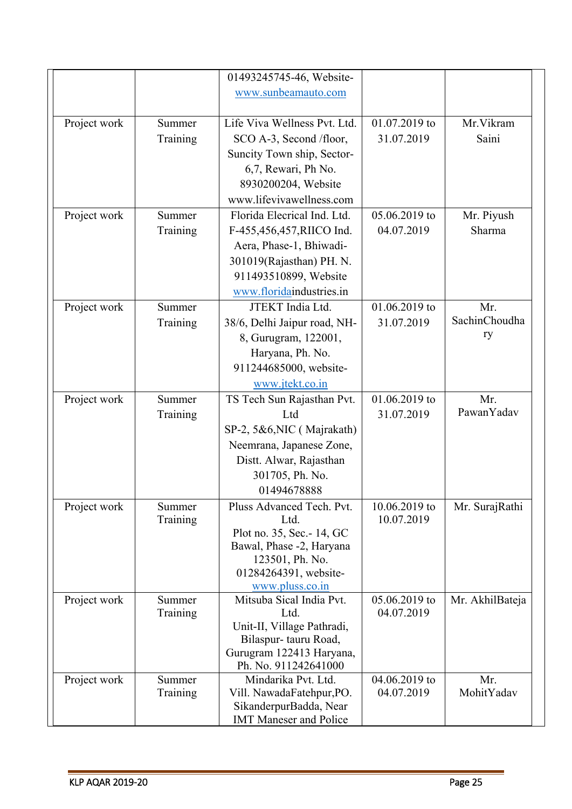|              |                    | 01493245745-46, Website-         |                             |                 |
|--------------|--------------------|----------------------------------|-----------------------------|-----------------|
|              |                    | www.sunbeamauto.com              |                             |                 |
|              |                    |                                  |                             |                 |
| Project work | Summer             | Life Viva Wellness Pvt. Ltd.     | 01.07.2019 to               | Mr. Vikram      |
|              | Training           | SCO A-3, Second /floor,          | 31.07.2019                  | Saini           |
|              |                    | Suncity Town ship, Sector-       |                             |                 |
|              |                    | 6,7, Rewari, Ph No.              |                             |                 |
|              |                    | 8930200204, Website              |                             |                 |
|              |                    | www.lifevivawellness.com         |                             |                 |
| Project work | Summer             | Florida Elecrical Ind. Ltd.      | 05.06.2019 to               | Mr. Piyush      |
|              | Training           | F-455,456,457,RIICO Ind.         | 04.07.2019                  | Sharma          |
|              |                    |                                  |                             |                 |
|              |                    | Aera, Phase-1, Bhiwadi-          |                             |                 |
|              |                    | 301019(Rajasthan) PH. N.         |                             |                 |
|              |                    | 911493510899, Website            |                             |                 |
|              |                    | www.floridaindustries.in         |                             |                 |
| Project work | Summer             | JTEKT India Ltd.                 | 01.06.2019 to               | Mr.             |
|              | Training           | 38/6, Delhi Jaipur road, NH-     | 31.07.2019                  | SachinChoudha   |
|              |                    | 8, Gurugram, 122001,             |                             | ry              |
|              |                    | Haryana, Ph. No.                 |                             |                 |
|              |                    | 911244685000, website-           |                             |                 |
|              |                    | www.jtekt.co.in                  |                             |                 |
| Project work | Summer             | TS Tech Sun Rajasthan Pvt.       | 01.06.2019 to               | Mr.             |
|              | Training           | Ltd                              | 31.07.2019                  | PawanYadav      |
|              |                    | SP-2, 5&6, NIC (Majrakath)       |                             |                 |
|              |                    | Neemrana, Japanese Zone,         |                             |                 |
|              |                    | Distt. Alwar, Rajasthan          |                             |                 |
|              |                    | 301705, Ph. No.                  |                             |                 |
|              |                    | 01494678888                      |                             |                 |
| Project work | Summer             | Pluss Advanced Tech. Pvt.        | 10.06.2019 to               | Mr. SurajRathi  |
|              | Training           | Ltd.                             | 10.07.2019                  |                 |
|              |                    | Plot no. 35, Sec. - 14, GC       |                             |                 |
|              |                    | Bawal, Phase -2, Haryana         |                             |                 |
|              |                    | 123501, Ph. No.                  |                             |                 |
|              |                    | 01284264391, website-            |                             |                 |
|              |                    | www.pluss.co.in                  |                             |                 |
| Project work | Summer<br>Training | Mitsuba Sical India Pvt.<br>Ltd. | 05.06.2019 to<br>04.07.2019 | Mr. AkhilBateja |
|              |                    | Unit-II, Village Pathradi,       |                             |                 |
|              |                    | Bilaspur-tauru Road,             |                             |                 |
|              |                    | Gurugram 122413 Haryana,         |                             |                 |
|              |                    | Ph. No. 911242641000             |                             |                 |
| Project work | Summer             | Mindarika Pvt. Ltd.              | 04.06.2019 to               | Mr.             |
|              | Training           | Vill. NawadaFatehpur, PO.        | 04.07.2019                  | MohitYadav      |
|              |                    | SikanderpurBadda, Near           |                             |                 |
|              |                    | <b>IMT Maneser and Police</b>    |                             |                 |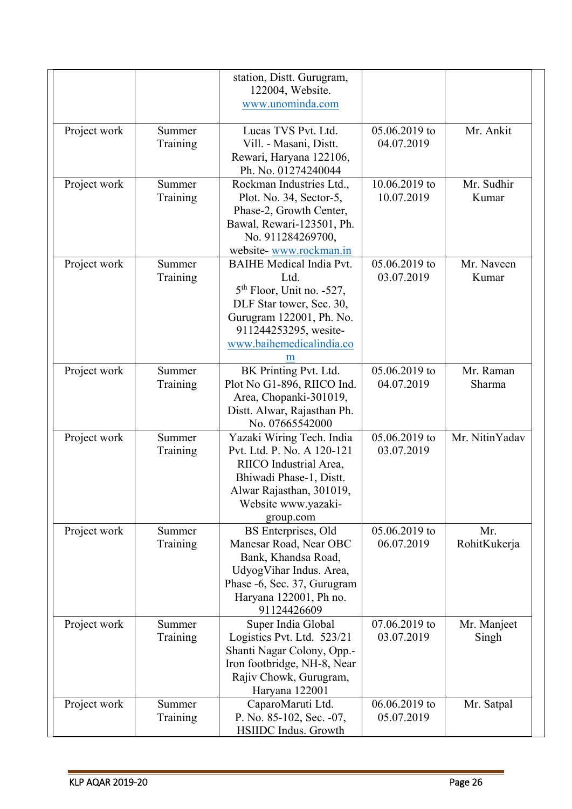|              |          | station, Distt. Gurugram,                              |               |                |
|--------------|----------|--------------------------------------------------------|---------------|----------------|
|              |          | 122004, Website.                                       |               |                |
|              |          | www.unominda.com                                       |               |                |
|              |          |                                                        |               |                |
| Project work | Summer   | Lucas TVS Pvt. Ltd.                                    | 05.06.2019 to | Mr. Ankit      |
|              | Training | Vill. - Masani, Distt.                                 | 04.07.2019    |                |
|              |          | Rewari, Haryana 122106,<br>Ph. No. 01274240044         |               |                |
|              | Summer   | Rockman Industries Ltd.,                               | 10.06.2019 to | Mr. Sudhir     |
| Project work |          | Plot. No. 34, Sector-5,                                | 10.07.2019    | Kumar          |
|              | Training | Phase-2, Growth Center,                                |               |                |
|              |          | Bawal, Rewari-123501, Ph.                              |               |                |
|              |          | No. 911284269700,                                      |               |                |
|              |          | website-www.rockman.in                                 |               |                |
| Project work | Summer   | <b>BAIHE</b> Medical India Pvt.                        | 05.06.2019 to | Mr. Naveen     |
|              | Training | Ltd.                                                   | 03.07.2019    | Kumar          |
|              |          | $5th$ Floor, Unit no. -527,                            |               |                |
|              |          | DLF Star tower, Sec. 30,                               |               |                |
|              |          | Gurugram 122001, Ph. No.                               |               |                |
|              |          | 911244253295, wesite-                                  |               |                |
|              |          | www.baihemedicalindia.co                               |               |                |
|              |          | m                                                      |               |                |
| Project work | Summer   | BK Printing Pvt. Ltd.                                  | 05.06.2019 to | Mr. Raman      |
|              | Training | Plot No G1-896, RIICO Ind.                             | 04.07.2019    | Sharma         |
|              |          | Area, Chopanki-301019,                                 |               |                |
|              |          | Distt. Alwar, Rajasthan Ph.                            |               |                |
|              |          | No. 07665542000                                        |               |                |
| Project work | Summer   | Yazaki Wiring Tech. India                              | 05.06.2019 to | Mr. NitinYadav |
|              | Training | Pvt. Ltd. P. No. A 120-121                             | 03.07.2019    |                |
|              |          | RIICO Industrial Area,                                 |               |                |
|              |          | Bhiwadi Phase-1, Distt.                                |               |                |
|              |          | Alwar Rajasthan, 301019,                               |               |                |
|              |          | Website www.yazaki-                                    |               |                |
|              |          | group.com                                              |               |                |
| Project work | Summer   | BS Enterprises, Old                                    | 05.06.2019 to | Mr.            |
|              | Training | Manesar Road, Near OBC                                 | 06.07.2019    | RohitKukerja   |
|              |          | Bank, Khandsa Road,                                    |               |                |
|              |          | UdyogVihar Indus. Area,<br>Phase -6, Sec. 37, Gurugram |               |                |
|              |          | Haryana 122001, Ph no.                                 |               |                |
|              |          | 91124426609                                            |               |                |
| Project work | Summer   | Super India Global                                     | 07.06.2019 to | Mr. Manjeet    |
|              | Training | Logistics Pvt. Ltd. 523/21                             | 03.07.2019    | Singh          |
|              |          | Shanti Nagar Colony, Opp.-                             |               |                |
|              |          | Iron footbridge, NH-8, Near                            |               |                |
|              |          | Rajiv Chowk, Gurugram,                                 |               |                |
|              |          | Haryana 122001                                         |               |                |
| Project work | Summer   | CaparoMaruti Ltd.                                      | 06.06.2019 to | Mr. Satpal     |
|              | Training | P. No. 85-102, Sec. -07,                               | 05.07.2019    |                |
|              |          | HSIIDC Indus. Growth                                   |               |                |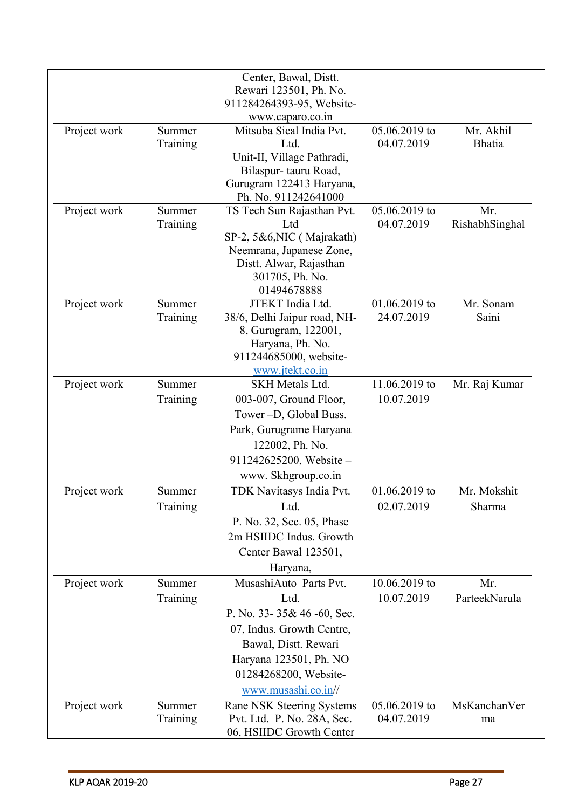|              |                    | Center, Bawal, Distt.                        |                             |                            |
|--------------|--------------------|----------------------------------------------|-----------------------------|----------------------------|
|              |                    | Rewari 123501, Ph. No.                       |                             |                            |
|              |                    | 911284264393-95, Website-                    |                             |                            |
|              |                    | www.caparo.co.in<br>Mitsuba Sical India Pvt. |                             |                            |
| Project work | Summer<br>Training | Ltd.                                         | 05.06.2019 to<br>04.07.2019 | Mr. Akhil<br><b>Bhatia</b> |
|              |                    | Unit-II, Village Pathradi,                   |                             |                            |
|              |                    | Bilaspur-tauru Road,                         |                             |                            |
|              |                    | Gurugram 122413 Haryana,                     |                             |                            |
|              |                    | Ph. No. 911242641000                         |                             |                            |
| Project work | Summer             | TS Tech Sun Rajasthan Pvt.                   | 05.06.2019 to               | Mr.                        |
|              | Training           | Ltd                                          | 04.07.2019                  | RishabhSinghal             |
|              |                    | SP-2, 5&6, NIC (Majrakath)                   |                             |                            |
|              |                    | Neemrana, Japanese Zone,                     |                             |                            |
|              |                    | Distt. Alwar, Rajasthan<br>301705, Ph. No.   |                             |                            |
|              |                    | 01494678888                                  |                             |                            |
| Project work | Summer             | JTEKT India Ltd.                             | 01.06.2019 to               | Mr. Sonam                  |
|              | Training           | 38/6, Delhi Jaipur road, NH-                 | 24.07.2019                  | Saini                      |
|              |                    | 8, Gurugram, 122001,                         |                             |                            |
|              |                    | Haryana, Ph. No.                             |                             |                            |
|              |                    | 911244685000, website-                       |                             |                            |
|              |                    | www.jtekt.co.in                              |                             |                            |
| Project work | Summer             | <b>SKH Metals Ltd.</b>                       | 11.06.2019 to               | Mr. Raj Kumar              |
|              | Training           | 003-007, Ground Floor,                       | 10.07.2019                  |                            |
|              |                    | Tower - D, Global Buss.                      |                             |                            |
|              |                    | Park, Gurugrame Haryana                      |                             |                            |
|              |                    | 122002, Ph. No.                              |                             |                            |
|              |                    | 911242625200, Website-                       |                             |                            |
|              |                    | www. Skhgroup.co.in                          |                             |                            |
| Project work | Summer             | TDK Navitasys India Pvt.                     | 01.06.2019 to               | Mr. Mokshit                |
|              | Training           | Ltd.                                         | 02.07.2019                  | Sharma                     |
|              |                    | P. No. 32, Sec. 05, Phase                    |                             |                            |
|              |                    | 2m HSIIDC Indus. Growth                      |                             |                            |
|              |                    | Center Bawal 123501,                         |                             |                            |
|              |                    | Haryana,                                     |                             |                            |
| Project work | Summer             | MusashiAuto Parts Pvt.                       | 10.06.2019 to               | Mr.                        |
|              | Training           | Ltd.                                         | 10.07.2019                  | ParteekNarula              |
|              |                    | P. No. 33-35& 46-60, Sec.                    |                             |                            |
|              |                    | 07, Indus. Growth Centre,                    |                             |                            |
|              |                    | Bawal, Distt. Rewari                         |                             |                            |
|              |                    | Haryana 123501, Ph. NO                       |                             |                            |
|              |                    | 01284268200, Website-                        |                             |                            |
|              |                    | www.musashi.co.in//                          |                             |                            |
| Project work | Summer             | Rane NSK Steering Systems                    | 05.06.2019 to               | MsKanchanVer               |
|              | Training           | Pvt. Ltd. P. No. 28A, Sec.                   | 04.07.2019                  | ma                         |
|              |                    | 06, HSIIDC Growth Center                     |                             |                            |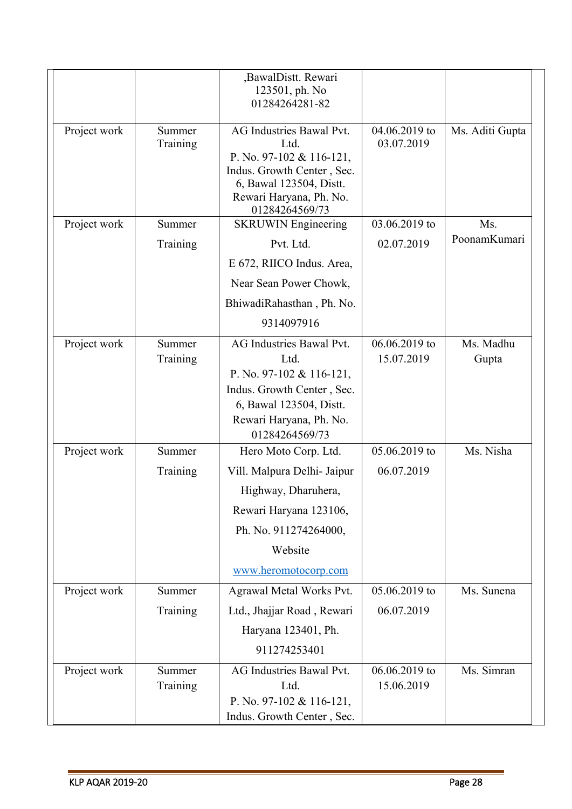|              |                    | ,BawalDistt. Rewari<br>123501, ph. No<br>01284264281-82                                                                                          |                             |                    |
|--------------|--------------------|--------------------------------------------------------------------------------------------------------------------------------------------------|-----------------------------|--------------------|
| Project work | Summer<br>Training | AG Industries Bawal Pvt.<br>Ltd.<br>P. No. 97-102 & 116-121,<br>Indus. Growth Center, Sec.<br>6, Bawal 123504, Distt.<br>Rewari Haryana, Ph. No. | 04.06.2019 to<br>03.07.2019 | Ms. Aditi Gupta    |
| Project work | Summer             | 01284264569/73<br><b>SKRUWIN</b> Engineering                                                                                                     | 03.06.2019 to               | Ms.                |
|              | Training           | Pvt. Ltd.                                                                                                                                        | 02.07.2019                  | PoonamKumari       |
|              |                    | E 672, RIICO Indus. Area,                                                                                                                        |                             |                    |
|              |                    | Near Sean Power Chowk,                                                                                                                           |                             |                    |
|              |                    | BhiwadiRahasthan, Ph. No.                                                                                                                        |                             |                    |
|              |                    | 9314097916                                                                                                                                       |                             |                    |
| Project work | Summer<br>Training | AG Industries Bawal Pvt.<br>Ltd.<br>P. No. 97-102 & 116-121,<br>Indus. Growth Center, Sec.<br>6, Bawal 123504, Distt.<br>Rewari Haryana, Ph. No. | 06.06.2019 to<br>15.07.2019 | Ms. Madhu<br>Gupta |
| Project work | Summer             | 01284264569/73<br>Hero Moto Corp. Ltd.                                                                                                           | 05.06.2019 to               | Ms. Nisha          |
|              | Training           | Vill. Malpura Delhi- Jaipur                                                                                                                      | 06.07.2019                  |                    |
|              |                    | Highway, Dharuhera,                                                                                                                              |                             |                    |
|              |                    | Rewari Haryana 123106,                                                                                                                           |                             |                    |
|              |                    | Ph. No. 911274264000,                                                                                                                            |                             |                    |
|              |                    | Website                                                                                                                                          |                             |                    |
|              |                    | www.heromotocorp.com                                                                                                                             |                             |                    |
| Project work | Summer             | Agrawal Metal Works Pvt.                                                                                                                         | 05.06.2019 to               | Ms. Sunena         |
|              | Training           | Ltd., Jhajjar Road, Rewari                                                                                                                       | 06.07.2019                  |                    |
|              |                    | Haryana 123401, Ph.                                                                                                                              |                             |                    |
|              |                    | 911274253401                                                                                                                                     |                             |                    |
| Project work | Summer<br>Training | AG Industries Bawal Pvt.<br>Ltd.                                                                                                                 | 06.06.2019 to<br>15.06.2019 | Ms. Simran         |
|              |                    | P. No. 97-102 & 116-121,<br>Indus. Growth Center, Sec.                                                                                           |                             |                    |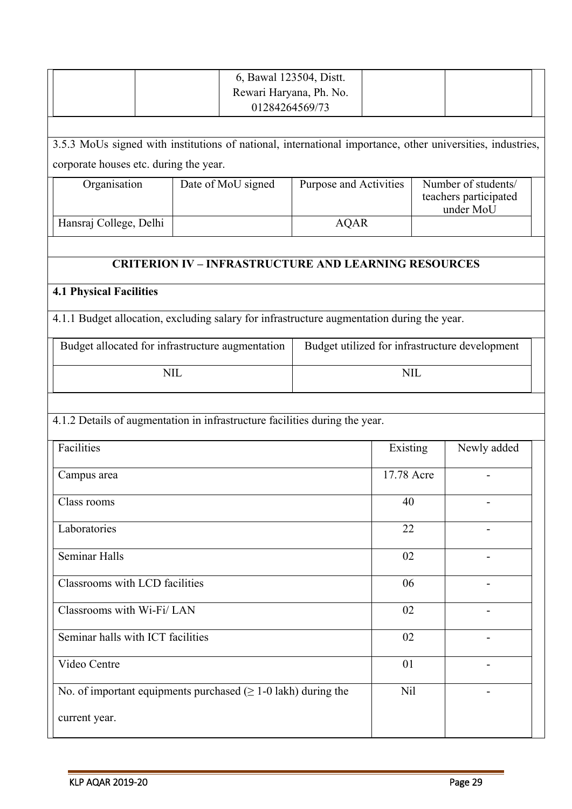|                                                                                                            | 6, Bawal 123504, Distt.<br>Rewari Haryana, Ph. No.<br>01284264569/73 |                        |                                                |                                                           |             |
|------------------------------------------------------------------------------------------------------------|----------------------------------------------------------------------|------------------------|------------------------------------------------|-----------------------------------------------------------|-------------|
|                                                                                                            |                                                                      |                        |                                                |                                                           |             |
| 3.5.3 MoUs signed with institutions of national, international importance, other universities, industries, |                                                                      |                        |                                                |                                                           |             |
| corporate houses etc. during the year.                                                                     |                                                                      |                        |                                                |                                                           |             |
| Organisation                                                                                               | Date of MoU signed                                                   | Purpose and Activities |                                                | Number of students/<br>teachers participated<br>under MoU |             |
| Hansraj College, Delhi                                                                                     |                                                                      | <b>AQAR</b>            |                                                |                                                           |             |
|                                                                                                            |                                                                      |                        |                                                |                                                           |             |
|                                                                                                            | <b>CRITERION IV - INFRASTRUCTURE AND LEARNING RESOURCES</b>          |                        |                                                |                                                           |             |
| <b>4.1 Physical Facilities</b>                                                                             |                                                                      |                        |                                                |                                                           |             |
| 4.1.1 Budget allocation, excluding salary for infrastructure augmentation during the year.                 |                                                                      |                        |                                                |                                                           |             |
| Budget allocated for infrastructure augmentation                                                           |                                                                      |                        | Budget utilized for infrastructure development |                                                           |             |
| <b>NIL</b>                                                                                                 |                                                                      |                        | <b>NIL</b>                                     |                                                           |             |
|                                                                                                            |                                                                      |                        |                                                |                                                           |             |
| 4.1.2 Details of augmentation in infrastructure facilities during the year.                                |                                                                      |                        |                                                |                                                           |             |
| Facilities                                                                                                 |                                                                      |                        | Existing                                       |                                                           | Newly added |
| Campus area                                                                                                |                                                                      |                        | 17.78 Acre                                     |                                                           |             |
| Class rooms                                                                                                |                                                                      |                        | 40                                             |                                                           |             |
| Laboratories                                                                                               |                                                                      |                        | 22                                             |                                                           |             |
| Seminar Halls                                                                                              |                                                                      |                        | 02                                             |                                                           |             |
| Classrooms with LCD facilities                                                                             |                                                                      |                        | 06                                             |                                                           |             |
| Classrooms with Wi-Fi/LAN                                                                                  |                                                                      |                        | 02                                             |                                                           |             |
| Seminar halls with ICT facilities                                                                          |                                                                      |                        | 02                                             |                                                           |             |
| Video Centre                                                                                               |                                                                      |                        | 01                                             |                                                           |             |
|                                                                                                            | No. of important equipments purchased $( \geq 1-0$ lakh) during the  |                        | Nil                                            |                                                           |             |
| current year.                                                                                              |                                                                      |                        |                                                |                                                           |             |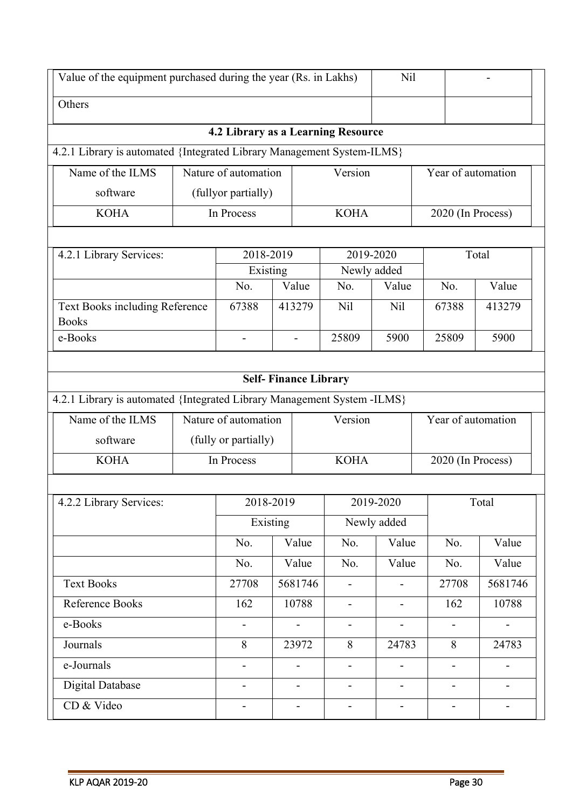| Value of the equipment purchased during the year (Rs. in Lakhs)         |  |                                    |                              |  | Nil                      |                          |                          |                |  |
|-------------------------------------------------------------------------|--|------------------------------------|------------------------------|--|--------------------------|--------------------------|--------------------------|----------------|--|
| Others                                                                  |  |                                    |                              |  |                          |                          |                          |                |  |
|                                                                         |  | 4.2 Library as a Learning Resource |                              |  |                          |                          |                          |                |  |
| 4.2.1 Library is automated {Integrated Library Management System-ILMS}  |  |                                    |                              |  |                          |                          |                          |                |  |
| Name of the ILMS                                                        |  | Nature of automation               |                              |  | Version                  |                          | Year of automation       |                |  |
| software                                                                |  | (fullyor partially)                |                              |  |                          |                          |                          |                |  |
| <b>KOHA</b>                                                             |  | In Process                         |                              |  | <b>KOHA</b>              |                          | 2020 (In Process)        |                |  |
|                                                                         |  |                                    |                              |  |                          |                          |                          |                |  |
| 4.2.1 Library Services:                                                 |  | 2018-2019                          |                              |  | 2019-2020                |                          |                          | Total          |  |
|                                                                         |  | Existing<br>No.                    | Value                        |  | Newly added<br>No.       | Value                    | No.                      | Value          |  |
|                                                                         |  |                                    |                              |  |                          |                          |                          |                |  |
| Text Books including Reference<br><b>Books</b>                          |  | 67388                              | 413279                       |  | N <sub>il</sub>          | N <sub>il</sub>          | 67388                    | 413279         |  |
| e-Books                                                                 |  | $\overline{\phantom{0}}$           | $\overline{\phantom{0}}$     |  | 25809                    | 5900                     | 25809                    | 5900           |  |
|                                                                         |  |                                    |                              |  |                          |                          |                          |                |  |
|                                                                         |  |                                    | <b>Self-Finance Library</b>  |  |                          |                          |                          |                |  |
| 4.2.1 Library is automated {Integrated Library Management System -ILMS} |  |                                    |                              |  |                          |                          |                          |                |  |
| Name of the ILMS                                                        |  | Nature of automation               |                              |  | Version                  |                          | Year of automation       |                |  |
| software                                                                |  | (fully or partially)               |                              |  |                          |                          |                          |                |  |
| <b>KOHA</b>                                                             |  | In Process                         |                              |  | <b>KOHA</b>              |                          | 2020 (In Process)        |                |  |
|                                                                         |  |                                    |                              |  |                          |                          |                          |                |  |
| 4.2.2 Library Services:                                                 |  |                                    | 2018-2019                    |  |                          | 2019-2020                |                          | Total          |  |
|                                                                         |  |                                    | Existing                     |  |                          | Newly added              |                          |                |  |
|                                                                         |  | No.                                | Value                        |  | No.                      | Value                    | No.                      | Value          |  |
|                                                                         |  | No.                                | Value                        |  | No.                      | Value                    | No.                      | Value          |  |
| <b>Text Books</b>                                                       |  | 27708                              | 5681746                      |  | $\overline{\phantom{a}}$ | $\overline{\phantom{a}}$ | 27708                    | 5681746        |  |
| Reference Books                                                         |  | 162                                | 10788                        |  | $\overline{\phantom{a}}$ | $\overline{\phantom{0}}$ | 162                      | 10788          |  |
| e-Books                                                                 |  | $\overline{a}$                     | $\overline{\phantom{m}}$     |  | $\overline{\phantom{a}}$ | $\overline{\phantom{a}}$ | $\overline{\phantom{0}}$ | $\blacksquare$ |  |
| Journals                                                                |  | 8                                  | 23972                        |  | 8                        | 24783                    | 8                        | 24783          |  |
| e-Journals                                                              |  | $\overline{\phantom{0}}$           | $\qquad \qquad \blacksquare$ |  | $\overline{\phantom{a}}$ | $\overline{\phantom{0}}$ | $\overline{\phantom{0}}$ | $\blacksquare$ |  |
| Digital Database                                                        |  |                                    |                              |  |                          |                          |                          |                |  |
| CD & Video                                                              |  |                                    |                              |  |                          |                          |                          |                |  |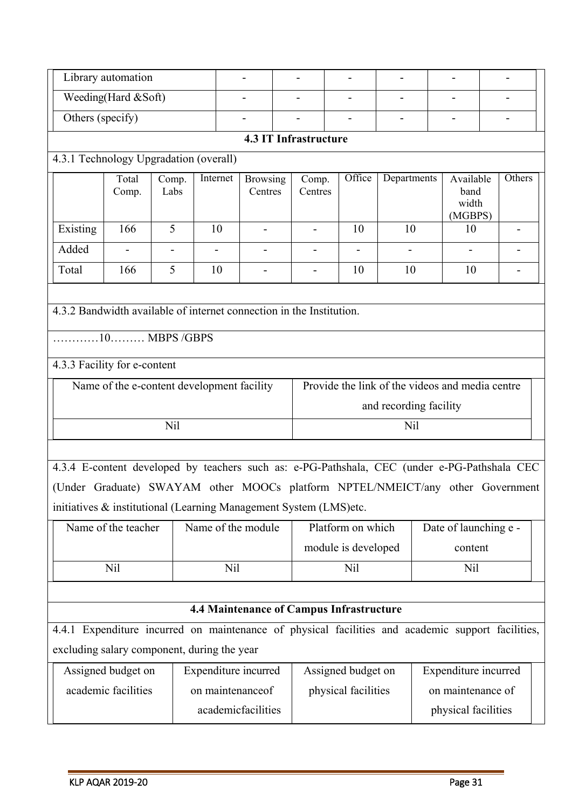|                                                                                                             | Library automation                         |               |                      |                              |                          |                                          | -                      |                                                 |                          |  |  |
|-------------------------------------------------------------------------------------------------------------|--------------------------------------------|---------------|----------------------|------------------------------|--------------------------|------------------------------------------|------------------------|-------------------------------------------------|--------------------------|--|--|
|                                                                                                             | Weeding(Hard &Soft)                        |               |                      |                              |                          |                                          |                        |                                                 |                          |  |  |
| Others (specify)                                                                                            |                                            |               |                      |                              |                          |                                          |                        |                                                 |                          |  |  |
|                                                                                                             | <b>4.3 IT Infrastructure</b>               |               |                      |                              |                          |                                          |                        |                                                 |                          |  |  |
| 4.3.1 Technology Upgradation (overall)                                                                      |                                            |               |                      |                              |                          |                                          |                        |                                                 |                          |  |  |
|                                                                                                             | Total<br>Comp.                             | Comp.<br>Labs | Internet             | <b>Browsing</b><br>Centres   | Comp.<br>Centres         | Office                                   | Departments            | Available<br>band<br>width<br>(MGBPS)           | Others                   |  |  |
| Existing                                                                                                    | 166                                        | 5             | 10                   | $\overline{\phantom{a}}$     | $\overline{\phantom{a}}$ | 10                                       | 10                     | 10                                              | $\overline{\phantom{a}}$ |  |  |
| Added                                                                                                       |                                            |               |                      |                              |                          |                                          |                        |                                                 |                          |  |  |
| Total                                                                                                       | 166                                        | 5             | 10                   | $\qquad \qquad \blacksquare$ | -                        | 10                                       | 10                     | 10                                              |                          |  |  |
| 4.3.2 Bandwidth available of internet connection in the Institution.<br>$\ldots$ $10$ , $\ldots$ MBPS /GBPS |                                            |               |                      |                              |                          |                                          |                        |                                                 |                          |  |  |
| 4.3.3 Facility for e-content                                                                                | Name of the e-content development facility |               |                      |                              |                          |                                          |                        | Provide the link of the videos and media centre |                          |  |  |
|                                                                                                             |                                            |               |                      |                              |                          |                                          | and recording facility |                                                 |                          |  |  |
|                                                                                                             |                                            | Nil           |                      |                              |                          | Nil                                      |                        |                                                 |                          |  |  |
|                                                                                                             |                                            |               |                      |                              |                          |                                          |                        |                                                 |                          |  |  |
| 4.3.4 E-content developed by teachers such as: e-PG-Pathshala, CEC (under e-PG-Pathshala CEC                |                                            |               |                      |                              |                          |                                          |                        |                                                 |                          |  |  |
| (Under Graduate) SWAYAM other MOOCs platform NPTEL/NMEICT/any other Government                              |                                            |               |                      |                              |                          |                                          |                        |                                                 |                          |  |  |
| initiatives & institutional (Learning Management System (LMS)etc.                                           |                                            |               |                      |                              |                          |                                          |                        |                                                 |                          |  |  |
|                                                                                                             | Name of the teacher                        |               | Name of the module   |                              |                          | Platform on which                        |                        | Date of launching e -                           |                          |  |  |
|                                                                                                             |                                            |               |                      |                              |                          | module is developed                      |                        | content                                         |                          |  |  |
|                                                                                                             | Nil                                        |               | Nil                  |                              |                          | Nil                                      |                        | N <sub>il</sub>                                 |                          |  |  |
|                                                                                                             |                                            |               |                      |                              |                          |                                          |                        |                                                 |                          |  |  |
|                                                                                                             |                                            |               |                      |                              |                          | 4.4 Maintenance of Campus Infrastructure |                        |                                                 |                          |  |  |
| 4.4.1 Expenditure incurred on maintenance of physical facilities and academic support facilities,           |                                            |               |                      |                              |                          |                                          |                        |                                                 |                          |  |  |
| excluding salary component, during the year                                                                 |                                            |               |                      |                              |                          |                                          |                        |                                                 |                          |  |  |
|                                                                                                             | Assigned budget on                         |               | Expenditure incurred |                              |                          | Assigned budget on                       |                        | Expenditure incurred                            |                          |  |  |
|                                                                                                             | academic facilities                        |               | on maintenanceof     |                              |                          | physical facilities                      |                        | on maintenance of                               |                          |  |  |
|                                                                                                             |                                            |               | academicfacilities   |                              |                          |                                          |                        | physical facilities                             |                          |  |  |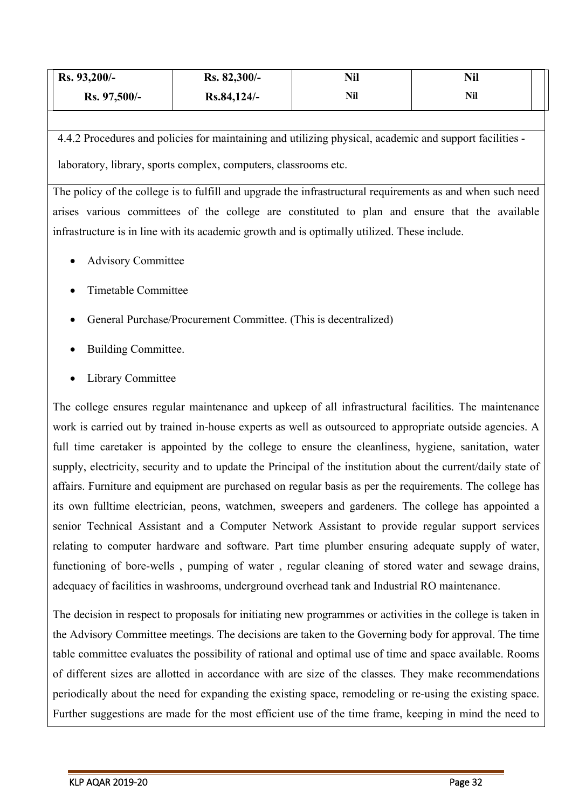| Rs. 93,200/- | Rs. 82,300/- | Nil | Nil |  |
|--------------|--------------|-----|-----|--|
| Rs. 97,500/- | Rs.84,124/-  | Nil | Nil |  |

4.4.2 Procedures and policies for maintaining and utilizing physical, academic and support facilities laboratory, library, sports complex, computers, classrooms etc.

The policy of the college is to fulfill and upgrade the infrastructural requirements as and when such need arises various committees of the college are constituted to plan and ensure that the available infrastructure is in line with its academic growth and is optimally utilized. These include.

- Advisory Committee
- Timetable Committee
- General Purchase/Procurement Committee. (This is decentralized)
- Building Committee.
- Library Committee

The college ensures regular maintenance and upkeep of all infrastructural facilities. The maintenance work is carried out by trained in-house experts as well as outsourced to appropriate outside agencies. A full time caretaker is appointed by the college to ensure the cleanliness, hygiene, sanitation, water supply, electricity, security and to update the Principal of the institution about the current/daily state of affairs. Furniture and equipment are purchased on regular basis as per the requirements. The college has its own fulltime electrician, peons, watchmen, sweepers and gardeners. The college has appointed a senior Technical Assistant and a Computer Network Assistant to provide regular support services relating to computer hardware and software. Part time plumber ensuring adequate supply of water, functioning of bore-wells , pumping of water , regular cleaning of stored water and sewage drains, adequacy of facilities in washrooms, underground overhead tank and Industrial RO maintenance.

The decision in respect to proposals for initiating new programmes or activities in the college is taken in the Advisory Committee meetings. The decisions are taken to the Governing body for approval. The time table committee evaluates the possibility of rational and optimal use of time and space available. Rooms of different sizes are allotted in accordance with are size of the classes. They make recommendations periodically about the need for expanding the existing space, remodeling or re-using the existing space. Further suggestions are made for the most efficient use of the time frame, keeping in mind the need to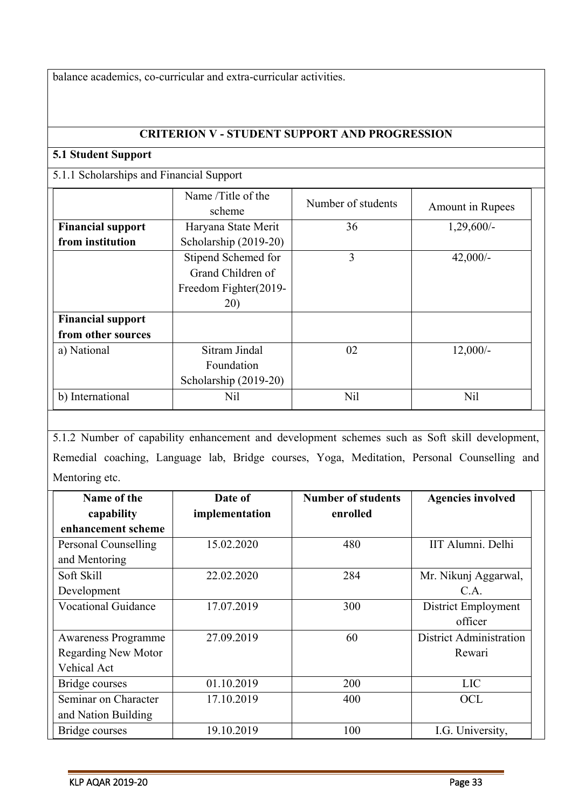balance academics, co-curricular and extra-curricular activities.

#### **CRITERION V - STUDENT SUPPORT AND PROGRESSION**

#### **5.1 Student Support**

## 5.1.1 Scholarships and Financial Support

|                          | Name /Title of the<br>scheme | Number of students | Amount in Rupees |
|--------------------------|------------------------------|--------------------|------------------|
| <b>Financial support</b> | Haryana State Merit          | 36                 | $1,29,600/-$     |
| from institution         | Scholarship (2019-20)        |                    |                  |
|                          | Stipend Schemed for          | 3                  | $42,000/-$       |
|                          | Grand Children of            |                    |                  |
|                          | Freedom Fighter(2019-        |                    |                  |
|                          | 20)                          |                    |                  |
| <b>Financial support</b> |                              |                    |                  |
| from other sources       |                              |                    |                  |
| a) National              | Sitram Jindal                | 02                 | $12,000/-$       |
|                          | Foundation                   |                    |                  |
|                          | Scholarship (2019-20)        |                    |                  |
| b) International         | Nil                          | Nil                | N <sub>il</sub>  |

5.1.2 Number of capability enhancement and development schemes such as Soft skill development, Remedial coaching, Language lab, Bridge courses, Yoga, Meditation, Personal Counselling and Mentoring etc.

| Name of the                | Date of        | <b>Number of students</b> | <b>Agencies involved</b> |
|----------------------------|----------------|---------------------------|--------------------------|
| capability                 | implementation | enrolled                  |                          |
| enhancement scheme         |                |                           |                          |
| Personal Counselling       | 15.02.2020     | 480                       | IIT Alumni. Delhi        |
| and Mentoring              |                |                           |                          |
| Soft Skill                 | 22.02.2020     | 284                       | Mr. Nikunj Aggarwal,     |
| Development                |                |                           | C.A.                     |
| <b>Vocational Guidance</b> | 17.07.2019     | 300                       | District Employment      |
|                            |                |                           | officer                  |
| <b>Awareness Programme</b> | 27.09.2019     | 60                        | District Administration  |
| <b>Regarding New Motor</b> |                |                           | Rewari                   |
| Vehical Act                |                |                           |                          |
| Bridge courses             | 01.10.2019     | 200                       | <b>LIC</b>               |
| Seminar on Character       | 17.10.2019     | 400                       | <b>OCL</b>               |
| and Nation Building        |                |                           |                          |
| Bridge courses             | 19.10.2019     | 100                       | I.G. University,         |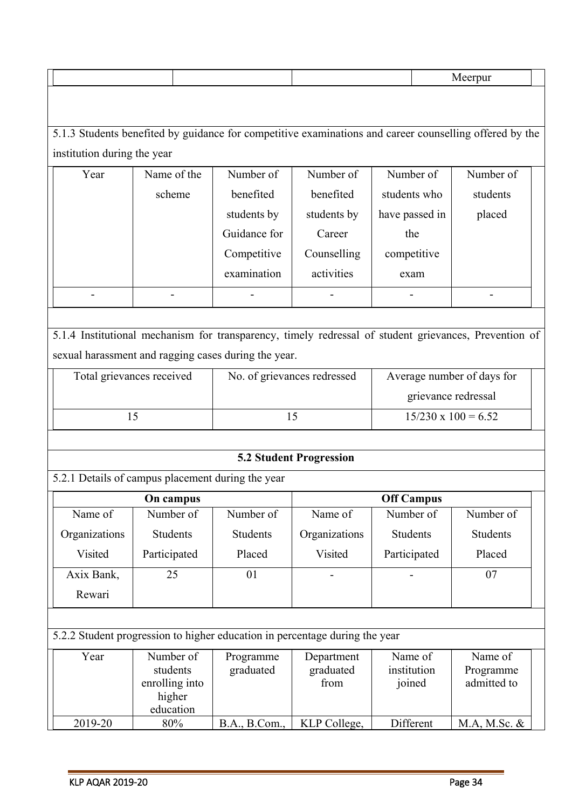5.1.3 Students benefited by guidance for competitive examinations and career counselling offered by the institution during the year

| Year                     | Name of the              | Number of    | Number of   | Number of      | Number of |  |
|--------------------------|--------------------------|--------------|-------------|----------------|-----------|--|
|                          | scheme                   | benefited    | benefited   | students who   | students  |  |
|                          |                          | students by  | students by | have passed in | placed    |  |
|                          |                          | Guidance for | Career      | the            |           |  |
|                          |                          | Competitive  | Counselling | competitive    |           |  |
|                          |                          | examination  | activities  | exam           |           |  |
| $\overline{\phantom{a}}$ | $\overline{\phantom{a}}$ | -            | ۰           | -              |           |  |

5.1.4 Institutional mechanism for transparency, timely redressal of student grievances, Prevention of sexual harassment and ragging cases during the year.

| Total grievances received | No. of grievances redressed | Average number of days for |
|---------------------------|-----------------------------|----------------------------|
|                           |                             | grievance redressal        |
|                           |                             | $15/230 \times 100 = 6.52$ |

## **5.2 Student Progression**

5.2.1 Details of campus placement during the year

| On campus     |                 |           | <b>Off Campus</b>        |              |           |  |
|---------------|-----------------|-----------|--------------------------|--------------|-----------|--|
| Name of       | Number of       | Number of | Name of                  | Number of    | Number of |  |
| Organizations | <b>Students</b> | Students  | Organizations            | Students     | Students  |  |
| Visited       | Participated    | Placed    | Visited                  | Participated | Placed    |  |
| Axix Bank,    | 25              | 01        | $\overline{\phantom{a}}$ | ۰            | 07        |  |
| Rewari        |                 |           |                          |              |           |  |

|         | 5.2.2 Student progression to higher education in percentage during the year |                        |                                 |                                  |                                     |  |
|---------|-----------------------------------------------------------------------------|------------------------|---------------------------------|----------------------------------|-------------------------------------|--|
| Year    | Number of<br>students<br>enrolling into<br>higher<br>education              | Programme<br>graduated | Department<br>graduated<br>from | Name of<br>institution<br>joined | Name of<br>Programme<br>admitted to |  |
| 2019-20 | 80%                                                                         | B.A., B.Com.,          | KLP College,                    | Different                        | $M.A, M.Sc. \&$                     |  |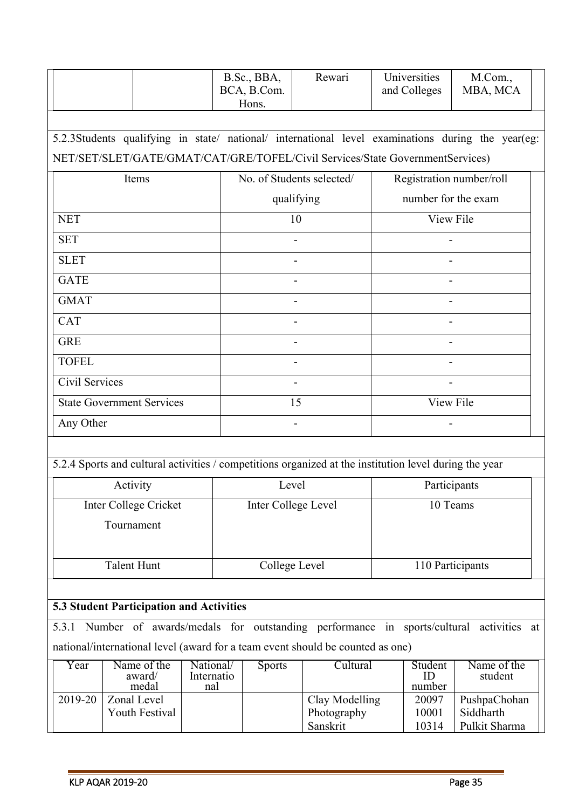|                                                                                |                                                                                                        | B.Sc., BBA,<br>BCA, B.Com.<br>Hons. | Rewari                    | Universities<br>and Colleges | M.Com.,<br>MBA, MCA                                                                               |  |
|--------------------------------------------------------------------------------|--------------------------------------------------------------------------------------------------------|-------------------------------------|---------------------------|------------------------------|---------------------------------------------------------------------------------------------------|--|
|                                                                                | NET/SET/SLET/GATE/GMAT/CAT/GRE/TOFEL/Civil Services/State GovernmentServices)                          |                                     |                           |                              | 5.2.3Students qualifying in state/ national/ international level examinations during the year(eg: |  |
|                                                                                | Items                                                                                                  |                                     | No. of Students selected/ | Registration number/roll     |                                                                                                   |  |
|                                                                                |                                                                                                        |                                     | qualifying                | number for the exam          |                                                                                                   |  |
| <b>NET</b>                                                                     |                                                                                                        |                                     | 10                        | View File                    |                                                                                                   |  |
| <b>SET</b>                                                                     |                                                                                                        |                                     |                           |                              |                                                                                                   |  |
| <b>SLET</b>                                                                    |                                                                                                        |                                     |                           |                              |                                                                                                   |  |
| <b>GATE</b>                                                                    |                                                                                                        |                                     |                           |                              |                                                                                                   |  |
| <b>GMAT</b>                                                                    |                                                                                                        |                                     |                           |                              |                                                                                                   |  |
| <b>CAT</b>                                                                     |                                                                                                        |                                     |                           |                              |                                                                                                   |  |
| <b>GRE</b>                                                                     |                                                                                                        |                                     |                           |                              |                                                                                                   |  |
| <b>TOFEL</b>                                                                   |                                                                                                        |                                     |                           |                              |                                                                                                   |  |
| Civil Services                                                                 |                                                                                                        |                                     |                           |                              |                                                                                                   |  |
| <b>State Government Services</b>                                               |                                                                                                        |                                     | 15                        | View File                    |                                                                                                   |  |
| Any Other                                                                      |                                                                                                        |                                     |                           |                              |                                                                                                   |  |
|                                                                                | 5.2.4 Sports and cultural activities / competitions organized at the institution level during the year |                                     |                           |                              |                                                                                                   |  |
|                                                                                | Activity                                                                                               | Level                               |                           |                              | Participants                                                                                      |  |
|                                                                                | Inter College Cricket                                                                                  | Inter College Level                 |                           |                              | 10 Teams                                                                                          |  |
|                                                                                | Tournament                                                                                             |                                     |                           |                              |                                                                                                   |  |
|                                                                                | <b>Talent Hunt</b>                                                                                     | College Level                       |                           |                              | 110 Participants                                                                                  |  |
|                                                                                |                                                                                                        |                                     |                           |                              |                                                                                                   |  |
|                                                                                | 5.3 Student Participation and Activities                                                               |                                     |                           |                              |                                                                                                   |  |
| 5.3.1                                                                          | Number of awards/medals for outstanding performance in sports/cultural                                 |                                     |                           |                              | activities at                                                                                     |  |
| national/international level (award for a team event should be counted as one) |                                                                                                        |                                     |                           |                              |                                                                                                   |  |

| ear         | Name of the<br>award/<br>medal | National/<br>Internatio<br>nal | <b>Sports</b> | Jultural       | Student<br>number | Name of the<br>student |
|-------------|--------------------------------|--------------------------------|---------------|----------------|-------------------|------------------------|
| $2019 - 20$ | Zonal Level                    |                                |               | Clay Modelling | 20097             | PushpaChohan           |
|             | Youth Festival                 |                                |               | Photography    | 10001             | Siddharth              |
|             |                                |                                |               | Sanskrit       | 10314             | Pulkit Sharma          |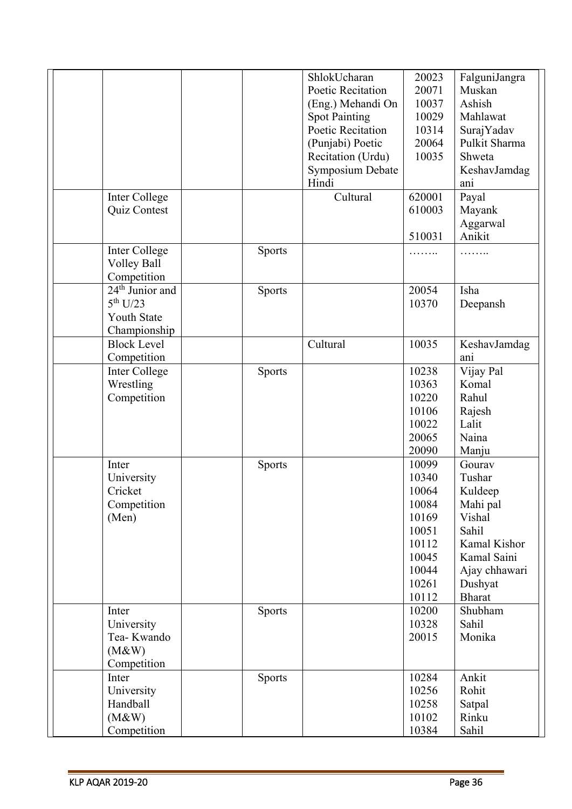|                             |               | ShlokUcharan         | 20023  | FalguniJangra |
|-----------------------------|---------------|----------------------|--------|---------------|
|                             |               | Poetic Recitation    | 20071  | Muskan        |
|                             |               | (Eng.) Mehandi On    | 10037  | Ashish        |
|                             |               |                      | 10029  | Mahlawat      |
|                             |               | <b>Spot Painting</b> |        |               |
|                             |               | Poetic Recitation    | 10314  | SurajYadav    |
|                             |               | (Punjabi) Poetic     | 20064  | Pulkit Sharma |
|                             |               | Recitation (Urdu)    | 10035  | Shweta        |
|                             |               | Symposium Debate     |        | KeshavJamdag  |
|                             |               | Hindi                |        | ani           |
| Inter College               |               | Cultural             | 620001 | Payal         |
| Quiz Contest                |               |                      | 610003 | Mayank        |
|                             |               |                      |        | Aggarwal      |
|                             |               |                      | 510031 | Anikit        |
|                             |               |                      |        |               |
| Inter College               | Sports        |                      | .      | .             |
| Volley Ball                 |               |                      |        |               |
| Competition                 |               |                      |        |               |
| 24 <sup>th</sup> Junior and | <b>Sports</b> |                      | 20054  | Isha          |
| 5 <sup>th</sup> U/23        |               |                      | 10370  | Deepansh      |
| <b>Youth State</b>          |               |                      |        |               |
| Championship                |               |                      |        |               |
| <b>Block Level</b>          |               | Cultural             | 10035  | KeshavJamdag  |
| Competition                 |               |                      |        | ani           |
|                             |               |                      |        |               |
| Inter College               | <b>Sports</b> |                      | 10238  | Vijay Pal     |
| Wrestling                   |               |                      | 10363  | Komal         |
| Competition                 |               |                      | 10220  | Rahul         |
|                             |               |                      | 10106  | Rajesh        |
|                             |               |                      | 10022  | Lalit         |
|                             |               |                      | 20065  | Naina         |
|                             |               |                      | 20090  | Manju         |
| Inter                       | <b>Sports</b> |                      | 10099  | Gourav        |
| University                  |               |                      | 10340  | Tushar        |
| Cricket                     |               |                      | 10064  | Kuldeep       |
|                             |               |                      |        |               |
| Competition                 |               |                      | 10084  | Mahi pal      |
| (Men)                       |               |                      | 10169  | Vishal        |
|                             |               |                      | 10051  | Sahil         |
|                             |               |                      | 10112  | Kamal Kishor  |
|                             |               |                      | 10045  | Kamal Saini   |
|                             |               |                      | 10044  | Ajay chhawari |
|                             |               |                      | 10261  | Dushyat       |
|                             |               |                      | 10112  | <b>Bharat</b> |
| Inter                       | <b>Sports</b> |                      | 10200  | Shubham       |
| University                  |               |                      | 10328  | Sahil         |
| Tea-Kwando                  |               |                      | 20015  | Monika        |
| (M&W)                       |               |                      |        |               |
|                             |               |                      |        |               |
| Competition                 |               |                      |        |               |
| Inter                       | <b>Sports</b> |                      | 10284  | Ankit         |
| University                  |               |                      | 10256  | Rohit         |
| Handball                    |               |                      | 10258  | Satpal        |
| (M&W)                       |               |                      | 10102  | Rinku         |
| Competition                 |               |                      | 10384  | Sahil         |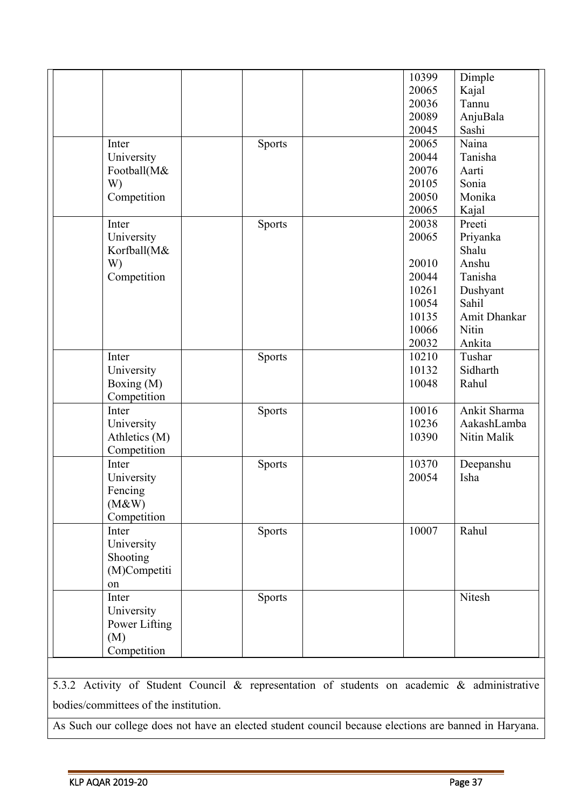|               |               | 10399 |                 |
|---------------|---------------|-------|-----------------|
|               |               | 20065 | Dimple<br>Kajal |
|               |               | 20036 | Tannu           |
|               |               | 20089 | AnjuBala        |
|               |               | 20045 | Sashi           |
| Inter         | <b>Sports</b> | 20065 | Naina           |
| University    |               | 20044 | Tanisha         |
| Football(M&   |               | 20076 | Aarti           |
| W)            |               | 20105 | Sonia           |
|               |               | 20050 | Monika          |
| Competition   |               | 20065 |                 |
|               |               |       | Kajal           |
| Inter         | Sports        | 20038 | Preeti          |
| University    |               | 20065 | Priyanka        |
| Korfball(M&   |               |       | Shalu           |
| W)            |               | 20010 | Anshu           |
| Competition   |               | 20044 | Tanisha         |
|               |               | 10261 | Dushyant        |
|               |               | 10054 | Sahil           |
|               |               | 10135 | Amit Dhankar    |
|               |               | 10066 | Nitin           |
|               |               | 20032 | Ankita          |
| Inter         | Sports        | 10210 | Tushar          |
| University    |               | 10132 | Sidharth        |
| Boxing (M)    |               | 10048 | Rahul           |
| Competition   |               |       |                 |
| Inter         | Sports        | 10016 | Ankit Sharma    |
| University    |               | 10236 | AakashLamba     |
| Athletics (M) |               | 10390 | Nitin Malik     |
| Competition   |               |       |                 |
| Inter         | <b>Sports</b> | 10370 | Deepanshu       |
| University    |               | 20054 | Isha            |
| Fencing       |               |       |                 |
| (M&W)         |               |       |                 |
| Competition   |               |       |                 |
| Inter         | Sports        | 10007 | Rahul           |
| University    |               |       |                 |
| Shooting      |               |       |                 |
| (M)Competiti  |               |       |                 |
| on            |               |       |                 |
| Inter         | <b>Sports</b> |       | Nitesh          |
| University    |               |       |                 |
| Power Lifting |               |       |                 |
| (M)           |               |       |                 |
| Competition   |               |       |                 |
|               |               |       |                 |

5.3.2 Activity of Student Council & representation of students on academic & administrative bodies/committees of the institution.

As Such our college does not have an elected student council because elections are banned in Haryana.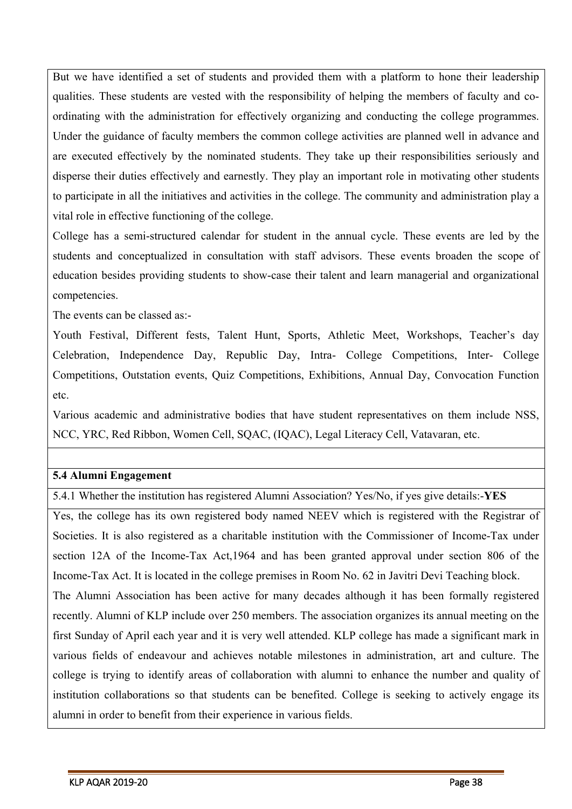But we have identified a set of students and provided them with a platform to hone their leadership qualities. These students are vested with the responsibility of helping the members of faculty and coordinating with the administration for effectively organizing and conducting the college programmes. Under the guidance of faculty members the common college activities are planned well in advance and are executed effectively by the nominated students. They take up their responsibilities seriously and disperse their duties effectively and earnestly. They play an important role in motivating other students to participate in all the initiatives and activities in the college. The community and administration play a vital role in effective functioning of the college.

College has a semi-structured calendar for student in the annual cycle. These events are led by the students and conceptualized in consultation with staff advisors. These events broaden the scope of education besides providing students to show-case their talent and learn managerial and organizational competencies.

The events can be classed as:-

Youth Festival, Different fests, Talent Hunt, Sports, Athletic Meet, Workshops, Teacher's day Celebration, Independence Day, Republic Day, Intra- College Competitions, Inter- College Competitions, Outstation events, Quiz Competitions, Exhibitions, Annual Day, Convocation Function etc.

Various academic and administrative bodies that have student representatives on them include NSS, NCC, YRC, Red Ribbon, Women Cell, SQAC, (IQAC), Legal Literacy Cell, Vatavaran, etc.

#### **5.4 Alumni Engagement**

5.4.1 Whether the institution has registered Alumni Association? Yes/No, if yes give details:-**YES**

Yes, the college has its own registered body named NEEV which is registered with the Registrar of Societies. It is also registered as a charitable institution with the Commissioner of Income-Tax under section 12A of the Income-Tax Act,1964 and has been granted approval under section 806 of the Income-Tax Act. It is located in the college premises in Room No. 62 in Javitri Devi Teaching block. The Alumni Association has been active for many decades although it has been formally registered recently. Alumni of KLP include over 250 members. The association organizes its annual meeting on the first Sunday of April each year and it is very well attended. KLP college has made a significant mark in various fields of endeavour and achieves notable milestones in administration, art and culture. The college is trying to identify areas of collaboration with alumni to enhance the number and quality of institution collaborations so that students can be benefited. College is seeking to actively engage its alumni in order to benefit from their experience in various fields.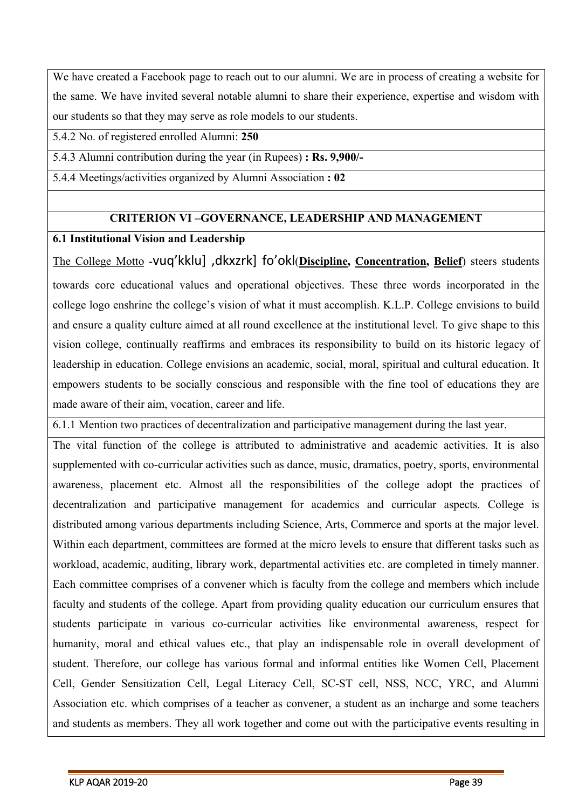We have created a Facebook page to reach out to our alumni. We are in process of creating a website for the same. We have invited several notable alumni to share their experience, expertise and wisdom with our students so that they may serve as role models to our students.

5.4.2 No. of registered enrolled Alumni: **250**

5.4.3 Alumni contribution during the year (in Rupees) **: Rs. 9,900/-**

5.4.4 Meetings/activities organized by Alumni Association **: 02**

#### **CRITERION VI –GOVERNANCE, LEADERSHIP AND MANAGEMENT**

#### **6.1 Institutional Vision and Leadership**

The College Motto -vuq'kklu] ,dkxzrk] fo'okl(**Discipline, Concentration, Belief**) steers students towards core educational values and operational objectives. These three words incorporated in the college logo enshrine the college's vision of what it must accomplish. K.L.P. College envisions to build and ensure a quality culture aimed at all round excellence at the institutional level. To give shape to this vision college, continually reaffirms and embraces its responsibility to build on its historic legacy of leadership in education. College envisions an academic, social, moral, spiritual and cultural education. It empowers students to be socially conscious and responsible with the fine tool of educations they are made aware of their aim, vocation, career and life.

6.1.1 Mention two practices of decentralization and participative management during the last year.

The vital function of the college is attributed to administrative and academic activities. It is also supplemented with co-curricular activities such as dance, music, dramatics, poetry, sports, environmental awareness, placement etc. Almost all the responsibilities of the college adopt the practices of decentralization and participative management for academics and curricular aspects. College is distributed among various departments including Science, Arts, Commerce and sports at the major level. Within each department, committees are formed at the micro levels to ensure that different tasks such as workload, academic, auditing, library work, departmental activities etc. are completed in timely manner. Each committee comprises of a convener which is faculty from the college and members which include faculty and students of the college. Apart from providing quality education our curriculum ensures that students participate in various co-curricular activities like environmental awareness, respect for humanity, moral and ethical values etc., that play an indispensable role in overall development of student. Therefore, our college has various formal and informal entities like Women Cell, Placement Cell, Gender Sensitization Cell, Legal Literacy Cell, SC-ST cell, NSS, NCC, YRC, and Alumni Association etc. which comprises of a teacher as convener, a student as an incharge and some teachers and students as members. They all work together and come out with the participative events resulting in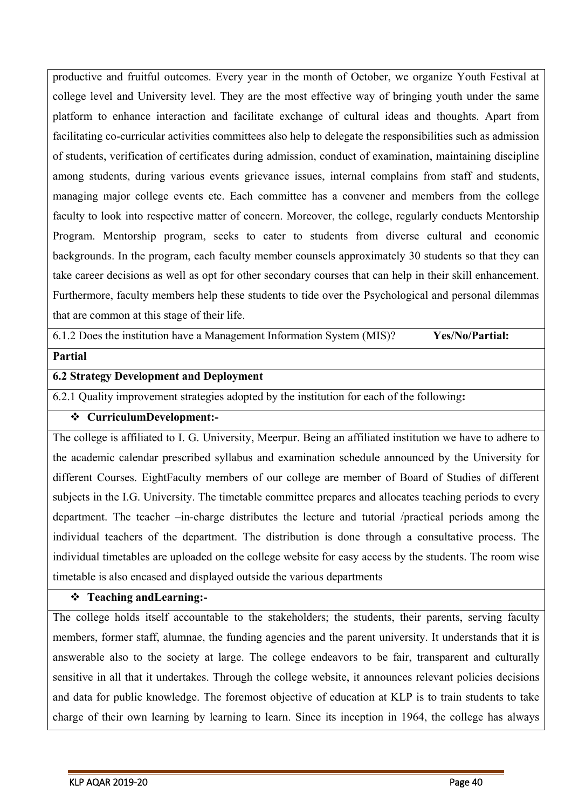productive and fruitful outcomes. Every year in the month of October, we organize Youth Festival at college level and University level. They are the most effective way of bringing youth under the same platform to enhance interaction and facilitate exchange of cultural ideas and thoughts. Apart from facilitating co-curricular activities committees also help to delegate the responsibilities such as admission of students, verification of certificates during admission, conduct of examination, maintaining discipline among students, during various events grievance issues, internal complains from staff and students, managing major college events etc. Each committee has a convener and members from the college faculty to look into respective matter of concern. Moreover, the college, regularly conducts Mentorship Program. Mentorship program, seeks to cater to students from diverse cultural and economic backgrounds. In the program, each faculty member counsels approximately 30 students so that they can take career decisions as well as opt for other secondary courses that can help in their skill enhancement. Furthermore, faculty members help these students to tide over the Psychological and personal dilemmas that are common at this stage of their life.

6.1.2 Does the institution have a Management Information System (MIS)? **Yes/No/Partial:**

#### **Partial**

#### **6.2 Strategy Development and Deployment**

6.2.1 Quality improvement strategies adopted by the institution for each of the following**:**

#### **CurriculumDevelopment:-**

The college is affiliated to I. G. University, Meerpur. Being an affiliated institution we have to adhere to the academic calendar prescribed syllabus and examination schedule announced by the University for different Courses. EightFaculty members of our college are member of Board of Studies of different subjects in the I.G. University. The timetable committee prepares and allocates teaching periods to every department. The teacher –in-charge distributes the lecture and tutorial /practical periods among the individual teachers of the department. The distribution is done through a consultative process. The individual timetables are uploaded on the college website for easy access by the students. The room wise timetable is also encased and displayed outside the various departments

#### **Teaching andLearning:-**

The college holds itself accountable to the stakeholders; the students, their parents, serving faculty members, former staff, alumnae, the funding agencies and the parent university. It understands that it is answerable also to the society at large. The college endeavors to be fair, transparent and culturally sensitive in all that it undertakes. Through the college website, it announces relevant policies decisions and data for public knowledge. The foremost objective of education at KLP is to train students to take charge of their own learning by learning to learn. Since its inception in 1964, the college has always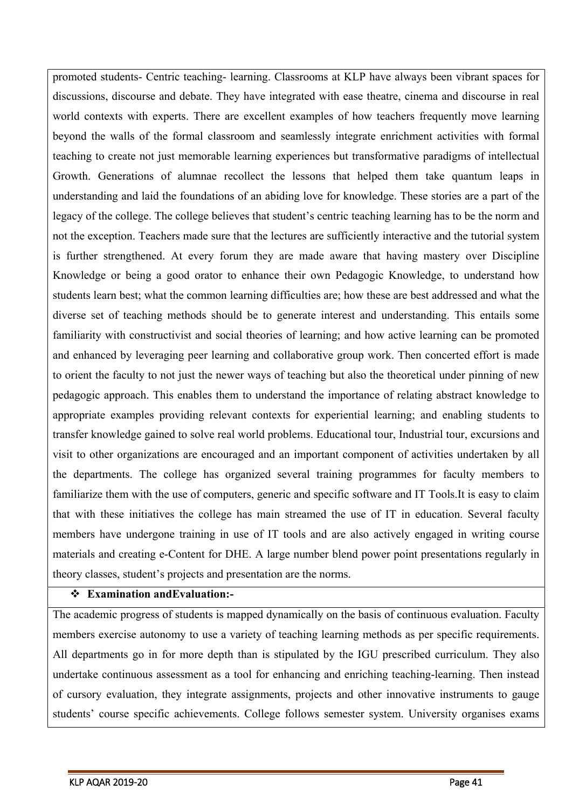promoted students- Centric teaching- learning. Classrooms at KLP have always been vibrant spaces for discussions, discourse and debate. They have integrated with ease theatre, cinema and discourse in real world contexts with experts. There are excellent examples of how teachers frequently move learning beyond the walls of the formal classroom and seamlessly integrate enrichment activities with formal teaching to create not just memorable learning experiences but transformative paradigms of intellectual Growth. Generations of alumnae recollect the lessons that helped them take quantum leaps in understanding and laid the foundations of an abiding love for knowledge. These stories are a part of the legacy of the college. The college believes that student's centric teaching learning has to be the norm and not the exception. Teachers made sure that the lectures are sufficiently interactive and the tutorial system is further strengthened. At every forum they are made aware that having mastery over Discipline Knowledge or being a good orator to enhance their own Pedagogic Knowledge, to understand how students learn best; what the common learning difficulties are; how these are best addressed and what the diverse set of teaching methods should be to generate interest and understanding. This entails some familiarity with constructivist and social theories of learning; and how active learning can be promoted and enhanced by leveraging peer learning and collaborative group work. Then concerted effort is made to orient the faculty to not just the newer ways of teaching but also the theoretical under pinning of new pedagogic approach. This enables them to understand the importance of relating abstract knowledge to appropriate examples providing relevant contexts for experiential learning; and enabling students to transfer knowledge gained to solve real world problems. Educational tour, Industrial tour, excursions and visit to other organizations are encouraged and an important component of activities undertaken by all the departments. The college has organized several training programmes for faculty members to familiarize them with the use of computers, generic and specific software and IT Tools.It is easy to claim that with these initiatives the college has main streamed the use of IT in education. Several faculty members have undergone training in use of IT tools and are also actively engaged in writing course materials and creating e-Content for DHE. A large number blend power point presentations regularly in theory classes, student's projects and presentation are the norms.

#### **Examination andEvaluation:-**

The academic progress of students is mapped dynamically on the basis of continuous evaluation. Faculty members exercise autonomy to use a variety of teaching learning methods as per specific requirements. All departments go in for more depth than is stipulated by the IGU prescribed curriculum. They also undertake continuous assessment as a tool for enhancing and enriching teaching-learning. Then instead of cursory evaluation, they integrate assignments, projects and other innovative instruments to gauge students' course specific achievements. College follows semester system. University organises exams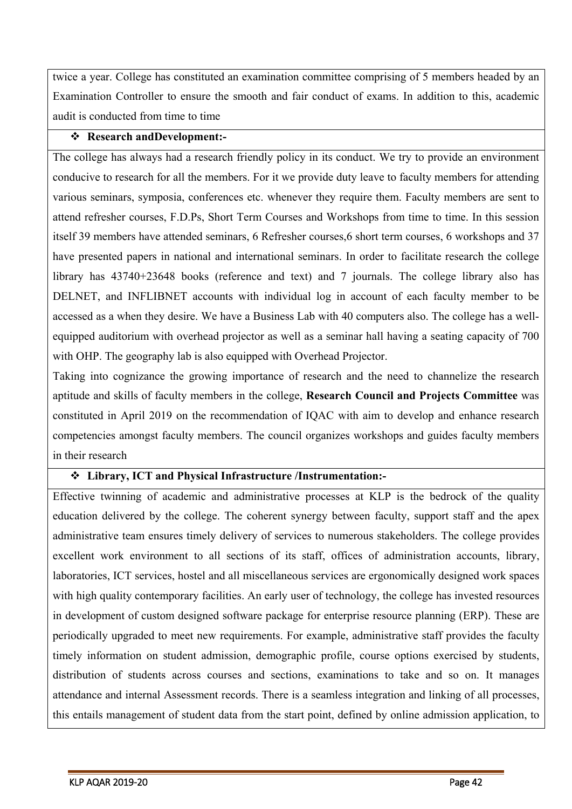twice a year. College has constituted an examination committee comprising of 5 members headed by an Examination Controller to ensure the smooth and fair conduct of exams. In addition to this, academic audit is conducted from time to time

#### **Research andDevelopment:-**

The college has always had a research friendly policy in its conduct. We try to provide an environment conducive to research for all the members. For it we provide duty leave to faculty members for attending various seminars, symposia, conferences etc. whenever they require them. Faculty members are sent to attend refresher courses, F.D.Ps, Short Term Courses and Workshops from time to time. In this session itself 39 members have attended seminars, 6 Refresher courses,6 short term courses, 6 workshops and 37 have presented papers in national and international seminars. In order to facilitate research the college library has 43740+23648 books (reference and text) and 7 journals. The college library also has DELNET, and INFLIBNET accounts with individual log in account of each faculty member to be accessed as a when they desire. We have a Business Lab with 40 computers also. The college has a wellequipped auditorium with overhead projector as well as a seminar hall having a seating capacity of 700 with OHP. The geography lab is also equipped with Overhead Projector.

Taking into cognizance the growing importance of research and the need to channelize the research aptitude and skills of faculty members in the college, **Research Council and Projects Committee** was constituted in April 2019 on the recommendation of IQAC with aim to develop and enhance research competencies amongst faculty members. The council organizes workshops and guides faculty members in their research

#### **Library, ICT and Physical Infrastructure /Instrumentation:-**

Effective twinning of academic and administrative processes at KLP is the bedrock of the quality education delivered by the college. The coherent synergy between faculty, support staff and the apex administrative team ensures timely delivery of services to numerous stakeholders. The college provides excellent work environment to all sections of its staff, offices of administration accounts, library, laboratories, ICT services, hostel and all miscellaneous services are ergonomically designed work spaces with high quality contemporary facilities. An early user of technology, the college has invested resources in development of custom designed software package for enterprise resource planning (ERP). These are periodically upgraded to meet new requirements. For example, administrative staff provides the faculty timely information on student admission, demographic profile, course options exercised by students, distribution of students across courses and sections, examinations to take and so on. It manages attendance and internal Assessment records. There is a seamless integration and linking of all processes, this entails management of student data from the start point, defined by online admission application, to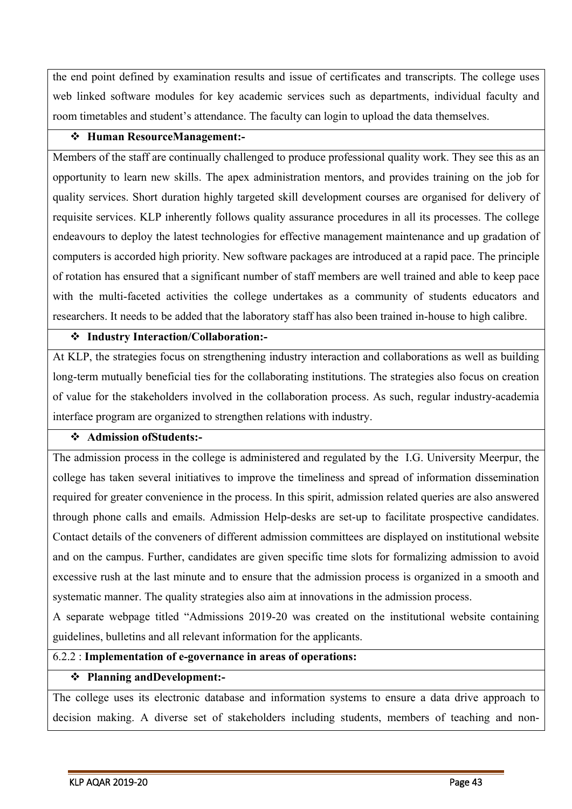the end point defined by examination results and issue of certificates and transcripts. The college uses web linked software modules for key academic services such as departments, individual faculty and room timetables and student's attendance. The faculty can login to upload the data themselves.

#### **Human ResourceManagement:-**

Members of the staff are continually challenged to produce professional quality work. They see this as an opportunity to learn new skills. The apex administration mentors, and provides training on the job for quality services. Short duration highly targeted skill development courses are organised for delivery of requisite services. KLP inherently follows quality assurance procedures in all its processes. The college endeavours to deploy the latest technologies for effective management maintenance and up gradation of computers is accorded high priority. New software packages are introduced at a rapid pace. The principle of rotation has ensured that a significant number of staff members are well trained and able to keep pace with the multi-faceted activities the college undertakes as a community of students educators and researchers. It needs to be added that the laboratory staff has also been trained in-house to high calibre.

#### **Industry Interaction/Collaboration:-**

At KLP, the strategies focus on strengthening industry interaction and collaborations as well as building long-term mutually beneficial ties for the collaborating institutions. The strategies also focus on creation of value for the stakeholders involved in the collaboration process. As such, regular industry-academia interface program are organized to strengthen relations with industry.

#### **Admission ofStudents:-**

The admission process in the college is administered and regulated by the I.G. University Meerpur, the college has taken several initiatives to improve the timeliness and spread of information dissemination required for greater convenience in the process. In this spirit, admission related queries are also answered through phone calls and emails. Admission Help-desks are set-up to facilitate prospective candidates. Contact details of the conveners of different admission committees are displayed on institutional website and on the campus. Further, candidates are given specific time slots for formalizing admission to avoid excessive rush at the last minute and to ensure that the admission process is organized in a smooth and systematic manner. The quality strategies also aim at innovations in the admission process.

A separate webpage titled "Admissions 2019-20 was created on the institutional website containing guidelines, bulletins and all relevant information for the applicants.

#### 6.2.2 : **Implementation of e-governance in areas of operations:**

#### **Planning andDevelopment:-**

The college uses its electronic database and information systems to ensure a data drive approach to decision making. A diverse set of stakeholders including students, members of teaching and non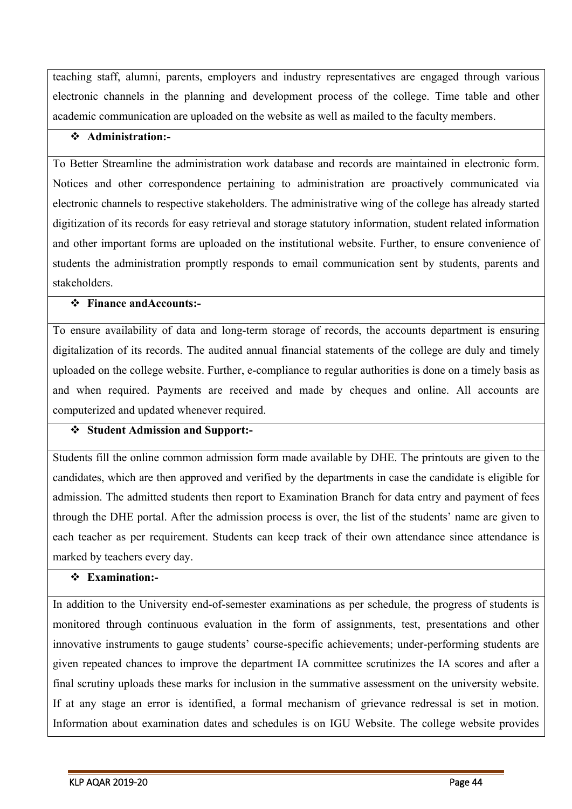teaching staff, alumni, parents, employers and industry representatives are engaged through various electronic channels in the planning and development process of the college. Time table and other academic communication are uploaded on the website as well as mailed to the faculty members.

### **Administration:-**

To Better Streamline the administration work database and records are maintained in electronic form. Notices and other correspondence pertaining to administration are proactively communicated via electronic channels to respective stakeholders. The administrative wing of the college has already started digitization of its records for easy retrieval and storage statutory information, student related information and other important forms are uploaded on the institutional website. Further, to ensure convenience of students the administration promptly responds to email communication sent by students, parents and stakeholders.

#### **Finance andAccounts:-**

To ensure availability of data and long-term storage of records, the accounts department is ensuring digitalization of its records. The audited annual financial statements of the college are duly and timely uploaded on the college website. Further, e-compliance to regular authorities is done on a timely basis as and when required. Payments are received and made by cheques and online. All accounts are computerized and updated whenever required.

#### **Student Admission and Support:-**

Students fill the online common admission form made available by DHE. The printouts are given to the candidates, which are then approved and verified by the departments in case the candidate is eligible for admission. The admitted students then report to Examination Branch for data entry and payment of fees through the DHE portal. After the admission process is over, the list of the students' name are given to each teacher as per requirement. Students can keep track of their own attendance since attendance is marked by teachers every day.

#### **Examination:-**

In addition to the University end-of-semester examinations as per schedule, the progress of students is monitored through continuous evaluation in the form of assignments, test, presentations and other innovative instruments to gauge students' course-specific achievements; under-performing students are given repeated chances to improve the department IA committee scrutinizes the IA scores and after a final scrutiny uploads these marks for inclusion in the summative assessment on the university website. If at any stage an error is identified, a formal mechanism of grievance redressal is set in motion. Information about examination dates and schedules is on IGU Website. The college website provides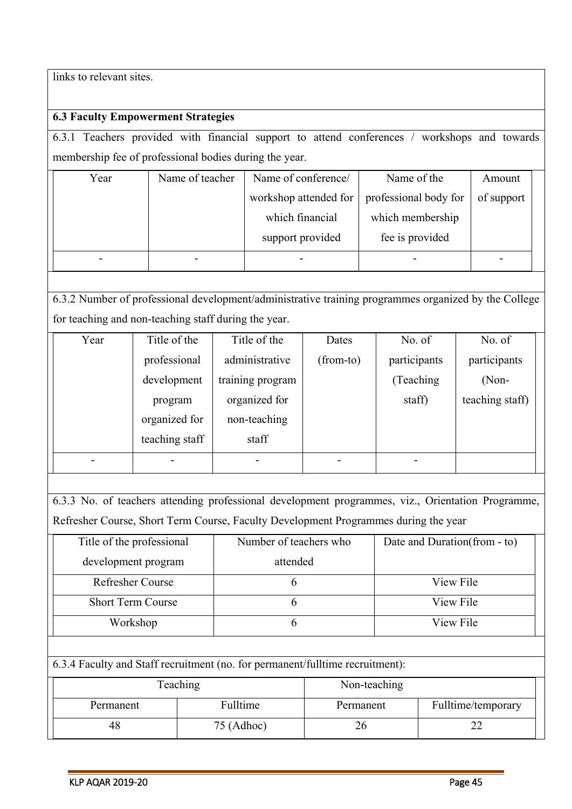links to relevant sites.

## **6.3 Faculty Empowerment Strategies**

6.3.1 Teachers provided with financial support to attend conferences / workshops and towards membership fee of professional bodies during the year.

| Year | Name of teacher | Name of conference/   | Name of the           | Amount     |  |
|------|-----------------|-----------------------|-----------------------|------------|--|
|      |                 | workshop attended for | professional body for | of support |  |
|      |                 | which financial       | which membership      |            |  |
|      |                 | support provided      | fee is provided       |            |  |
|      |                 |                       |                       |            |  |

6.3.2 Number of professional development/administrative training programmes organized by the College for teaching and non-teaching staff during the year.

| Year | Title of the   | Title of the     | Dates     | No. of       | No. of          |  |
|------|----------------|------------------|-----------|--------------|-----------------|--|
|      | professional   | administrative   | (from-to) | participants | participants    |  |
|      | development    | training program |           | (Teaching)   | $(Non-$         |  |
|      | program        | organized for    |           | staff)       | teaching staff) |  |
|      | organized for  | non-teaching     |           |              |                 |  |
|      | teaching staff | staff            |           |              |                 |  |
|      |                |                  |           |              |                 |  |

6.3.3 No. of teachers attending professional development programmes, viz., Orientation Programme, Refresher Course, Short Term Course, Faculty Development Programmes during the year

| Title of the professional | Number of teachers who | Date and Duration (from - to) |  |
|---------------------------|------------------------|-------------------------------|--|
| development program       | attended               |                               |  |
| <b>Refresher Course</b>   |                        | View File                     |  |
| <b>Short Term Course</b>  |                        | View File                     |  |
| Workshop                  |                        | View File                     |  |
|                           |                        |                               |  |

6.3.4 Faculty and Staff recruitment (no. for permanent/fulltime recruitment):

| Teaching  |              | Non-teaching |                    |
|-----------|--------------|--------------|--------------------|
| Permanent | Fulltime     | Permanent    | Fulltime/temporary |
| 48.       | $75$ (Adhoc) |              |                    |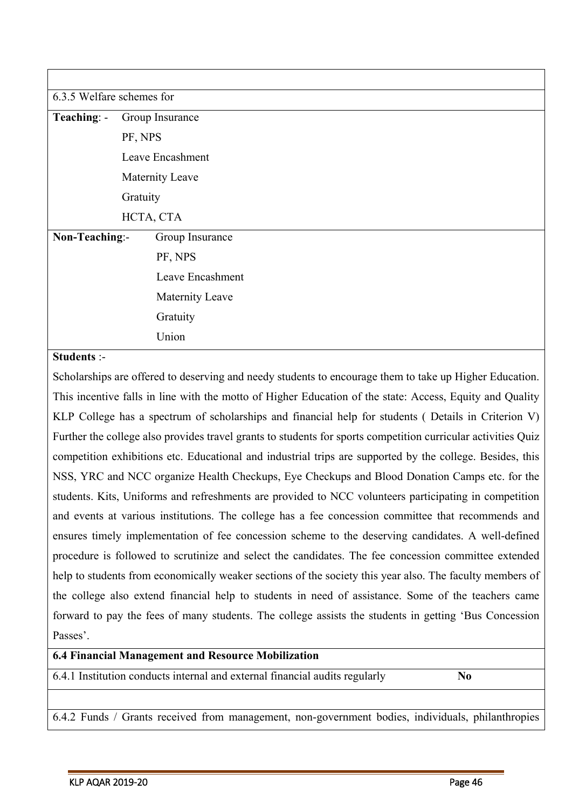| 6.3.5 Welfare schemes for |                 |                  |  |  |  |
|---------------------------|-----------------|------------------|--|--|--|
| Teaching: -               | Group Insurance |                  |  |  |  |
|                           | PF, NPS         |                  |  |  |  |
|                           |                 | Leave Encashment |  |  |  |
|                           |                 | Maternity Leave  |  |  |  |
|                           | Gratuity        |                  |  |  |  |
|                           | HCTA, CTA       |                  |  |  |  |
| Non-Teaching:-            |                 | Group Insurance  |  |  |  |
|                           |                 | PF, NPS          |  |  |  |
|                           |                 | Leave Encashment |  |  |  |
| Maternity Leave           |                 |                  |  |  |  |
|                           |                 | Gratuity         |  |  |  |
|                           |                 | Union            |  |  |  |

#### **Students** :-

Scholarships are offered to deserving and needy students to encourage them to take up Higher Education. This incentive falls in line with the motto of Higher Education of the state: Access, Equity and Quality KLP College has a spectrum of scholarships and financial help for students ( Details in Criterion V) Further the college also provides travel grants to students for sports competition curricular activities Quiz competition exhibitions etc. Educational and industrial trips are supported by the college. Besides, this NSS, YRC and NCC organize Health Checkups, Eye Checkups and Blood Donation Camps etc. for the students. Kits, Uniforms and refreshments are provided to NCC volunteers participating in competition and events at various institutions. The college has a fee concession committee that recommends and ensures timely implementation of fee concession scheme to the deserving candidates. A well-defined procedure is followed to scrutinize and select the candidates. The fee concession committee extended help to students from economically weaker sections of the society this year also. The faculty members of the college also extend financial help to students in need of assistance. Some of the teachers came forward to pay the fees of many students. The college assists the students in getting 'Bus Concession Passes'.

#### **6.4 Financial Management and Resource Mobilization**

6.4.1 Institution conducts internal and external financial audits regularly **No**

6.4.2 Funds / Grants received from management, non-government bodies, individuals, philanthropies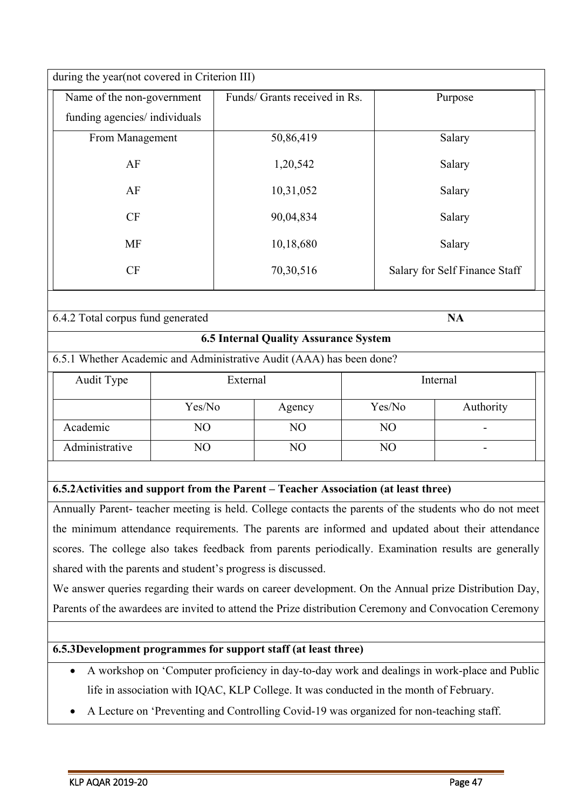| during the year(not covered in Criterion III)  |                               |                               |  |  |
|------------------------------------------------|-------------------------------|-------------------------------|--|--|
| Name of the non-government                     | Funds/ Grants received in Rs. | Purpose                       |  |  |
| funding agencies/ individuals                  |                               |                               |  |  |
| From Management                                | 50,86,419                     | Salary                        |  |  |
| AF                                             | 1,20,542                      | Salary                        |  |  |
| AF                                             | 10,31,052                     | Salary                        |  |  |
| CF                                             | 90,04,834                     | Salary                        |  |  |
| <b>MF</b>                                      | 10,18,680                     | Salary                        |  |  |
| CF                                             | 70,30,516                     | Salary for Self Finance Staff |  |  |
|                                                |                               |                               |  |  |
| 6.4.2 Total corpus fund generated<br><b>NA</b> |                               |                               |  |  |

### **6.5 Internal Quality Assurance System**

6.5.1 Whether Academic and Administrative Audit (AAA) has been done?

| Audit Type     | External |        | Internal |           |  |
|----------------|----------|--------|----------|-----------|--|
|                | Yes/No   | Agency | Yes/No   | Authority |  |
| Academic       | NO       | NO     | NO       | -         |  |
| Administrative | NO       | NO     | NO       |           |  |

## **6.5.2Activities and support from the Parent – Teacher Association (at least three)**

Annually Parent- teacher meeting is held. College contacts the parents of the students who do not meet the minimum attendance requirements. The parents are informed and updated about their attendance scores. The college also takes feedback from parents periodically. Examination results are generally shared with the parents and student's progress is discussed.

We answer queries regarding their wards on career development. On the Annual prize Distribution Day, Parents of the awardees are invited to attend the Prize distribution Ceremony and Convocation Ceremony

#### **6.5.3Development programmes for support staff (at least three)**

- A workshop on 'Computer proficiency in day-to-day work and dealings in work-place and Public life in association with IQAC, KLP College. It was conducted in the month of February.
- A Lecture on 'Preventing and Controlling Covid-19 was organized for non-teaching staff.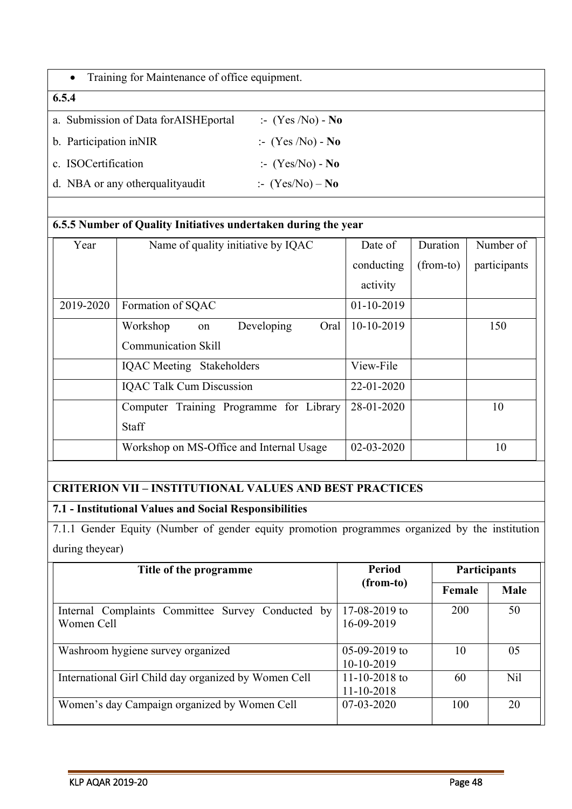| Training for Maintenance of office equipment.<br>$\bullet$ |                             |  |  |
|------------------------------------------------------------|-----------------------------|--|--|
| 6.5.4                                                      |                             |  |  |
| a. Submission of Data for AISHE portal                     | $\therefore$ (Yes /No) - No |  |  |
| b. Participation in NIR                                    | $\therefore$ (Yes /No) - No |  |  |
| c. ISOCertification                                        | $\cdot$ (Yes/No) - No       |  |  |
| d. NBA or any other quality and it                         | $\therefore$ (Yes/No) – No  |  |  |

## **6.5.5 Number of Quality Initiatives undertaken during the year**

| Year      | Name of quality initiative by IQAC       | Date of          | Duration    | Number of    |
|-----------|------------------------------------------|------------------|-------------|--------------|
|           |                                          | conducting       | $(from-to)$ | participants |
|           |                                          | activity         |             |              |
| 2019-2020 | Formation of SQAC                        | $01-10-2019$     |             |              |
|           | Developing<br>Workshop<br>Oral<br>on     | 10-10-2019       |             | 150          |
|           | Communication Skill                      |                  |             |              |
|           | <b>IQAC</b> Meeting Stakeholders         | View-File        |             |              |
|           | <b>IQAC Talk Cum Discussion</b>          | 22-01-2020       |             |              |
|           | Computer Training Programme for Library  | 28-01-2020       |             | 10           |
|           | Staff                                    |                  |             |              |
|           | Workshop on MS-Office and Internal Usage | $02 - 03 - 2020$ |             | 10           |

## **CRITERION VII – INSTITUTIONAL VALUES AND BEST PRACTICES**

## **7.1 - Institutional Values and Social Responsibilities**

7.1.1 Gender Equity (Number of gender equity promotion programmes organized by the institution during theyear)

| Title of the programme                                          | Period                          | <b>Participants</b> |             |
|-----------------------------------------------------------------|---------------------------------|---------------------|-------------|
|                                                                 | (from-to)                       | Female              | <b>Male</b> |
| Internal Complaints Committee Survey Conducted by<br>Women Cell | $17-08-2019$ to<br>16-09-2019   | 200                 | 50          |
| Washroom hygiene survey organized                               | $05-09-2019$ to<br>$10-10-2019$ | 10                  | 05          |
| International Girl Child day organized by Women Cell            | 11-10-2018 to<br>11-10-2018     | 60                  | Nil         |
| Women's day Campaign organized by Women Cell                    | $07-03-2020$                    | 100                 | 20          |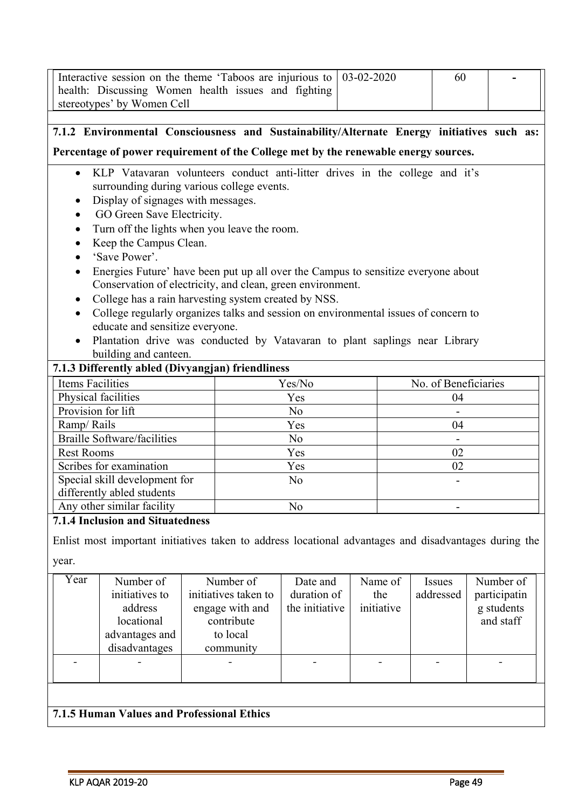| Interactive session on the theme 'Taboos are injurious to<br>health: Discussing Women health issues and fighting<br>stereotypes' by Women Cell                                                                                                                                                                                                                                                                                                                                                                                                                                                                                                                                                                                                                                                              |                | 03-02-2020 | 60                       |  |
|-------------------------------------------------------------------------------------------------------------------------------------------------------------------------------------------------------------------------------------------------------------------------------------------------------------------------------------------------------------------------------------------------------------------------------------------------------------------------------------------------------------------------------------------------------------------------------------------------------------------------------------------------------------------------------------------------------------------------------------------------------------------------------------------------------------|----------------|------------|--------------------------|--|
|                                                                                                                                                                                                                                                                                                                                                                                                                                                                                                                                                                                                                                                                                                                                                                                                             |                |            |                          |  |
| 7.1.2 Environmental Consciousness and Sustainability/Alternate Energy initiatives such as:                                                                                                                                                                                                                                                                                                                                                                                                                                                                                                                                                                                                                                                                                                                  |                |            |                          |  |
| Percentage of power requirement of the College met by the renewable energy sources.                                                                                                                                                                                                                                                                                                                                                                                                                                                                                                                                                                                                                                                                                                                         |                |            |                          |  |
| KLP Vatavaran volunteers conduct anti-litter drives in the college and it's<br>$\bullet$<br>surrounding during various college events.<br>Display of signages with messages.<br>٠<br>GO Green Save Electricity.<br>Turn off the lights when you leave the room.<br>Keep the Campus Clean.<br>'Save Power'.<br>Energies Future' have been put up all over the Campus to sensitize everyone about<br>Conservation of electricity, and clean, green environment.<br>College has a rain harvesting system created by NSS.<br>College regularly organizes talks and session on environmental issues of concern to<br>educate and sensitize everyone.<br>Plantation drive was conducted by Vatavaran to plant saplings near Library<br>building and canteen.<br>7.1.3 Differently abled (Divyangjan) friendliness |                |            |                          |  |
| <b>Items Facilities</b>                                                                                                                                                                                                                                                                                                                                                                                                                                                                                                                                                                                                                                                                                                                                                                                     | Yes/No         |            | No. of Beneficiaries     |  |
| Physical facilities                                                                                                                                                                                                                                                                                                                                                                                                                                                                                                                                                                                                                                                                                                                                                                                         | Yes            |            | 04                       |  |
| Provision for lift                                                                                                                                                                                                                                                                                                                                                                                                                                                                                                                                                                                                                                                                                                                                                                                          | N <sub>o</sub> |            |                          |  |
| Ramp/Rails                                                                                                                                                                                                                                                                                                                                                                                                                                                                                                                                                                                                                                                                                                                                                                                                  | Yes            |            | 04                       |  |
| <b>Braille Software/facilities</b>                                                                                                                                                                                                                                                                                                                                                                                                                                                                                                                                                                                                                                                                                                                                                                          | N <sub>o</sub> |            | $\overline{\phantom{a}}$ |  |
| <b>Rest Rooms</b>                                                                                                                                                                                                                                                                                                                                                                                                                                                                                                                                                                                                                                                                                                                                                                                           | Yes            |            | 02                       |  |
| Scribes for examination                                                                                                                                                                                                                                                                                                                                                                                                                                                                                                                                                                                                                                                                                                                                                                                     | Yes            |            | 02                       |  |
| Special skill development for<br>N <sub>o</sub>                                                                                                                                                                                                                                                                                                                                                                                                                                                                                                                                                                                                                                                                                                                                                             |                |            |                          |  |
| differently abled students                                                                                                                                                                                                                                                                                                                                                                                                                                                                                                                                                                                                                                                                                                                                                                                  |                |            |                          |  |
| Any other similar facility<br>No                                                                                                                                                                                                                                                                                                                                                                                                                                                                                                                                                                                                                                                                                                                                                                            |                |            |                          |  |
| <b>7.1.4 Inclusion and Situatedness</b>                                                                                                                                                                                                                                                                                                                                                                                                                                                                                                                                                                                                                                                                                                                                                                     |                |            |                          |  |
| Enlist most important initiatives taken to address locational advantages and disadvantages during the<br>year.                                                                                                                                                                                                                                                                                                                                                                                                                                                                                                                                                                                                                                                                                              |                |            |                          |  |

year.

| Year | Number of<br>initiatives to<br>address<br>locational<br>advantages and<br>disadvantages | Number of<br>initiatives taken to<br>engage with and<br>contribute<br>to local<br>community | Date and<br>duration of<br>the initiative | Name of<br>the<br>initiative | <i>Issues</i><br>addressed | Number of<br>participatin<br>g students<br>and staff |
|------|-----------------------------------------------------------------------------------------|---------------------------------------------------------------------------------------------|-------------------------------------------|------------------------------|----------------------------|------------------------------------------------------|
|      |                                                                                         |                                                                                             |                                           |                              |                            |                                                      |
|      |                                                                                         |                                                                                             |                                           |                              |                            |                                                      |

# **7.1.5 Human Values and Professional Ethics**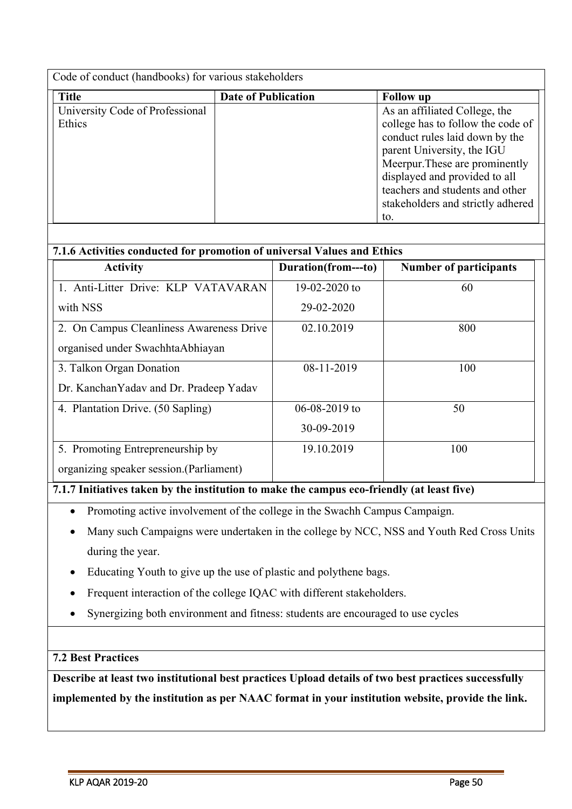| Code of conduct (handbooks) for various stakeholders |                            |                                   |  |  |  |
|------------------------------------------------------|----------------------------|-----------------------------------|--|--|--|
| <b>Title</b>                                         | <b>Date of Publication</b> | <b>Follow</b> up                  |  |  |  |
| University Code of Professional                      |                            | As an affiliated College, the     |  |  |  |
| Ethics                                               |                            | college has to follow the code of |  |  |  |
|                                                      |                            | conduct rules laid down by the    |  |  |  |
|                                                      |                            | parent University, the IGU        |  |  |  |
|                                                      |                            | Meerpur. These are prominently    |  |  |  |
|                                                      |                            | displayed and provided to all     |  |  |  |
|                                                      |                            | teachers and students and other   |  |  |  |
|                                                      |                            | stakeholders and strictly adhered |  |  |  |
|                                                      |                            | to.                               |  |  |  |

| 7.1.6 Activities conducted for promotion of universal Values and Ethics |                     |                               |  |  |
|-------------------------------------------------------------------------|---------------------|-------------------------------|--|--|
| <b>Activity</b>                                                         | Duration(from---to) | <b>Number of participants</b> |  |  |
| 1. Anti-Litter Drive: KLP VATAVARAN                                     | 19-02-2020 to       | 60                            |  |  |
| with NSS                                                                | 29-02-2020          |                               |  |  |
| 2. On Campus Cleanliness Awareness Drive                                | 02.10.2019          | 800                           |  |  |
| organised under Swachhta Abhiayan                                       |                     |                               |  |  |
| 3. Talkon Organ Donation                                                | 08-11-2019          | 100                           |  |  |
| Dr. Kanchan Yadav and Dr. Pradeep Yadav                                 |                     |                               |  |  |
| 4. Plantation Drive. (50 Sapling)                                       | $06 - 08 - 2019$ to | 50                            |  |  |
|                                                                         | 30-09-2019          |                               |  |  |
| 5. Promoting Entrepreneurship by                                        | 19.10.2019          | 100                           |  |  |
| organizing speaker session. (Parliament)                                |                     |                               |  |  |

## **7.1.7 Initiatives taken by the institution to make the campus eco-friendly (at least five)**

- Promoting active involvement of the college in the Swachh Campus Campaign.
- Many such Campaigns were undertaken in the college by NCC, NSS and Youth Red Cross Units during the year.
- Educating Youth to give up the use of plastic and polythene bags.
- Frequent interaction of the college IQAC with different stakeholders.
- Synergizing both environment and fitness: students are encouraged to use cycles

## **7.2 Best Practices**

**Describe at least two institutional best practices Upload details of two best practices successfully implemented by the institution as per NAAC format in your institution website, provide the link.**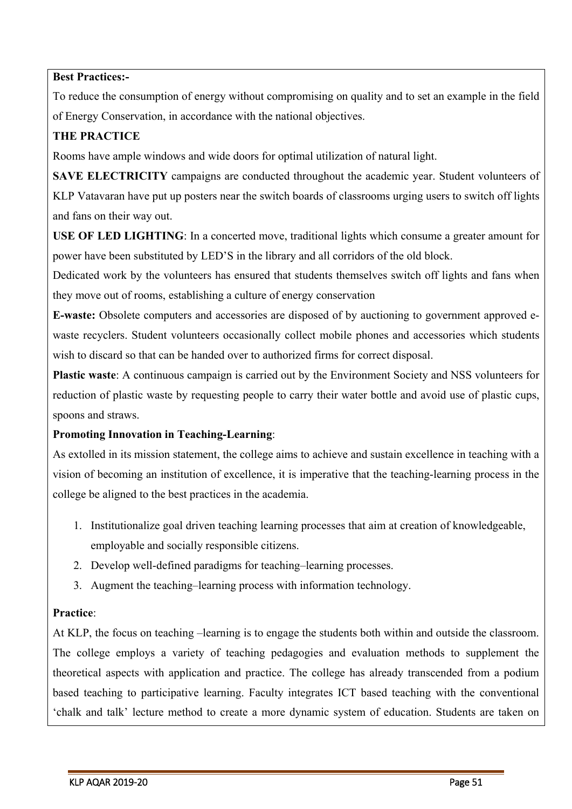#### **Best Practices:-**

To reduce the consumption of energy without compromising on quality and to set an example in the field of Energy Conservation, in accordance with the national objectives.

## **THE PRACTICE**

Rooms have ample windows and wide doors for optimal utilization of natural light.

**SAVE ELECTRICITY** campaigns are conducted throughout the academic year. Student volunteers of KLP Vatavaran have put up posters near the switch boards of classrooms urging users to switch off lights and fans on their way out.

**USE OF LED LIGHTING**: In a concerted move, traditional lights which consume a greater amount for power have been substituted by LED'S in the library and all corridors of the old block.

Dedicated work by the volunteers has ensured that students themselves switch off lights and fans when they move out of rooms, establishing a culture of energy conservation

**E-waste:** Obsolete computers and accessories are disposed of by auctioning to government approved ewaste recyclers. Student volunteers occasionally collect mobile phones and accessories which students wish to discard so that can be handed over to authorized firms for correct disposal.

**Plastic waste**: A continuous campaign is carried out by the Environment Society and NSS volunteers for reduction of plastic waste by requesting people to carry their water bottle and avoid use of plastic cups, spoons and straws.

#### **Promoting Innovation in Teaching-Learning**:

As extolled in its mission statement, the college aims to achieve and sustain excellence in teaching with a vision of becoming an institution of excellence, it is imperative that the teaching-learning process in the college be aligned to the best practices in the academia.

- 1. Institutionalize goal driven teaching learning processes that aim at creation of knowledgeable, employable and socially responsible citizens.
- 2. Develop well-defined paradigms for teaching–learning processes.
- 3. Augment the teaching–learning process with information technology.

#### **Practice**:

At KLP, the focus on teaching –learning is to engage the students both within and outside the classroom. The college employs a variety of teaching pedagogies and evaluation methods to supplement the theoretical aspects with application and practice. The college has already transcended from a podium based teaching to participative learning. Faculty integrates ICT based teaching with the conventional 'chalk and talk' lecture method to create a more dynamic system of education. Students are taken on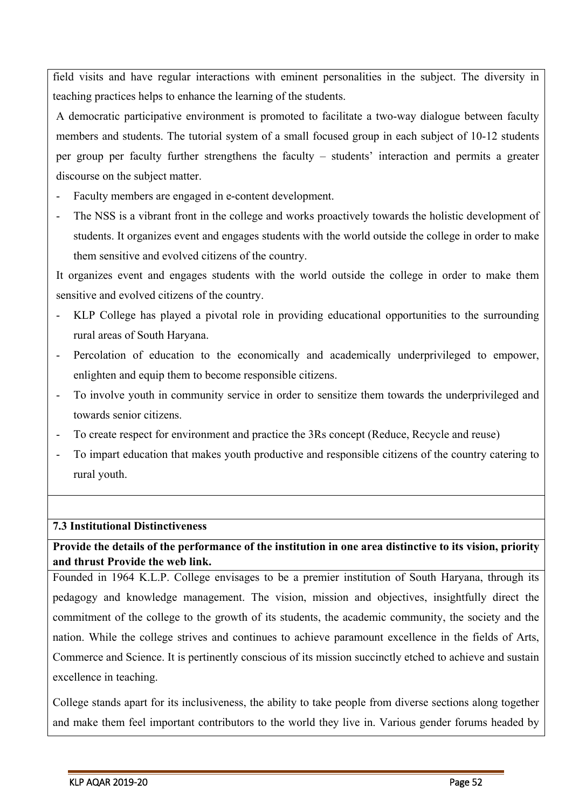field visits and have regular interactions with eminent personalities in the subject. The diversity in teaching practices helps to enhance the learning of the students.

A democratic participative environment is promoted to facilitate a two-way dialogue between faculty members and students. The tutorial system of a small focused group in each subject of 10-12 students per group per faculty further strengthens the faculty – students' interaction and permits a greater discourse on the subject matter.

- Faculty members are engaged in e-content development.
- The NSS is a vibrant front in the college and works proactively towards the holistic development of students. It organizes event and engages students with the world outside the college in order to make them sensitive and evolved citizens of the country.

It organizes event and engages students with the world outside the college in order to make them sensitive and evolved citizens of the country.

- KLP College has played a pivotal role in providing educational opportunities to the surrounding rural areas of South Haryana.
- Percolation of education to the economically and academically underprivileged to empower, enlighten and equip them to become responsible citizens.
- To involve youth in community service in order to sensitize them towards the underprivileged and towards senior citizens.
- To create respect for environment and practice the 3Rs concept (Reduce, Recycle and reuse)
- To impart education that makes youth productive and responsible citizens of the country catering to rural youth.

### **7.3 Institutional Distinctiveness**

## **Provide the details of the performance of the institution in one area distinctive to its vision, priority and thrust Provide the web link.**

Founded in 1964 K.L.P. College envisages to be a premier institution of South Haryana, through its pedagogy and knowledge management. The vision, mission and objectives, insightfully direct the commitment of the college to the growth of its students, the academic community, the society and the nation. While the college strives and continues to achieve paramount excellence in the fields of Arts, Commerce and Science. It is pertinently conscious of its mission succinctly etched to achieve and sustain excellence in teaching.

College stands apart for its inclusiveness, the ability to take people from diverse sections along together and make them feel important contributors to the world they live in. Various gender forums headed by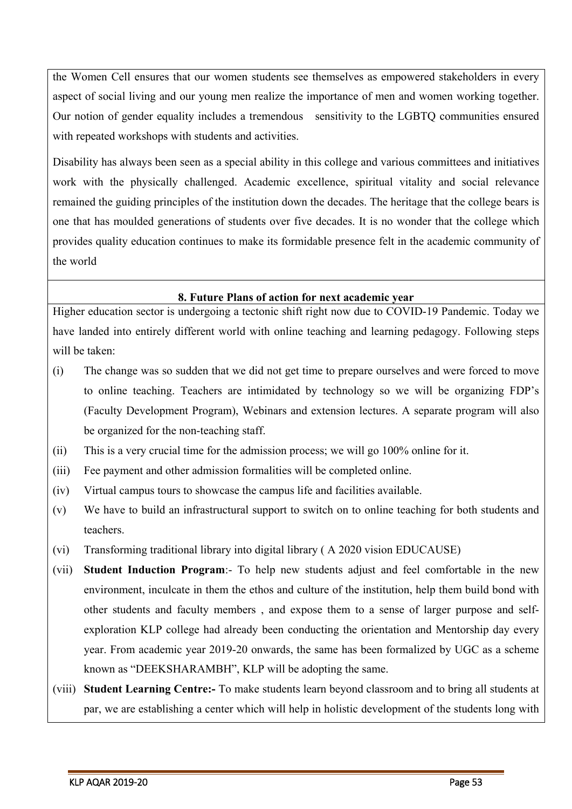the Women Cell ensures that our women students see themselves as empowered stakeholders in every aspect of social living and our young men realize the importance of men and women working together. Our notion of gender equality includes a tremendous sensitivity to the LGBTQ communities ensured with repeated workshops with students and activities.

Disability has always been seen as a special ability in this college and various committees and initiatives work with the physically challenged. Academic excellence, spiritual vitality and social relevance remained the guiding principles of the institution down the decades. The heritage that the college bears is one that has moulded generations of students over five decades. It is no wonder that the college which provides quality education continues to make its formidable presence felt in the academic community of the world

#### **8. Future Plans of action for next academic year**

Higher education sector is undergoing a tectonic shift right now due to COVID-19 Pandemic. Today we have landed into entirely different world with online teaching and learning pedagogy. Following steps will be taken:

- (i) The change was so sudden that we did not get time to prepare ourselves and were forced to move to online teaching. Teachers are intimidated by technology so we will be organizing FDP's (Faculty Development Program), Webinars and extension lectures. A separate program will also be organized for the non-teaching staff.
- (ii) This is a very crucial time for the admission process; we will go 100% online for it.
- (iii) Fee payment and other admission formalities will be completed online.
- (iv) Virtual campus tours to showcase the campus life and facilities available.
- (v) We have to build an infrastructural support to switch on to online teaching for both students and teachers.
- (vi) Transforming traditional library into digital library ( A 2020 vision EDUCAUSE)
- (vii) **Student Induction Program**:- To help new students adjust and feel comfortable in the new environment, inculcate in them the ethos and culture of the institution, help them build bond with other students and faculty members , and expose them to a sense of larger purpose and selfexploration KLP college had already been conducting the orientation and Mentorship day every year. From academic year 2019-20 onwards, the same has been formalized by UGC as a scheme known as "DEEKSHARAMBH", KLP will be adopting the same.
- (viii) **Student Learning Centre:-** To make students learn beyond classroom and to bring all students at par, we are establishing a center which will help in holistic development of the students long with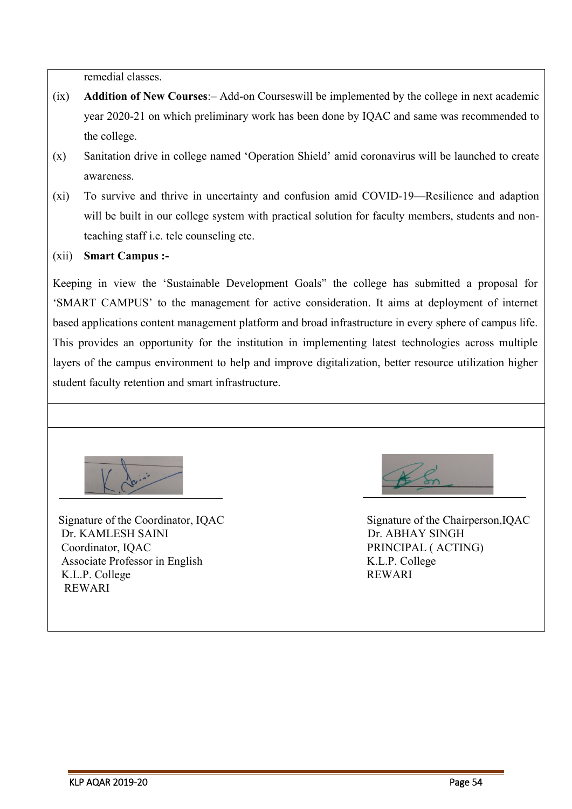remedial classes.

- (ix) **Addition of New Courses**:– Add-on Courseswill be implemented by the college in next academic year 2020-21 on which preliminary work has been done by IQAC and same was recommended to the college.
- (x) Sanitation drive in college named 'Operation Shield' amid coronavirus will be launched to create awareness.
- (xi) To survive and thrive in uncertainty and confusion amid COVID-19—Resilience and adaption will be built in our college system with practical solution for faculty members, students and nonteaching staff i.e. tele counseling etc.
- (xii) **Smart Campus :-**

Keeping in view the 'Sustainable Development Goals" the college has submitted a proposal for 'SMART CAMPUS' to the management for active consideration. It aims at deployment of internet based applications content management platform and broad infrastructure in every sphere of campus life. This provides an opportunity for the institution in implementing latest technologies across multiple layers of the campus environment to help and improve digitalization, better resource utilization higher student faculty retention and smart infrastructure.



Signature of the Coordinator, IQAC Signature of the Chairperson, IQAC Dr. KAMLESH SAINI Dr. ABHAY SINGH Coordinator, IOAC PRINCIPAL ( ACTING) Associate Professor in English K.L.P. College K.L.P. College REWARI REWARI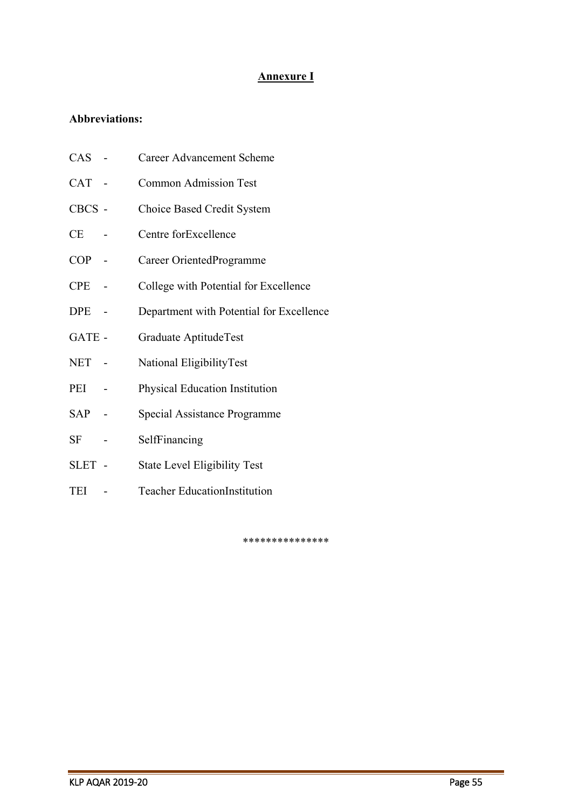## **Annexure I**

## **Abbreviations:**

| CAS        | <b>Career Advancement Scheme</b>         |
|------------|------------------------------------------|
| CAT -      | <b>Common Admission Test</b>             |
| CBCS -     | Choice Based Credit System               |
| CE         | Centre forExcellence                     |
| COP        | Career OrientedProgramme                 |
| $\rm{CPE}$ | College with Potential for Excellence    |
| DPE        | Department with Potential for Excellence |
| GATE -     | Graduate AptitudeTest                    |
| NET        | National EligibilityTest                 |
| PEI        | <b>Physical Education Institution</b>    |
| SAP        | Special Assistance Programme             |
| SF         | SelfFinancing                            |
| SLET -     | <b>State Level Eligibility Test</b>      |
| TEI        | <b>Teacher EducationInstitution</b>      |
|            |                                          |

\*\*\*\*\*\*\*\*\*\*\*\*\*\*\*